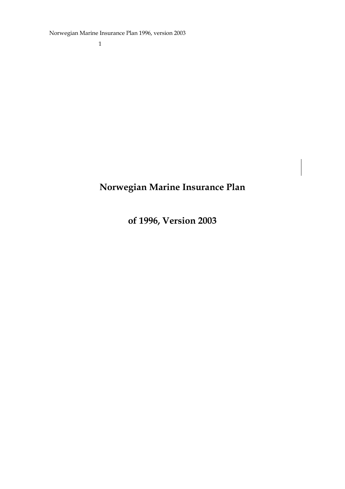Norwegian Marine Insurance Plan 1996, version 2003

1

# **Norwegian Marine Insurance Plan**

**of 1996, Version 2003**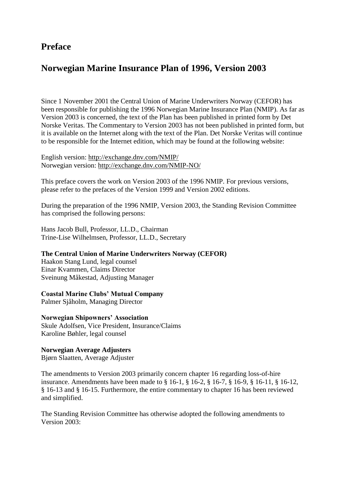## **Preface**

## **Norwegian Marine Insurance Plan of 1996, Version 2003**

Since 1 November 2001 the Central Union of Marine Underwriters Norway (CEFOR) has been responsible for publishing the 1996 Norwegian Marine Insurance Plan (NMIP). As far as Version 2003 is concerned, the text of the Plan has been published in printed form by Det Norske Veritas. The Commentary to Version 2003 has not been published in printed form, but it is available on the Internet along with the text of the Plan. Det Norske Veritas will continue to be responsible for the Internet edition, which may be found at the following website:

English version: http://exchange.dnv.com/NMIP/ Norwegian version: http://exchange.dnv.com/NMIP-NO/

This preface covers the work on Version 2003 of the 1996 NMIP. For previous versions, please refer to the prefaces of the Version 1999 and Version 2002 editions.

During the preparation of the 1996 NMIP, Version 2003, the Standing Revision Committee has comprised the following persons:

Hans Jacob Bull, Professor, LL.D., Chairman Trine-Lise Wilhelmsen, Professor, LL.D., Secretary

#### **The Central Union of Marine Underwriters Norway (CEFOR)**

Haakon Stang Lund, legal counsel Einar Kvammen, Claims Director Sveinung Måkestad, Adjusting Manager

#### **Coastal Marine Clubs' Mutual Company**

Palmer Sjåholm, Managing Director

#### **Norwegian Shipowners' Association**

Skule Adolfsen, Vice President, Insurance/Claims Karoline Bøhler, legal counsel

#### **Norwegian Average Adjusters**

Bjørn Slaatten, Average Adjuster

The amendments to Version 2003 primarily concern chapter 16 regarding loss-of-hire insurance. Amendments have been made to § 16-1, § 16-2, § 16-7, § 16-9, § 16-11, § 16-12, § 16-13 and § 16-15. Furthermore, the entire commentary to chapter 16 has been reviewed and simplified.

The Standing Revision Committee has otherwise adopted the following amendments to Version 2003: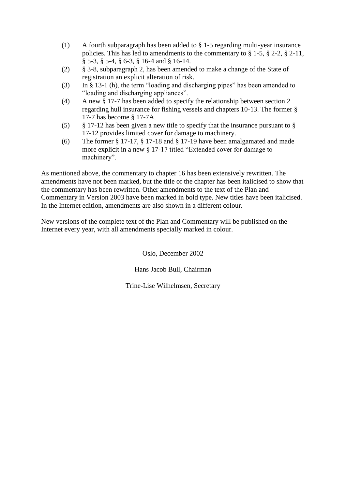- (1) A fourth subparagraph has been added to § 1-5 regarding multi-year insurance policies. This has led to amendments to the commentary to § 1-5, § 2-2, § 2-11, § 5-3, § 5-4, § 6-3, § 16-4 and § 16-14.
- (2) § 3-8, subparagraph 2, has been amended to make a change of the State of registration an explicit alteration of risk.
- (3) In § 13-1 (h), the term "loading and discharging pipes" has been amended to "loading and discharging appliances".
- (4) A new § 17-7 has been added to specify the relationship between section 2 regarding hull insurance for fishing vessels and chapters 10-13. The former § 17-7 has become § 17-7A.
- (5) § 17-12 has been given a new title to specify that the insurance pursuant to § 17-12 provides limited cover for damage to machinery.
- (6) The former § 17-17, § 17-18 and § 17-19 have been amalgamated and made more explicit in a new § 17-17 titled "Extended cover for damage to machinery".

As mentioned above, the commentary to chapter 16 has been extensively rewritten. The amendments have not been marked, but the title of the chapter has been italicised to show that the commentary has been rewritten. Other amendments to the text of the Plan and Commentary in Version 2003 have been marked in bold type. New titles have been italicised. In the Internet edition, amendments are also shown in a different colour.

New versions of the complete text of the Plan and Commentary will be published on the Internet every year, with all amendments specially marked in colour.

Oslo, December 2002

Hans Jacob Bull, Chairman

Trine-Lise Wilhelmsen, Secretary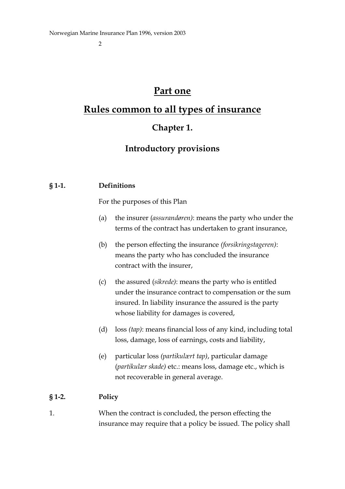# **Part one**

# **Rules common to all types of insurance**

## **Chapter 1.**

# **Introductory provisions**

### **§ 1-1. Definitions**

For the purposes of this Plan

- (a) the insurer (*assurandøren)*: means the party who under the terms of the contract has undertaken to grant insurance,
- (b) the person effecting the insurance *(forsikringstageren)*: means the party who has concluded the insurance contract with the insurer,
- (c) the assured (*sikrede)*: means the party who is entitled under the insurance contract to compensation or the sum insured. In liability insurance the assured is the party whose liability for damages is covered,
- (d) loss *(tap)*: means financial loss of any kind, including total loss, damage, loss of earnings, costs and liability,
- (e) particular loss *(partikulært tap)*, particular damage (*partikulær skade)* etc.: means loss, damage etc., which is not recoverable in general average.

### **§ 1-2. Policy**

1. When the contract is concluded, the person effecting the insurance may require that a policy be issued. The policy shall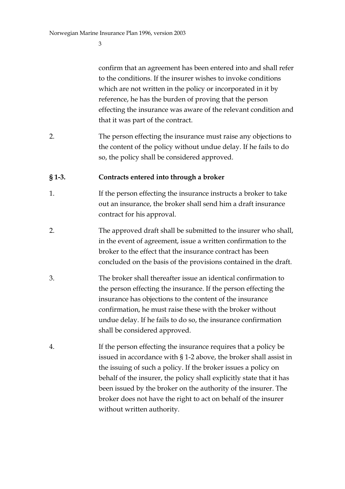confirm that an agreement has been entered into and shall refer to the conditions. If the insurer wishes to invoke conditions which are not written in the policy or incorporated in it by reference, he has the burden of proving that the person effecting the insurance was aware of the relevant condition and that it was part of the contract.

2. The person effecting the insurance must raise any objections to the content of the policy without undue delay. If he fails to do so, the policy shall be considered approved.

#### **§ 1-3. Contracts entered into through a broker**

- 1. If the person effecting the insurance instructs a broker to take out an insurance, the broker shall send him a draft insurance contract for his approval.
- 2. The approved draft shall be submitted to the insurer who shall, in the event of agreement, issue a written confirmation to the broker to the effect that the insurance contract has been concluded on the basis of the provisions contained in the draft.
- 3. The broker shall thereafter issue an identical confirmation to the person effecting the insurance. If the person effecting the insurance has objections to the content of the insurance confirmation, he must raise these with the broker without undue delay. If he fails to do so, the insurance confirmation shall be considered approved.
- 4. If the person effecting the insurance requires that a policy be issued in accordance with § 1-2 above, the broker shall assist in the issuing of such a policy. If the broker issues a policy on behalf of the insurer, the policy shall explicitly state that it has been issued by the broker on the authority of the insurer. The broker does not have the right to act on behalf of the insurer without written authority.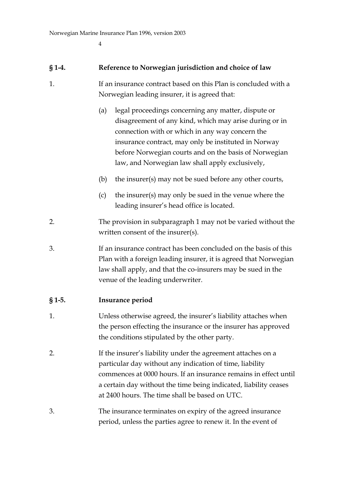#### **§ 1-4. Reference to Norwegian jurisdiction and choice of law**

- 1. If an insurance contract based on this Plan is concluded with a Norwegian leading insurer, it is agreed that:
	- (a) legal proceedings concerning any matter, dispute or disagreement of any kind, which may arise during or in connection with or which in any way concern the insurance contract, may only be instituted in Norway before Norwegian courts and on the basis of Norwegian law, and Norwegian law shall apply exclusively,
	- (b) the insurer(s) may not be sued before any other courts,
	- (c) the insurer(s) may only be sued in the venue where the leading insurer's head office is located.
- 2. The provision in subparagraph 1 may not be varied without the written consent of the insurer(s).
- 3. If an insurance contract has been concluded on the basis of this Plan with a foreign leading insurer, it is agreed that Norwegian law shall apply, and that the co-insurers may be sued in the venue of the leading underwriter.

#### **§ 1-5. Insurance period**

- 1. Unless otherwise agreed, the insurer's liability attaches when the person effecting the insurance or the insurer has approved the conditions stipulated by the other party.
- 2. If the insurer's liability under the agreement attaches on a particular day without any indication of time, liability commences at 0000 hours. If an insurance remains in effect until a certain day without the time being indicated, liability ceases at 2400 hours. The time shall be based on UTC.
- 3. The insurance terminates on expiry of the agreed insurance period, unless the parties agree to renew it. In the event of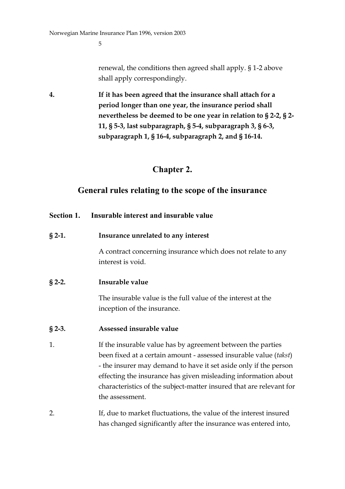renewal, the conditions then agreed shall apply. § 1-2 above shall apply correspondingly.

**4. If it has been agreed that the insurance shall attach for a period longer than one year, the insurance period shall nevertheless be deemed to be one year in relation to § 2-2, § 2- 11, § 5-3, last subparagraph, § 5-4, subparagraph 3, § 6-3, subparagraph 1, § 16-4, subparagraph 2, and § 16-14.**

## **Chapter 2.**

## **General rules relating to the scope of the insurance**

## **Section 1. Insurable interest and insurable value**

**§ 2-1. Insurance unrelated to any interest**

A contract concerning insurance which does not relate to any interest is void.

### **§ 2-2. Insurable value**

The insurable value is the full value of the interest at the inception of the insurance.

#### **§ 2-3. Assessed insurable value**

- 1. If the insurable value has by agreement between the parties been fixed at a certain amount - assessed insurable value (*takst*) - the insurer may demand to have it set aside only if the person effecting the insurance has given misleading information about characteristics of the subject-matter insured that are relevant for the assessment.
- 2. If, due to market fluctuations, the value of the interest insured has changed significantly after the insurance was entered into,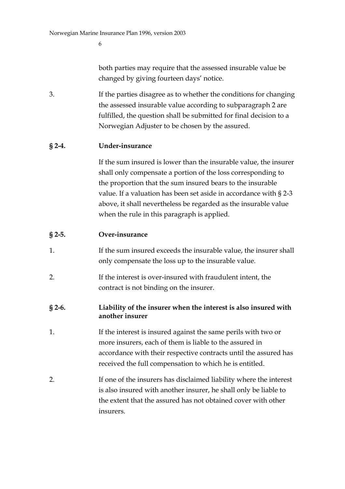both parties may require that the assessed insurable value be changed by giving fourteen days' notice.

3. If the parties disagree as to whether the conditions for changing the assessed insurable value according to subparagraph 2 are fulfilled, the question shall be submitted for final decision to a Norwegian Adjuster to be chosen by the assured.

### **§ 2-4. Under-insurance**

If the sum insured is lower than the insurable value, the insurer shall only compensate a portion of the loss corresponding to the proportion that the sum insured bears to the insurable value. If a valuation has been set aside in accordance with § 2-3 above, it shall nevertheless be regarded as the insurable value when the rule in this paragraph is applied.

#### **§ 2-5. Over-insurance**

- 1. If the sum insured exceeds the insurable value, the insurer shall only compensate the loss up to the insurable value.
- 2. If the interest is over-insured with fraudulent intent, the contract is not binding on the insurer.

#### **§ 2-6. Liability of the insurer when the interest is also insured with another insurer**

- 1. If the interest is insured against the same perils with two or more insurers, each of them is liable to the assured in accordance with their respective contracts until the assured has received the full compensation to which he is entitled.
- 2. If one of the insurers has disclaimed liability where the interest is also insured with another insurer, he shall only be liable to the extent that the assured has not obtained cover with other insurers.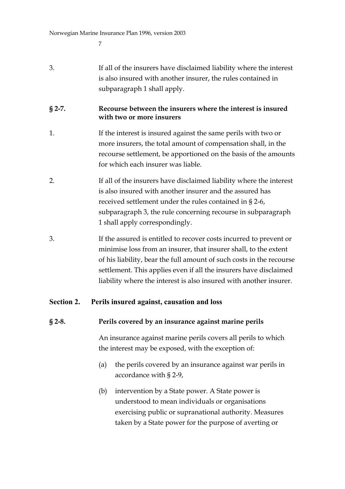| 3.         | If all of the insurers have disclaimed liability where the interest<br>is also insured with another insurer, the rules contained in<br>subparagraph 1 shall apply.                                                                                                                                                                                        |
|------------|-----------------------------------------------------------------------------------------------------------------------------------------------------------------------------------------------------------------------------------------------------------------------------------------------------------------------------------------------------------|
| $§$ 2-7.   | Recourse between the insurers where the interest is insured<br>with two or more insurers                                                                                                                                                                                                                                                                  |
| 1.         | If the interest is insured against the same perils with two or<br>more insurers, the total amount of compensation shall, in the<br>recourse settlement, be apportioned on the basis of the amounts<br>for which each insurer was liable.                                                                                                                  |
| 2.         | If all of the insurers have disclaimed liability where the interest<br>is also insured with another insurer and the assured has<br>received settlement under the rules contained in §2-6,<br>subparagraph 3, the rule concerning recourse in subparagraph<br>1 shall apply correspondingly.                                                               |
| 3.         | If the assured is entitled to recover costs incurred to prevent or<br>minimise loss from an insurer, that insurer shall, to the extent<br>of his liability, bear the full amount of such costs in the recourse<br>settlement. This applies even if all the insurers have disclaimed<br>liability where the interest is also insured with another insurer. |
| Section 2. | Perils insured against, causation and loss                                                                                                                                                                                                                                                                                                                |
| $§$ 2-8.   | Perils covered by an insurance against marine perils                                                                                                                                                                                                                                                                                                      |

An insurance against marine perils covers all perils to which the interest may be exposed, with the exception of:

- (a) the perils covered by an insurance against war perils in accordance with § 2-9,
- (b) intervention by a State power. A State power is understood to mean individuals or organisations exercising public or supranational authority. Measures taken by a State power for the purpose of averting or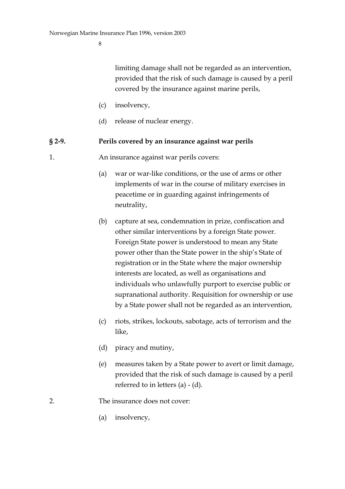limiting damage shall not be regarded as an intervention, provided that the risk of such damage is caused by a peril covered by the insurance against marine perils,

- (c) insolvency,
- (d) release of nuclear energy.

#### **§ 2-9. Perils covered by an insurance against war perils**

1. An insurance against war perils covers:

- (a) war or war-like conditions, or the use of arms or other implements of war in the course of military exercises in peacetime or in guarding against infringements of neutrality,
- (b) capture at sea, condemnation in prize, confiscation and other similar interventions by a foreign State power. Foreign State power is understood to mean any State power other than the State power in the ship's State of registration or in the State where the major ownership interests are located, as well as organisations and individuals who unlawfully purport to exercise public or supranational authority. Requisition for ownership or use by a State power shall not be regarded as an intervention,
- (c) riots, strikes, lockouts, sabotage, acts of terrorism and the like,
- (d) piracy and mutiny,
- (e) measures taken by a State power to avert or limit damage, provided that the risk of such damage is caused by a peril referred to in letters  $(a) - (d)$ .
- 2. The insurance does not cover:
	- (a) insolvency,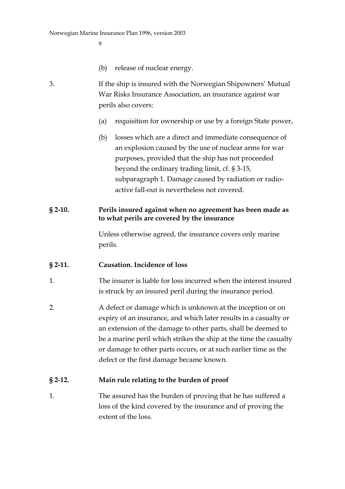$\Omega$ 

- (b) release of nuclear energy.
- 3. If the ship is insured with the Norwegian Shipowners' Mutual War Risks Insurance Association, an insurance against war perils also covers:
	- (a) requisition for ownership or use by a foreign State power,
	- (b) losses which are a direct and immediate consequence of an explosion caused by the use of nuclear arms for war purposes, provided that the ship has not proceeded beyond the ordinary trading limit, cf. § 3-15, subparagraph 1. Damage caused by radiation or radioactive fall-out is nevertheless not covered.

#### **§ 2-10. Perils insured against when no agreement has been made as to what perils are covered by the insurance**

Unless otherwise agreed, the insurance covers only marine perils.

### **§ 2-11. Causation. Incidence of loss**

- 1. The insurer is liable for loss incurred when the interest insured is struck by an insured peril during the insurance period.
- 2. A defect or damage which is unknown at the inception or on expiry of an insurance, and which later results in a casualty or an extension of the damage to other parts, shall be deemed to be a marine peril which strikes the ship at the time the casualty or damage to other parts occurs, or at such earlier time as the defect or the first damage became known.

#### **§ 2-12. Main rule relating to the burden of proof**

1. The assured has the burden of proving that he has suffered a loss of the kind covered by the insurance and of proving the extent of the loss.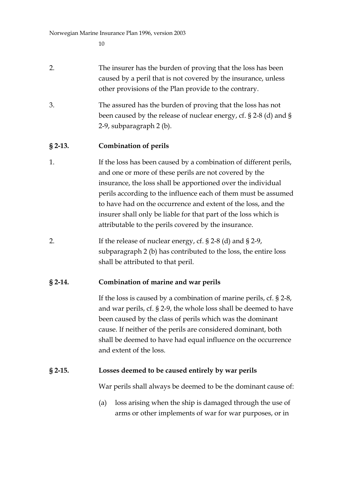| 2. | The insurer has the burden of proving that the loss has been   |
|----|----------------------------------------------------------------|
|    | caused by a peril that is not covered by the insurance, unless |
|    | other provisions of the Plan provide to the contrary.          |

3. The assured has the burden of proving that the loss has not been caused by the release of nuclear energy, cf. § 2-8 (d) and § 2-9, subparagraph 2 (b).

#### **§ 2-13. Combination of perils**

- 1. If the loss has been caused by a combination of different perils, and one or more of these perils are not covered by the insurance, the loss shall be apportioned over the individual perils according to the influence each of them must be assumed to have had on the occurrence and extent of the loss, and the insurer shall only be liable for that part of the loss which is attributable to the perils covered by the insurance.
- 2. If the release of nuclear energy, cf. § 2-8 (d) and § 2-9, subparagraph 2 (b) has contributed to the loss, the entire loss shall be attributed to that peril.

### **§ 2-14. Combination of marine and war perils**

If the loss is caused by a combination of marine perils, cf. § 2-8, and war perils, cf. § 2-9, the whole loss shall be deemed to have been caused by the class of perils which was the dominant cause. If neither of the perils are considered dominant, both shall be deemed to have had equal influence on the occurrence and extent of the loss.

#### **§ 2-15. Losses deemed to be caused entirely by war perils**

War perils shall always be deemed to be the dominant cause of:

(a) loss arising when the ship is damaged through the use of arms or other implements of war for war purposes, or in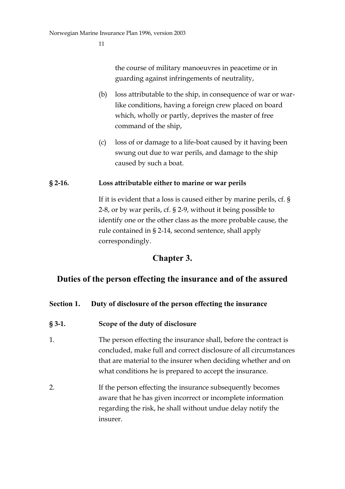the course of military manoeuvres in peacetime or in guarding against infringements of neutrality,

- (b) loss attributable to the ship, in consequence of war or warlike conditions, having a foreign crew placed on board which, wholly or partly, deprives the master of free command of the ship,
- (c) loss of or damage to a life-boat caused by it having been swung out due to war perils, and damage to the ship caused by such a boat.

#### **§ 2-16. Loss attributable either to marine or war perils**

If it is evident that a loss is caused either by marine perils, cf. § 2-8, or by war perils, cf. § 2-9, without it being possible to identify one or the other class as the more probable cause, the rule contained in § 2-14, second sentence, shall apply correspondingly.

## **Chapter 3.**

## **Duties of the person effecting the insurance and of the assured**

### **Section 1. Duty of disclosure of the person effecting the insurance**

- **§ 3-1. Scope of the duty of disclosure**
- 1. The person effecting the insurance shall, before the contract is concluded, make full and correct disclosure of all circumstances that are material to the insurer when deciding whether and on what conditions he is prepared to accept the insurance.
- 2. If the person effecting the insurance subsequently becomes aware that he has given incorrect or incomplete information regarding the risk, he shall without undue delay notify the insurer.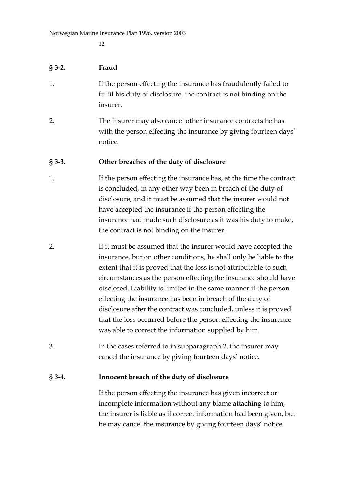#### **§ 3-2. Fraud**

- 1. If the person effecting the insurance has fraudulently failed to fulfil his duty of disclosure, the contract is not binding on the insurer.
- 2. The insurer may also cancel other insurance contracts he has with the person effecting the insurance by giving fourteen days' notice.

#### **§ 3-3. Other breaches of the duty of disclosure**

- 1. If the person effecting the insurance has, at the time the contract is concluded, in any other way been in breach of the duty of disclosure, and it must be assumed that the insurer would not have accepted the insurance if the person effecting the insurance had made such disclosure as it was his duty to make, the contract is not binding on the insurer.
- 2. If it must be assumed that the insurer would have accepted the insurance, but on other conditions, he shall only be liable to the extent that it is proved that the loss is not attributable to such circumstances as the person effecting the insurance should have disclosed. Liability is limited in the same manner if the person effecting the insurance has been in breach of the duty of disclosure after the contract was concluded, unless it is proved that the loss occurred before the person effecting the insurance was able to correct the information supplied by him.
- 3. In the cases referred to in subparagraph 2, the insurer may cancel the insurance by giving fourteen days' notice.

#### **§ 3-4. Innocent breach of the duty of disclosure**

If the person effecting the insurance has given incorrect or incomplete information without any blame attaching to him, the insurer is liable as if correct information had been given, but he may cancel the insurance by giving fourteen days' notice.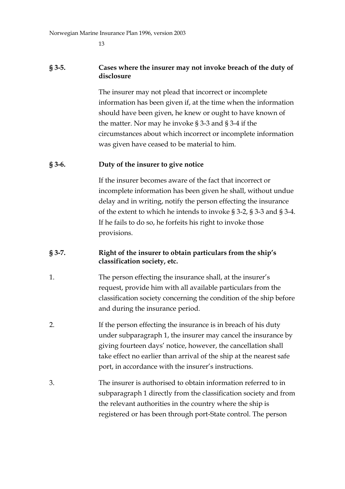#### **§ 3-5. Cases where the insurer may not invoke breach of the duty of disclosure**

The insurer may not plead that incorrect or incomplete information has been given if, at the time when the information should have been given, he knew or ought to have known of the matter. Nor may he invoke § 3-3 and § 3-4 if the circumstances about which incorrect or incomplete information was given have ceased to be material to him.

#### **§ 3-6. Duty of the insurer to give notice**

If the insurer becomes aware of the fact that incorrect or incomplete information has been given he shall, without undue delay and in writing, notify the person effecting the insurance of the extent to which he intends to invoke § 3-2, § 3-3 and § 3-4. If he fails to do so, he forfeits his right to invoke those provisions.

#### **§ 3-7. Right of the insurer to obtain particulars from the ship's classification society, etc.**

- 1. The person effecting the insurance shall, at the insurer's request, provide him with all available particulars from the classification society concerning the condition of the ship before and during the insurance period.
- 2. If the person effecting the insurance is in breach of his duty under subparagraph 1, the insurer may cancel the insurance by giving fourteen days' notice, however, the cancellation shall take effect no earlier than arrival of the ship at the nearest safe port, in accordance with the insurer's instructions.
- 3. The insurer is authorised to obtain information referred to in subparagraph 1 directly from the classification society and from the relevant authorities in the country where the ship is registered or has been through port-State control. The person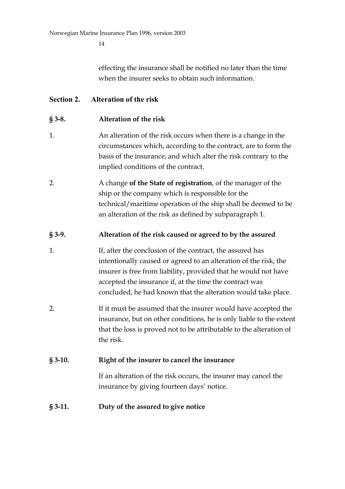effecting the insurance shall be notified no later than the time when the insurer seeks to obtain such information.

### **Section 2. Alteration of the risk**

### **§ 3-8. Alteration of the risk**

- 1. An alteration of the risk occurs when there is a change in the circumstances which, according to the contract, are to form the basis of the insurance, and which alter the risk contrary to the implied conditions of the contract.
- 2. A change **of the State of registration**, of the manager of the ship or the company which is responsible for the technical/maritime operation of the ship shall be deemed to be an alteration of the risk as defined by subparagraph 1.

## **§ 3-9. Alteration of the risk caused or agreed to by the assured**

- 1. If, after the conclusion of the contract, the assured has intentionally caused or agreed to an alteration of the risk, the insurer is free from liability, provided that he would not have accepted the insurance if, at the time the contract was concluded, he had known that the alteration would take place.
- 2. If it must be assumed that the insurer would have accepted the insurance, but on other conditions, he is only liable to the extent that the loss is proved not to be attributable to the alteration of the risk.

### **§ 3-10. Right of the insurer to cancel the insurance**

If an alteration of the risk occurs, the insurer may cancel the insurance by giving fourteen days' notice.

### **§ 3-11. Duty of the assured to give notice**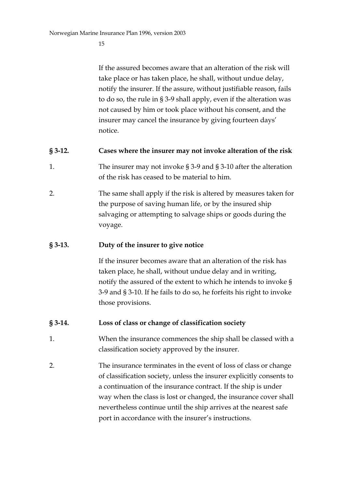If the assured becomes aware that an alteration of the risk will take place or has taken place, he shall, without undue delay, notify the insurer. If the assure, without justifiable reason, fails to do so, the rule in § 3-9 shall apply, even if the alteration was not caused by him or took place without his consent, and the insurer may cancel the insurance by giving fourteen days' notice.

### **§ 3-12. Cases where the insurer may not invoke alteration of the risk**

- 1. The insurer may not invoke § 3-9 and § 3-10 after the alteration of the risk has ceased to be material to him.
- 2. The same shall apply if the risk is altered by measures taken for the purpose of saving human life, or by the insured ship salvaging or attempting to salvage ships or goods during the voyage.

### **§ 3-13. Duty of the insurer to give notice**

If the insurer becomes aware that an alteration of the risk has taken place, he shall, without undue delay and in writing, notify the assured of the extent to which he intends to invoke § 3-9 and § 3-10. If he fails to do so, he forfeits his right to invoke those provisions.

### **§ 3-14. Loss of class or change of classification society**

- 1. When the insurance commences the ship shall be classed with a classification society approved by the insurer.
- 2. The insurance terminates in the event of loss of class or change of classification society, unless the insurer explicitly consents to a continuation of the insurance contract. If the ship is under way when the class is lost or changed, the insurance cover shall nevertheless continue until the ship arrives at the nearest safe port in accordance with the insurer's instructions.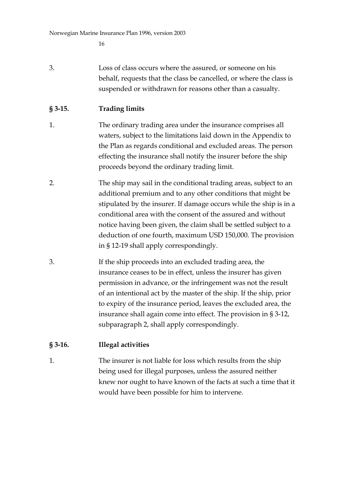3. Loss of class occurs where the assured, or someone on his behalf, requests that the class be cancelled, or where the class is suspended or withdrawn for reasons other than a casualty.

## **§ 3-15. Trading limits**

- 1. The ordinary trading area under the insurance comprises all waters, subject to the limitations laid down in the Appendix to the Plan as regards conditional and excluded areas. The person effecting the insurance shall notify the insurer before the ship proceeds beyond the ordinary trading limit.
- 2. The ship may sail in the conditional trading areas, subject to an additional premium and to any other conditions that might be stipulated by the insurer. If damage occurs while the ship is in a conditional area with the consent of the assured and without notice having been given, the claim shall be settled subject to a deduction of one fourth, maximum USD 150,000. The provision in § 12-19 shall apply correspondingly.
- 3. If the ship proceeds into an excluded trading area, the insurance ceases to be in effect, unless the insurer has given permission in advance, or the infringement was not the result of an intentional act by the master of the ship. If the ship, prior to expiry of the insurance period, leaves the excluded area, the insurance shall again come into effect. The provision in § 3-12, subparagraph 2, shall apply correspondingly.

## **§ 3-16. Illegal activities**

1. The insurer is not liable for loss which results from the ship being used for illegal purposes, unless the assured neither knew nor ought to have known of the facts at such a time that it would have been possible for him to intervene.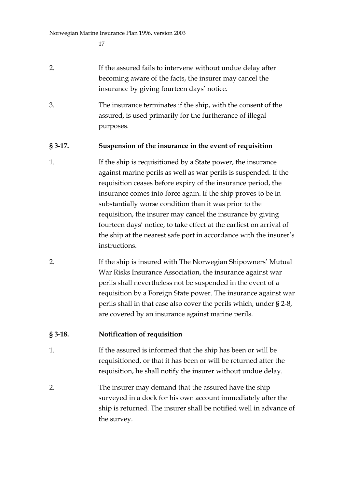- 2. If the assured fails to intervene without undue delay after becoming aware of the facts, the insurer may cancel the insurance by giving fourteen days' notice.
- 3. The insurance terminates if the ship, with the consent of the assured, is used primarily for the furtherance of illegal purposes.

### **§ 3-17. Suspension of the insurance in the event of requisition**

- 1. If the ship is requisitioned by a State power, the insurance against marine perils as well as war perils is suspended. If the requisition ceases before expiry of the insurance period, the insurance comes into force again. If the ship proves to be in substantially worse condition than it was prior to the requisition, the insurer may cancel the insurance by giving fourteen days' notice, to take effect at the earliest on arrival of the ship at the nearest safe port in accordance with the insurer's instructions.
- 2. If the ship is insured with The Norwegian Shipowners' Mutual War Risks Insurance Association, the insurance against war perils shall nevertheless not be suspended in the event of a requisition by a Foreign State power. The insurance against war perils shall in that case also cover the perils which, under § 2-8, are covered by an insurance against marine perils.

## **§ 3-18. Notification of requisition**

- 1. If the assured is informed that the ship has been or will be requisitioned, or that it has been or will be returned after the requisition, he shall notify the insurer without undue delay.
- 2. The insurer may demand that the assured have the ship surveyed in a dock for his own account immediately after the ship is returned. The insurer shall be notified well in advance of the survey.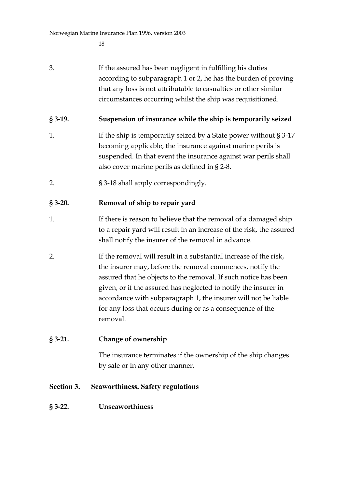3. If the assured has been negligent in fulfilling his duties according to subparagraph 1 or 2, he has the burden of proving that any loss is not attributable to casualties or other similar circumstances occurring whilst the ship was requisitioned.

### **§ 3-19. Suspension of insurance while the ship is temporarily seized**

- 1. If the ship is temporarily seized by a State power without § 3-17 becoming applicable, the insurance against marine perils is suspended. In that event the insurance against war perils shall also cover marine perils as defined in § 2-8.
- 2. § 3-18 shall apply correspondingly.

## **§ 3-20. Removal of ship to repair yard**

- 1. If there is reason to believe that the removal of a damaged ship to a repair yard will result in an increase of the risk, the assured shall notify the insurer of the removal in advance.
- 2. If the removal will result in a substantial increase of the risk, the insurer may, before the removal commences, notify the assured that he objects to the removal. If such notice has been given, or if the assured has neglected to notify the insurer in accordance with subparagraph 1, the insurer will not be liable for any loss that occurs during or as a consequence of the removal.

### **§ 3-21. Change of ownership**

The insurance terminates if the ownership of the ship changes by sale or in any other manner.

### **Section 3. Seaworthiness. Safety regulations**

### **§ 3-22. Unseaworthiness**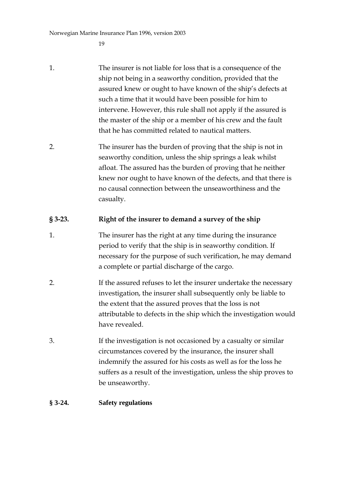Norwegian Marine Insurance Plan 1996, version 2003

19

- 1. The insurer is not liable for loss that is a consequence of the ship not being in a seaworthy condition, provided that the assured knew or ought to have known of the ship's defects at such a time that it would have been possible for him to intervene. However, this rule shall not apply if the assured is the master of the ship or a member of his crew and the fault that he has committed related to nautical matters.
- 2. The insurer has the burden of proving that the ship is not in seaworthy condition, unless the ship springs a leak whilst afloat. The assured has the burden of proving that he neither knew nor ought to have known of the defects, and that there is no causal connection between the unseaworthiness and the casualty.

## **§ 3-23. Right of the insurer to demand a survey of the ship**

- 1. The insurer has the right at any time during the insurance period to verify that the ship is in seaworthy condition. If necessary for the purpose of such verification, he may demand a complete or partial discharge of the cargo.
- 2. If the assured refuses to let the insurer undertake the necessary investigation, the insurer shall subsequently only be liable to the extent that the assured proves that the loss is not attributable to defects in the ship which the investigation would have revealed.
- 3. If the investigation is not occasioned by a casualty or similar circumstances covered by the insurance, the insurer shall indemnify the assured for his costs as well as for the loss he suffers as a result of the investigation, unless the ship proves to be unseaworthy.

#### **§ 3-24. Safety regulations**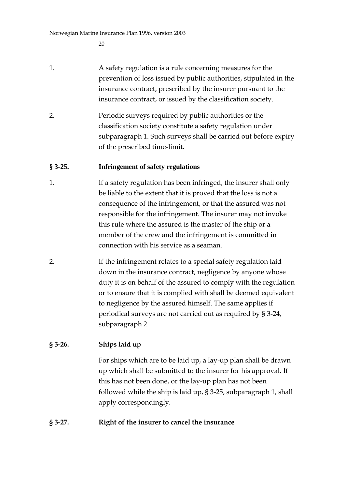- 1. A safety regulation is a rule concerning measures for the prevention of loss issued by public authorities, stipulated in the insurance contract, prescribed by the insurer pursuant to the insurance contract, or issued by the classification society.
- 2. Periodic surveys required by public authorities or the classification society constitute a safety regulation under subparagraph 1. Such surveys shall be carried out before expiry of the prescribed time-limit.

#### **§ 3-25. Infringement of safety regulations**

- 1. If a safety regulation has been infringed, the insurer shall only be liable to the extent that it is proved that the loss is not a consequence of the infringement, or that the assured was not responsible for the infringement. The insurer may not invoke this rule where the assured is the master of the ship or a member of the crew and the infringement is committed in connection with his service as a seaman.
- 2. If the infringement relates to a special safety regulation laid down in the insurance contract, negligence by anyone whose duty it is on behalf of the assured to comply with the regulation or to ensure that it is complied with shall be deemed equivalent to negligence by the assured himself. The same applies if periodical surveys are not carried out as required by § 3-24, subparagraph 2.

### **§ 3-26. Ships laid up**

For ships which are to be laid up, a lay-up plan shall be drawn up which shall be submitted to the insurer for his approval. If this has not been done, or the lay-up plan has not been followed while the ship is laid up, § 3-25, subparagraph 1, shall apply correspondingly.

### **§ 3-27. Right of the insurer to cancel the insurance**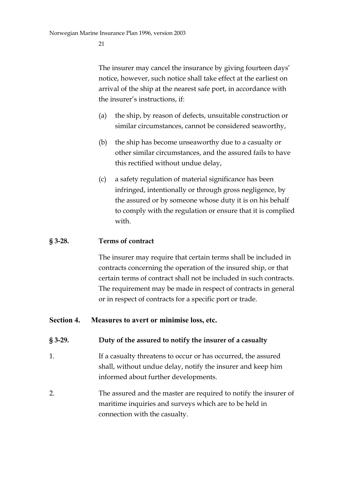The insurer may cancel the insurance by giving fourteen days' notice, however, such notice shall take effect at the earliest on arrival of the ship at the nearest safe port, in accordance with the insurer's instructions, if:

- (a) the ship, by reason of defects, unsuitable construction or similar circumstances, cannot be considered seaworthy,
- (b) the ship has become unseaworthy due to a casualty or other similar circumstances, and the assured fails to have this rectified without undue delay,
- (c) a safety regulation of material significance has been infringed, intentionally or through gross negligence, by the assured or by someone whose duty it is on his behalf to comply with the regulation or ensure that it is complied with.

#### **§ 3-28. Terms of contract**

The insurer may require that certain terms shall be included in contracts concerning the operation of the insured ship, or that certain terms of contract shall not be included in such contracts. The requirement may be made in respect of contracts in general or in respect of contracts for a specific port or trade.

#### **Section 4. Measures to avert or minimise loss, etc.**

#### **§ 3-29. Duty of the assured to notify the insurer of a casualty**

- 1. If a casualty threatens to occur or has occurred, the assured shall, without undue delay, notify the insurer and keep him informed about further developments.
- 2. The assured and the master are required to notify the insurer of maritime inquiries and surveys which are to be held in connection with the casualty.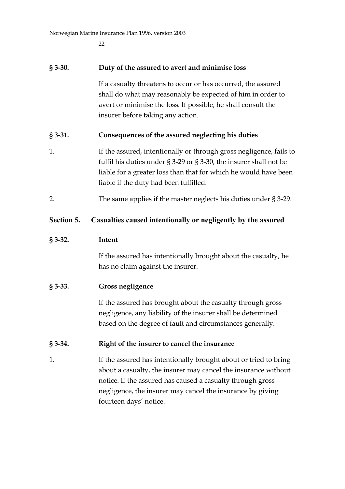Norwegian Marine Insurance Plan 1996, version 2003

22

| $§$ 3-30.  | Duty of the assured to avert and minimise loss                                                                                                                                                                                                                 |
|------------|----------------------------------------------------------------------------------------------------------------------------------------------------------------------------------------------------------------------------------------------------------------|
|            | If a casualty threatens to occur or has occurred, the assured<br>shall do what may reasonably be expected of him in order to<br>avert or minimise the loss. If possible, he shall consult the<br>insurer before taking any action.                             |
| $§$ 3-31.  | Consequences of the assured neglecting his duties                                                                                                                                                                                                              |
| 1.         | If the assured, intentionally or through gross negligence, fails to<br>fulfil his duties under $\S 3-29$ or $\S 3-30$ , the insurer shall not be<br>liable for a greater loss than that for which he would have been<br>liable if the duty had been fulfilled. |
| 2.         | The same applies if the master neglects his duties under $\S 3-29$ .                                                                                                                                                                                           |
| Section 5. | Casualties caused intentionally or negligently by the assured                                                                                                                                                                                                  |
| $§$ 3-32.  | Intent                                                                                                                                                                                                                                                         |
|            | If the assured has intentionally brought about the casualty, he<br>has no claim against the insurer.                                                                                                                                                           |
| $§$ 3-33.  | <b>Gross negligence</b>                                                                                                                                                                                                                                        |
|            | If the assured has brought about the casualty through gross<br>negligence, any liability of the insurer shall be determined<br>based on the degree of fault and circumstances generally.                                                                       |
| $\S 3-34.$ | Right of the insurer to cancel the insurance                                                                                                                                                                                                                   |
| 1.         | If the assured has intentionally brought about or tried to bring<br>about a casualty, the insurer may cancel the insurance without<br>notice. If the assured has caused a casualty through gross<br>negligence, the insurer may cancel the insurance by giving |

fourteen days' notice.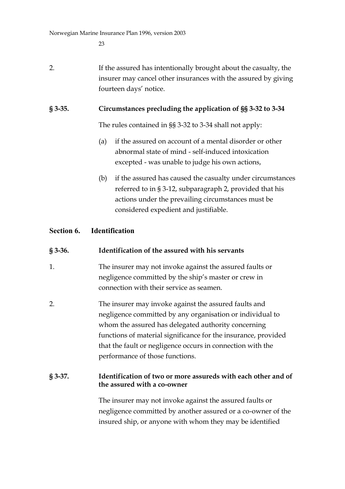## 2. If the assured has intentionally brought about the casualty, the insurer may cancel other insurances with the assured by giving fourteen days' notice.

### **§ 3-35. Circumstances precluding the application of §§ 3-32 to 3-34**

The rules contained in §§ 3-32 to 3-34 shall not apply:

- (a) if the assured on account of a mental disorder or other abnormal state of mind - self-induced intoxication excepted - was unable to judge his own actions,
- (b) if the assured has caused the casualty under circumstances referred to in § 3-12, subparagraph 2, provided that his actions under the prevailing circumstances must be considered expedient and justifiable.

### **Section 6. Identification**

### **§ 3-36. Identification of the assured with his servants**

- 1. The insurer may not invoke against the assured faults or negligence committed by the ship's master or crew in connection with their service as seamen.
- 2. The insurer may invoke against the assured faults and negligence committed by any organisation or individual to whom the assured has delegated authority concerning functions of material significance for the insurance, provided that the fault or negligence occurs in connection with the performance of those functions.

#### **§ 3-37. Identification of two or more assureds with each other and of the assured with a co-owner**

The insurer may not invoke against the assured faults or negligence committed by another assured or a co-owner of the insured ship, or anyone with whom they may be identified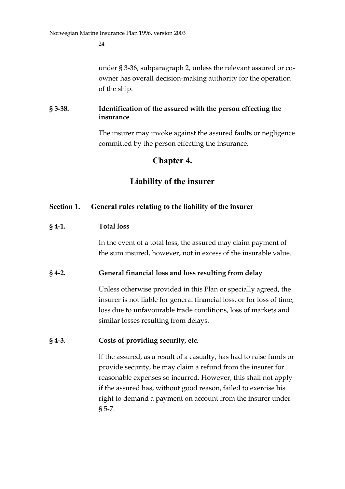under § 3-36, subparagraph 2, unless the relevant assured or coowner has overall decision-making authority for the operation of the ship.

## **§ 3-38. Identification of the assured with the person effecting the insurance**

The insurer may invoke against the assured faults or negligence committed by the person effecting the insurance.

# **Chapter 4.**

# **Liability of the insurer**

## **Section 1. General rules relating to the liability of the insurer**

## **§ 4-1. Total loss**

In the event of a total loss, the assured may claim payment of the sum insured, however, not in excess of the insurable value.

### **§ 4-2. General financial loss and loss resulting from delay**

Unless otherwise provided in this Plan or specially agreed, the insurer is not liable for general financial loss, or for loss of time, loss due to unfavourable trade conditions, loss of markets and similar losses resulting from delays.

## **§ 4-3. Costs of providing security, etc.**

If the assured, as a result of a casualty, has had to raise funds or provide security, he may claim a refund from the insurer for reasonable expenses so incurred. However, this shall not apply if the assured has, without good reason, failed to exercise his right to demand a payment on account from the insurer under § 5-7.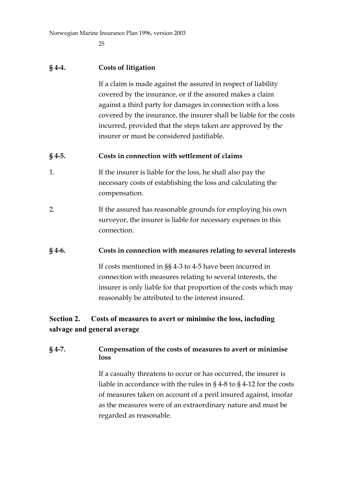Norwegian Marine Insurance Plan 1996, version 2003

25

#### **§ 4-4. Costs of litigation**

If a claim is made against the assured in respect of liability covered by the insurance, or if the assured makes a claim against a third party for damages in connection with a loss covered by the insurance, the insurer shall be liable for the costs incurred, provided that the steps taken are approved by the insurer or must be considered justifiable.

#### **§ 4-5. Costs in connection with settlement of claims**

- 1. If the insurer is liable for the loss, he shall also pay the necessary costs of establishing the loss and calculating the compensation.
- 2. If the assured has reasonable grounds for employing his own surveyor, the insurer is liable for necessary expenses in this connection.

#### **§ 4-6. Costs in connection with measures relating to several interests**

If costs mentioned in §§ 4-3 to 4-5 have been incurred in connection with measures relating to several interests, the insurer is only liable for that proportion of the costs which may reasonably be attributed to the interest insured.

## **Section 2. Costs of measures to avert or minimise the loss, including salvage and general average**

### **§ 4-7. Compensation of the costs of measures to avert or minimise loss**

If a casualty threatens to occur or has occurred, the insurer is liable in accordance with the rules in § 4-8 to § 4-12 for the costs of measures taken on account of a peril insured against, insofar as the measures were of an extraordinary nature and must be regarded as reasonable.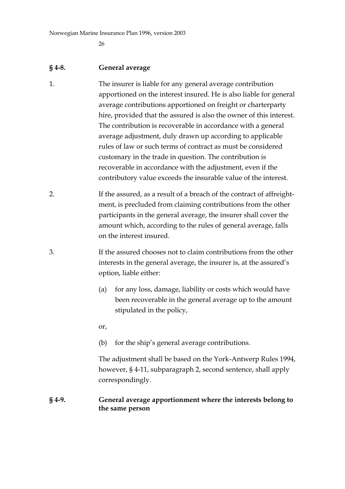Norwegian Marine Insurance Plan 1996, version 2003

26

#### **§ 4-8. General average**

- 1. The insurer is liable for any general average contribution apportioned on the interest insured. He is also liable for general average contributions apportioned on freight or charterparty hire, provided that the assured is also the owner of this interest. The contribution is recoverable in accordance with a general average adjustment, duly drawn up according to applicable rules of law or such terms of contract as must be considered customary in the trade in question. The contribution is recoverable in accordance with the adjustment, even if the contributory value exceeds the insurable value of the interest.
- 2. If the assured, as a result of a breach of the contract of affreightment, is precluded from claiming contributions from the other participants in the general average, the insurer shall cover the amount which, according to the rules of general average, falls on the interest insured.
- 3. If the assured chooses not to claim contributions from the other interests in the general average, the insurer is, at the assured's option, liable either:
	- (a) for any loss, damage, liability or costs which would have been recoverable in the general average up to the amount stipulated in the policy,

or,

(b) for the ship's general average contributions.

The adjustment shall be based on the York-Antwerp Rules 1994, however, § 4-11, subparagraph 2, second sentence, shall apply correspondingly.

#### **§ 4-9. General average apportionment where the interests belong to the same person**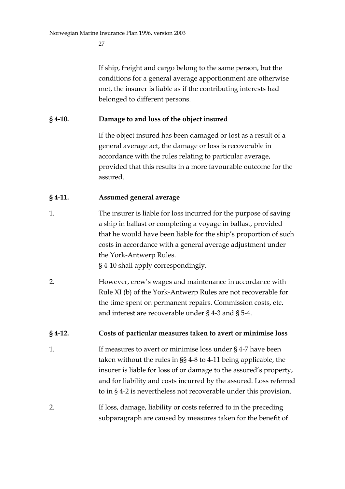If ship, freight and cargo belong to the same person, but the conditions for a general average apportionment are otherwise met, the insurer is liable as if the contributing interests had belonged to different persons.

### **§ 4-10. Damage to and loss of the object insured**

If the object insured has been damaged or lost as a result of a general average act, the damage or loss is recoverable in accordance with the rules relating to particular average, provided that this results in a more favourable outcome for the assured.

## **§ 4-11. Assumed general average**

1. The insurer is liable for loss incurred for the purpose of saving a ship in ballast or completing a voyage in ballast, provided that he would have been liable for the ship's proportion of such costs in accordance with a general average adjustment under the York-Antwerp Rules.

§ 4-10 shall apply correspondingly.

2. However, crew's wages and maintenance in accordance with Rule XI (b) of the York-Antwerp Rules are not recoverable for the time spent on permanent repairs. Commission costs, etc. and interest are recoverable under § 4-3 and § 5-4.

### **§ 4-12. Costs of particular measures taken to avert or minimise loss**

1. If measures to avert or minimise loss under § 4-7 have been taken without the rules in §§ 4-8 to 4-11 being applicable, the insurer is liable for loss of or damage to the assured's property, and for liability and costs incurred by the assured. Loss referred to in § 4-2 is nevertheless not recoverable under this provision.

2. If loss, damage, liability or costs referred to in the preceding subparagraph are caused by measures taken for the benefit of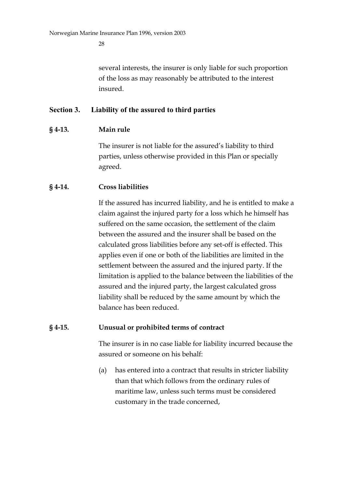several interests, the insurer is only liable for such proportion of the loss as may reasonably be attributed to the interest insured.

#### **Section 3. Liability of the assured to third parties**

#### **§ 4-13. Main rule**

The insurer is not liable for the assured's liability to third parties, unless otherwise provided in this Plan or specially agreed.

#### **§ 4-14. Cross liabilities**

If the assured has incurred liability, and he is entitled to make a claim against the injured party for a loss which he himself has suffered on the same occasion, the settlement of the claim between the assured and the insurer shall be based on the calculated gross liabilities before any set-off is effected. This applies even if one or both of the liabilities are limited in the settlement between the assured and the injured party. If the limitation is applied to the balance between the liabilities of the assured and the injured party, the largest calculated gross liability shall be reduced by the same amount by which the balance has been reduced.

#### **§ 4-15. Unusual or prohibited terms of contract**

The insurer is in no case liable for liability incurred because the assured or someone on his behalf:

(a) has entered into a contract that results in stricter liability than that which follows from the ordinary rules of maritime law, unless such terms must be considered customary in the trade concerned,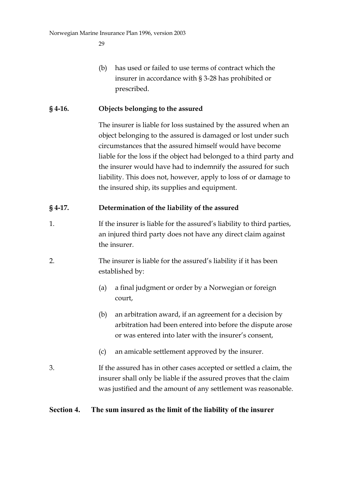(b) has used or failed to use terms of contract which the insurer in accordance with § 3-28 has prohibited or prescribed.

### **§ 4-16. Objects belonging to the assured**

The insurer is liable for loss sustained by the assured when an object belonging to the assured is damaged or lost under such circumstances that the assured himself would have become liable for the loss if the object had belonged to a third party and the insurer would have had to indemnify the assured for such liability. This does not, however, apply to loss of or damage to the insured ship, its supplies and equipment.

## **§ 4-17. Determination of the liability of the assured**

- 1. If the insurer is liable for the assured's liability to third parties, an injured third party does not have any direct claim against the insurer.
- 2. The insurer is liable for the assured's liability if it has been established by:
	- (a) a final judgment or order by a Norwegian or foreign court,
	- (b) an arbitration award, if an agreement for a decision by arbitration had been entered into before the dispute arose or was entered into later with the insurer's consent,
	- (c) an amicable settlement approved by the insurer.
- 3. If the assured has in other cases accepted or settled a claim, the insurer shall only be liable if the assured proves that the claim was justified and the amount of any settlement was reasonable.

### **Section 4. The sum insured as the limit of the liability of the insurer**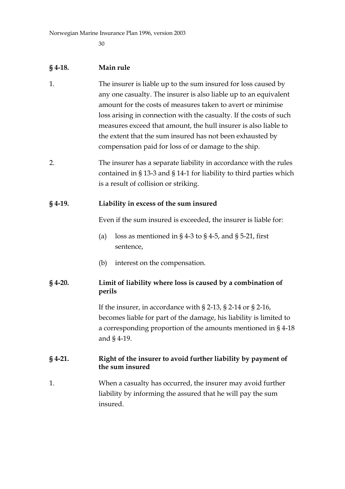#### **§ 4-18. Main rule**

- 1. The insurer is liable up to the sum insured for loss caused by any one casualty. The insurer is also liable up to an equivalent amount for the costs of measures taken to avert or minimise loss arising in connection with the casualty. If the costs of such measures exceed that amount, the hull insurer is also liable to the extent that the sum insured has not been exhausted by compensation paid for loss of or damage to the ship.
- 2. The insurer has a separate liability in accordance with the rules contained in § 13-3 and § 14-1 for liability to third parties which is a result of collision or striking.

#### **§ 4-19. Liability in excess of the sum insured**

Even if the sum insured is exceeded, the insurer is liable for:

- (a) loss as mentioned in § 4-3 to § 4-5, and § 5-21, first sentence,
- (b) interest on the compensation.

### **§ 4-20. Limit of liability where loss is caused by a combination of perils**

If the insurer, in accordance with § 2-13, § 2-14 or § 2-16, becomes liable for part of the damage, his liability is limited to a corresponding proportion of the amounts mentioned in § 4-18 and § 4-19.

### **§ 4-21. Right of the insurer to avoid further liability by payment of the sum insured**

1. When a casualty has occurred, the insurer may avoid further liability by informing the assured that he will pay the sum insured.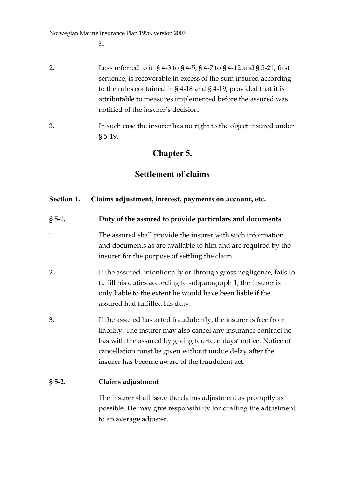Norwegian Marine Insurance Plan 1996, version 2003

31

- 2. Loss referred to in § 4-3 to § 4-5, § 4-7 to § 4-12 and § 5-21, first sentence, is recoverable in excess of the sum insured according to the rules contained in § 4-18 and § 4-19, provided that it is attributable to measures implemented before the assured was notified of the insurer's decision.
- 3. In such case the insurer has no right to the object insured under § 5-19.

# **Chapter 5.**

# **Settlement of claims**

## **Section 1. Claims adjustment, interest, payments on account, etc.**

- **§ 5-1. Duty of the assured to provide particulars and documents**
- 1. The assured shall provide the insurer with such information and documents as are available to him and are required by the insurer for the purpose of settling the claim.
- 2. If the assured, intentionally or through gross negligence, fails to fulfill his duties according to subparagraph 1, the insurer is only liable to the extent he would have been liable if the assured had fulfilled his duty.
- 3. If the assured has acted fraudulently, the insurer is free from liability. The insurer may also cancel any insurance contract he has with the assured by giving fourteen days' notice. Notice of cancellation must be given without undue delay after the insurer has become aware of the fraudulent act.

## **§ 5-2. Claims adjustment**

The insurer shall issue the claims adjustment as promptly as possible. He may give responsibility for drafting the adjustment to an average adjuster.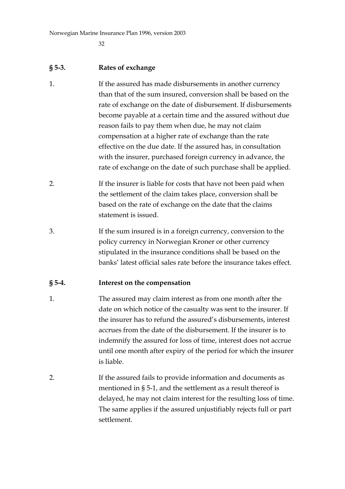#### **§ 5-3. Rates of exchange**

- 1. If the assured has made disbursements in another currency than that of the sum insured, conversion shall be based on the rate of exchange on the date of disbursement. If disbursements become payable at a certain time and the assured without due reason fails to pay them when due, he may not claim compensation at a higher rate of exchange than the rate effective on the due date. If the assured has, in consultation with the insurer, purchased foreign currency in advance, the rate of exchange on the date of such purchase shall be applied.
- 2. If the insurer is liable for costs that have not been paid when the settlement of the claim takes place, conversion shall be based on the rate of exchange on the date that the claims statement is issued.
- 3. If the sum insured is in a foreign currency, conversion to the policy currency in Norwegian Kroner or other currency stipulated in the insurance conditions shall be based on the banks' latest official sales rate before the insurance takes effect.

### **§ 5-4. Interest on the compensation**

- 1. The assured may claim interest as from one month after the date on which notice of the casualty was sent to the insurer. If the insurer has to refund the assured's disbursements, interest accrues from the date of the disbursement. If the insurer is to indemnify the assured for loss of time, interest does not accrue until one month after expiry of the period for which the insurer is liable.
- 2. If the assured fails to provide information and documents as mentioned in § 5-1, and the settlement as a result thereof is delayed, he may not claim interest for the resulting loss of time. The same applies if the assured unjustifiably rejects full or part settlement.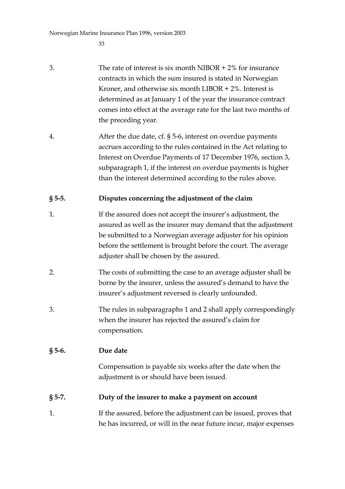- 3. The rate of interest is six month NIBOR + 2% for insurance contracts in which the sum insured is stated in Norwegian Kroner, and otherwise six month LIBOR  $+ 2\%$ . Interest is determined as at January 1 of the year the insurance contract comes into effect at the average rate for the last two months of the preceding year.
- 4. After the due date, cf. § 5-6, interest on overdue payments accrues according to the rules contained in the Act relating to Interest on Overdue Payments of 17 December 1976, section 3, subparagraph 1, if the interest on overdue payments is higher than the interest determined according to the rules above.

## **§ 5-5. Disputes concerning the adjustment of the claim**

- 1. If the assured does not accept the insurer's adjustment, the assured as well as the insurer may demand that the adjustment be submitted to a Norwegian average adjuster for his opinion before the settlement is brought before the court. The average adjuster shall be chosen by the assured.
- 2. The costs of submitting the case to an average adjuster shall be borne by the insurer, unless the assured's demand to have the insurer's adjustment reversed is clearly unfounded.
- 3. The rules in subparagraphs 1 and 2 shall apply correspondingly when the insurer has rejected the assured's claim for compensation.

### **§ 5-6. Due date**

Compensation is payable six weeks after the date when the adjustment is or should have been issued.

### **§ 5-7. Duty of the insurer to make a payment on account**

1. If the assured, before the adjustment can be issued, proves that he has incurred, or will in the near future incur, major expenses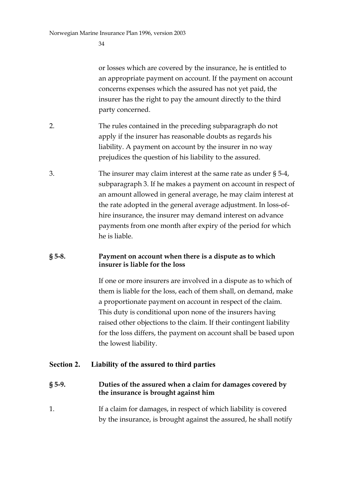or losses which are covered by the insurance, he is entitled to an appropriate payment on account. If the payment on account concerns expenses which the assured has not yet paid, the insurer has the right to pay the amount directly to the third party concerned.

- 2. The rules contained in the preceding subparagraph do not apply if the insurer has reasonable doubts as regards his liability. A payment on account by the insurer in no way prejudices the question of his liability to the assured.
- 3. The insurer may claim interest at the same rate as under § 5-4, subparagraph 3. If he makes a payment on account in respect of an amount allowed in general average, he may claim interest at the rate adopted in the general average adjustment. In loss-ofhire insurance, the insurer may demand interest on advance payments from one month after expiry of the period for which he is liable.

#### **§ 5-8. Payment on account when there is a dispute as to which insurer is liable for the loss**

If one or more insurers are involved in a dispute as to which of them is liable for the loss, each of them shall, on demand, make a proportionate payment on account in respect of the claim. This duty is conditional upon none of the insurers having raised other objections to the claim. If their contingent liability for the loss differs, the payment on account shall be based upon the lowest liability.

#### **Section 2. Liability of the assured to third parties**

#### **§ 5-9. Duties of the assured when a claim for damages covered by the insurance is brought against him**

1. If a claim for damages, in respect of which liability is covered by the insurance, is brought against the assured, he shall notify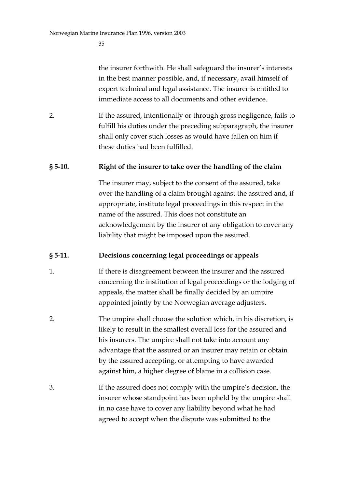the insurer forthwith. He shall safeguard the insurer's interests in the best manner possible, and, if necessary, avail himself of expert technical and legal assistance. The insurer is entitled to immediate access to all documents and other evidence.

2. If the assured, intentionally or through gross negligence, fails to fulfill his duties under the preceding subparagraph, the insurer shall only cover such losses as would have fallen on him if these duties had been fulfilled.

### **§ 5-10. Right of the insurer to take over the handling of the claim**

The insurer may, subject to the consent of the assured, take over the handling of a claim brought against the assured and, if appropriate, institute legal proceedings in this respect in the name of the assured. This does not constitute an acknowledgement by the insurer of any obligation to cover any liability that might be imposed upon the assured.

### **§ 5-11. Decisions concerning legal proceedings or appeals**

- 1. If there is disagreement between the insurer and the assured concerning the institution of legal proceedings or the lodging of appeals, the matter shall be finally decided by an umpire appointed jointly by the Norwegian average adjusters.
- 2. The umpire shall choose the solution which, in his discretion, is likely to result in the smallest overall loss for the assured and his insurers. The umpire shall not take into account any advantage that the assured or an insurer may retain or obtain by the assured accepting, or attempting to have awarded against him, a higher degree of blame in a collision case.
- 3. If the assured does not comply with the umpire's decision, the insurer whose standpoint has been upheld by the umpire shall in no case have to cover any liability beyond what he had agreed to accept when the dispute was submitted to the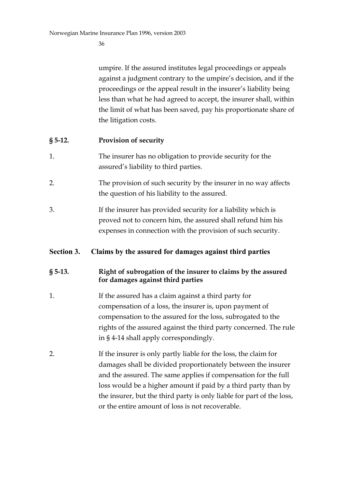umpire. If the assured institutes legal proceedings or appeals against a judgment contrary to the umpire's decision, and if the proceedings or the appeal result in the insurer's liability being less than what he had agreed to accept, the insurer shall, within the limit of what has been saved, pay his proportionate share of the litigation costs.

### **§ 5-12. Provision of security**

- 1. The insurer has no obligation to provide security for the assured's liability to third parties.
- 2. The provision of such security by the insurer in no way affects the question of his liability to the assured.
- 3. If the insurer has provided security for a liability which is proved not to concern him, the assured shall refund him his expenses in connection with the provision of such security.

### **Section 3. Claims by the assured for damages against third parties**

### **§ 5-13. Right of subrogation of the insurer to claims by the assured for damages against third parties**

- 1. If the assured has a claim against a third party for compensation of a loss, the insurer is, upon payment of compensation to the assured for the loss, subrogated to the rights of the assured against the third party concerned. The rule in § 4-14 shall apply correspondingly.
- 2. If the insurer is only partly liable for the loss, the claim for damages shall be divided proportionately between the insurer and the assured. The same applies if compensation for the full loss would be a higher amount if paid by a third party than by the insurer, but the third party is only liable for part of the loss, or the entire amount of loss is not recoverable.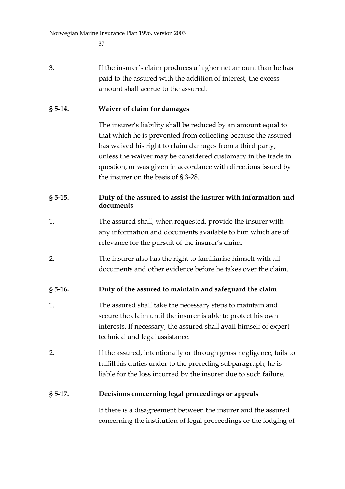3. If the insurer's claim produces a higher net amount than he has paid to the assured with the addition of interest, the excess amount shall accrue to the assured.

### **§ 5-14. Waiver of claim for damages**

The insurer's liability shall be reduced by an amount equal to that which he is prevented from collecting because the assured has waived his right to claim damages from a third party, unless the waiver may be considered customary in the trade in question, or was given in accordance with directions issued by the insurer on the basis of § 3-28.

### **§ 5-15. Duty of the assured to assist the insurer with information and documents**

- 1. The assured shall, when requested, provide the insurer with any information and documents available to him which are of relevance for the pursuit of the insurer's claim.
- 2. The insurer also has the right to familiarise himself with all documents and other evidence before he takes over the claim.

### **§ 5-16. Duty of the assured to maintain and safeguard the claim**

- 1. The assured shall take the necessary steps to maintain and secure the claim until the insurer is able to protect his own interests. If necessary, the assured shall avail himself of expert technical and legal assistance.
- 2. If the assured, intentionally or through gross negligence, fails to fulfill his duties under to the preceding subparagraph, he is liable for the loss incurred by the insurer due to such failure.

### **§ 5-17. Decisions concerning legal proceedings or appeals**

If there is a disagreement between the insurer and the assured concerning the institution of legal proceedings or the lodging of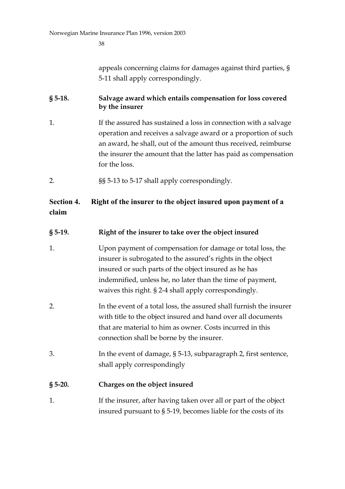appeals concerning claims for damages against third parties, § 5-11 shall apply correspondingly.

### **§ 5-18. Salvage award which entails compensation for loss covered by the insurer**

- 1. If the assured has sustained a loss in connection with a salvage operation and receives a salvage award or a proportion of such an award, he shall, out of the amount thus received, reimburse the insurer the amount that the latter has paid as compensation for the loss.
- 2. §§ 5-13 to 5-17 shall apply correspondingly.

### **Section 4. Right of the insurer to the object insured upon payment of a claim**

### **§ 5-19. Right of the insurer to take over the object insured**

- 1. Upon payment of compensation for damage or total loss, the insurer is subrogated to the assured's rights in the object insured or such parts of the object insured as he has indemnified, unless he, no later than the time of payment, waives this right. § 2-4 shall apply correspondingly.
- 2. In the event of a total loss, the assured shall furnish the insurer with title to the object insured and hand over all documents that are material to him as owner. Costs incurred in this connection shall be borne by the insurer.
- 3. In the event of damage, § 5-13, subparagraph 2, first sentence, shall apply correspondingly

### **§ 5-20. Charges on the object insured**

1. If the insurer, after having taken over all or part of the object insured pursuant to § 5-19, becomes liable for the costs of its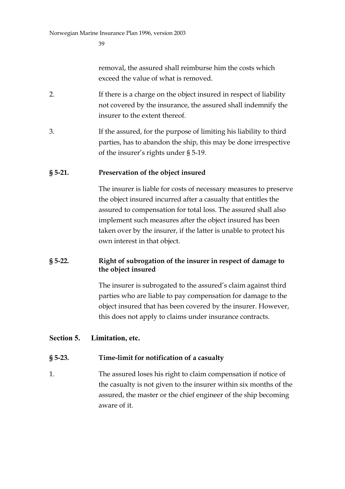removal, the assured shall reimburse him the costs which exceed the value of what is removed.

- 2. If there is a charge on the object insured in respect of liability not covered by the insurance, the assured shall indemnify the insurer to the extent thereof.
- 3. If the assured, for the purpose of limiting his liability to third parties, has to abandon the ship, this may be done irrespective of the insurer's rights under § 5-19.

### **§ 5-21. Preservation of the object insured**

The insurer is liable for costs of necessary measures to preserve the object insured incurred after a casualty that entitles the assured to compensation for total loss. The assured shall also implement such measures after the object insured has been taken over by the insurer, if the latter is unable to protect his own interest in that object.

#### **§ 5-22. Right of subrogation of the insurer in respect of damage to the object insured**

The insurer is subrogated to the assured's claim against third parties who are liable to pay compensation for damage to the object insured that has been covered by the insurer. However, this does not apply to claims under insurance contracts.

#### **Section 5. Limitation, etc.**

#### **§ 5-23. Time-limit for notification of a casualty**

1. The assured loses his right to claim compensation if notice of the casualty is not given to the insurer within six months of the assured, the master or the chief engineer of the ship becoming aware of it.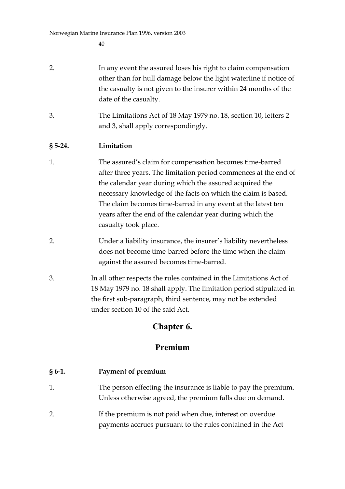- 2. In any event the assured loses his right to claim compensation other than for hull damage below the light waterline if notice of the casualty is not given to the insurer within 24 months of the date of the casualty.
- 3. The Limitations Act of 18 May 1979 no. 18, section 10, letters 2 and 3, shall apply correspondingly.

### **§ 5-24. Limitation**

- 1. The assured's claim for compensation becomes time-barred after three years. The limitation period commences at the end of the calendar year during which the assured acquired the necessary knowledge of the facts on which the claim is based. The claim becomes time-barred in any event at the latest ten years after the end of the calendar year during which the casualty took place.
- 2. Under a liability insurance, the insurer's liability nevertheless does not become time-barred before the time when the claim against the assured becomes time-barred.
- 3. In all other respects the rules contained in the Limitations Act of 18 May 1979 no. 18 shall apply. The limitation period stipulated in the first sub-paragraph, third sentence, may not be extended under section 10 of the said Act.

## **Chapter 6.**

## **Premium**

### **§ 6-1. Payment of premium**

- 1. The person effecting the insurance is liable to pay the premium. Unless otherwise agreed, the premium falls due on demand.
- 2. If the premium is not paid when due, interest on overdue payments accrues pursuant to the rules contained in the Act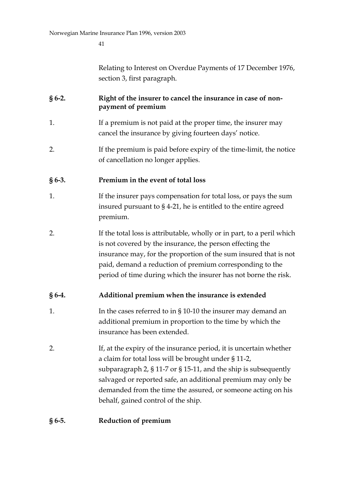Relating to Interest on Overdue Payments of 17 December 1976, section 3, first paragraph.

### **§ 6-2. Right of the insurer to cancel the insurance in case of nonpayment of premium**

- 1. If a premium is not paid at the proper time, the insurer may cancel the insurance by giving fourteen days' notice.
- 2. If the premium is paid before expiry of the time-limit, the notice of cancellation no longer applies.

### **§ 6-3. Premium in the event of total loss**

- 1. If the insurer pays compensation for total loss, or pays the sum insured pursuant to § 4-21, he is entitled to the entire agreed premium.
- 2. If the total loss is attributable, wholly or in part, to a peril which is not covered by the insurance, the person effecting the insurance may, for the proportion of the sum insured that is not paid, demand a reduction of premium corresponding to the period of time during which the insurer has not borne the risk.

### **§ 6-4. Additional premium when the insurance is extended**

- 1. In the cases referred to in § 10-10 the insurer may demand an additional premium in proportion to the time by which the insurance has been extended.
- 2. If, at the expiry of the insurance period, it is uncertain whether a claim for total loss will be brought under § 11-2, subparagraph 2, § 11-7 or § 15-11, and the ship is subsequently salvaged or reported safe, an additional premium may only be demanded from the time the assured, or someone acting on his behalf, gained control of the ship.

### **§ 6-5. Reduction of premium**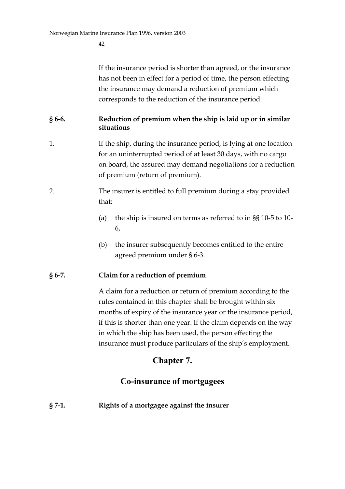If the insurance period is shorter than agreed, or the insurance has not been in effect for a period of time, the person effecting the insurance may demand a reduction of premium which corresponds to the reduction of the insurance period.

### **§ 6-6. Reduction of premium when the ship is laid up or in similar situations**

- 1. If the ship, during the insurance period, is lying at one location for an uninterrupted period of at least 30 days, with no cargo on board, the assured may demand negotiations for a reduction of premium (return of premium).
- 2. The insurer is entitled to full premium during a stay provided that:
	- (a) the ship is insured on terms as referred to in §§ 10-5 to 10- 6,
	- (b) the insurer subsequently becomes entitled to the entire agreed premium under § 6-3.

### **§ 6-7. Claim for a reduction of premium**

A claim for a reduction or return of premium according to the rules contained in this chapter shall be brought within six months of expiry of the insurance year or the insurance period, if this is shorter than one year. If the claim depends on the way in which the ship has been used, the person effecting the insurance must produce particulars of the ship's employment.

## **Chapter 7.**

## **Co-insurance of mortgagees**

**§ 7-1. Rights of a mortgagee against the insurer**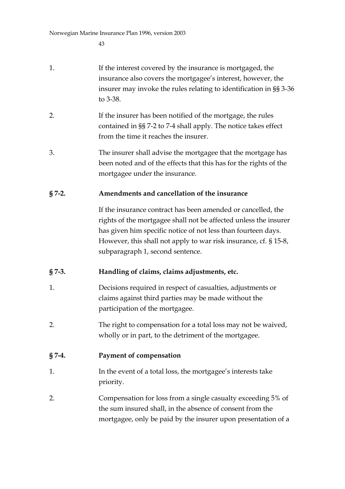- 1. If the interest covered by the insurance is mortgaged, the insurance also covers the mortgagee's interest, however, the insurer may invoke the rules relating to identification in §§ 3-36 to 3-38.
- 2. If the insurer has been notified of the mortgage, the rules contained in §§ 7-2 to 7-4 shall apply. The notice takes effect from the time it reaches the insurer.
- 3. The insurer shall advise the mortgagee that the mortgage has been noted and of the effects that this has for the rights of the mortgagee under the insurance.

### **§ 7-2. Amendments and cancellation of the insurance**

If the insurance contract has been amended or cancelled, the rights of the mortgagee shall not be affected unless the insurer has given him specific notice of not less than fourteen days. However, this shall not apply to war risk insurance, cf. § 15-8, subparagraph 1, second sentence.

### **§ 7-3. Handling of claims, claims adjustments, etc.**

- 1. Decisions required in respect of casualties, adjustments or claims against third parties may be made without the participation of the mortgagee.
- 2. The right to compensation for a total loss may not be waived, wholly or in part, to the detriment of the mortgagee.

### **§ 7-4. Payment of compensation**

- 1. In the event of a total loss, the mortgagee's interests take priority.
- 2. Compensation for loss from a single casualty exceeding 5% of the sum insured shall, in the absence of consent from the mortgagee, only be paid by the insurer upon presentation of a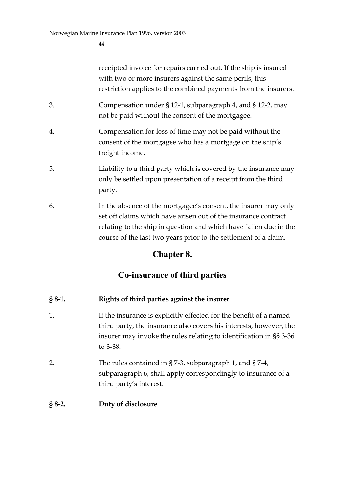receipted invoice for repairs carried out. If the ship is insured with two or more insurers against the same perils, this restriction applies to the combined payments from the insurers.

- 3. Compensation under § 12-1, subparagraph 4, and § 12-2, may not be paid without the consent of the mortgagee.
- 4. Compensation for loss of time may not be paid without the consent of the mortgagee who has a mortgage on the ship's freight income.
- 5. Liability to a third party which is covered by the insurance may only be settled upon presentation of a receipt from the third party.
- 6. In the absence of the mortgagee's consent, the insurer may only set off claims which have arisen out of the insurance contract relating to the ship in question and which have fallen due in the course of the last two years prior to the settlement of a claim.

## **Chapter 8.**

## **Co-insurance of third parties**

### **§ 8-1. Rights of third parties against the insurer**

- 1. If the insurance is explicitly effected for the benefit of a named third party, the insurance also covers his interests, however, the insurer may invoke the rules relating to identification in §§ 3-36 to 3-38.
- 2. The rules contained in § 7-3, subparagraph 1, and § 7-4, subparagraph 6, shall apply correspondingly to insurance of a third party's interest.

### **§ 8-2. Duty of disclosure**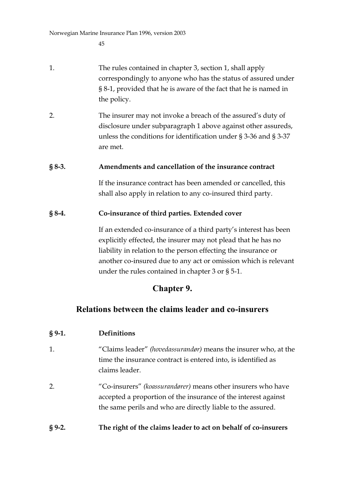- 1. The rules contained in chapter 3, section 1, shall apply correspondingly to anyone who has the status of assured under § 8-1, provided that he is aware of the fact that he is named in the policy.
- 2. The insurer may not invoke a breach of the assured's duty of disclosure under subparagraph 1 above against other assureds, unless the conditions for identification under § 3-36 and § 3-37 are met.

### **§ 8-3. Amendments and cancellation of the insurance contract**

If the insurance contract has been amended or cancelled, this shall also apply in relation to any co-insured third party.

### **§ 8-4. Co-insurance of third parties. Extended cover**

If an extended co-insurance of a third party's interest has been explicitly effected, the insurer may not plead that he has no liability in relation to the person effecting the insurance or another co-insured due to any act or omission which is relevant under the rules contained in chapter 3 or § 5-1.

## **Chapter 9.**

### **Relations between the claims leader and co-insurers**

### **§ 9-1. Definitions**

- 1. "Claims leader" *(hovedassurandør)* means the insurer who, at the time the insurance contract is entered into, is identified as claims leader.
- 2. "Co-insurers" *(koassurandører)* means other insurers who have accepted a proportion of the insurance of the interest against the same perils and who are directly liable to the assured.

### **§ 9-2. The right of the claims leader to act on behalf of co-insurers**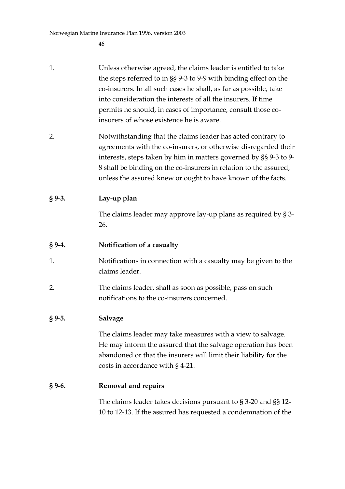- 1. Unless otherwise agreed, the claims leader is entitled to take the steps referred to in §§ 9-3 to 9-9 with binding effect on the co-insurers. In all such cases he shall, as far as possible, take into consideration the interests of all the insurers. If time permits he should, in cases of importance, consult those coinsurers of whose existence he is aware.
- 2. Notwithstanding that the claims leader has acted contrary to agreements with the co-insurers, or otherwise disregarded their interests, steps taken by him in matters governed by §§ 9-3 to 9- 8 shall be binding on the co-insurers in relation to the assured, unless the assured knew or ought to have known of the facts.

### **§ 9-3. Lay-up plan**

The claims leader may approve lay-up plans as required by § 3- 26.

### **§ 9-4. Notification of a casualty**

- 1. Notifications in connection with a casualty may be given to the claims leader.
- 2. The claims leader, shall as soon as possible, pass on such notifications to the co-insurers concerned.

### **§ 9-5. Salvage**

The claims leader may take measures with a view to salvage. He may inform the assured that the salvage operation has been abandoned or that the insurers will limit their liability for the costs in accordance with § 4-21.

### **§ 9-6. Removal and repairs**

The claims leader takes decisions pursuant to § 3-20 and §§ 12- 10 to 12-13. If the assured has requested a condemnation of the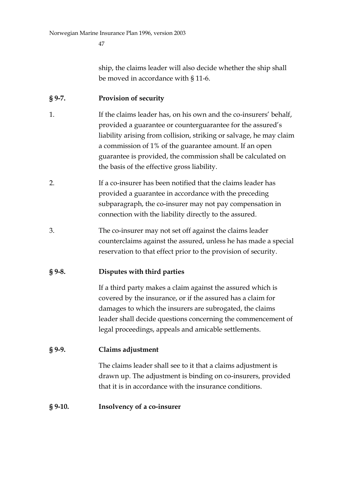ship, the claims leader will also decide whether the ship shall be moved in accordance with § 11-6.

### **§ 9-7. Provision of security**

- 1. If the claims leader has, on his own and the co-insurers' behalf, provided a guarantee or counterguarantee for the assured's liability arising from collision, striking or salvage, he may claim a commission of 1% of the guarantee amount. If an open guarantee is provided, the commission shall be calculated on the basis of the effective gross liability.
- 2. If a co-insurer has been notified that the claims leader has provided a guarantee in accordance with the preceding subparagraph, the co-insurer may not pay compensation in connection with the liability directly to the assured.
- 3. The co-insurer may not set off against the claims leader counterclaims against the assured, unless he has made a special reservation to that effect prior to the provision of security.

### **§ 9-8. Disputes with third parties**

If a third party makes a claim against the assured which is covered by the insurance, or if the assured has a claim for damages to which the insurers are subrogated, the claims leader shall decide questions concerning the commencement of legal proceedings, appeals and amicable settlements.

### **§ 9-9. Claims adjustment**

The claims leader shall see to it that a claims adjustment is drawn up. The adjustment is binding on co-insurers, provided that it is in accordance with the insurance conditions.

#### **§ 9-10. Insolvency of a co-insurer**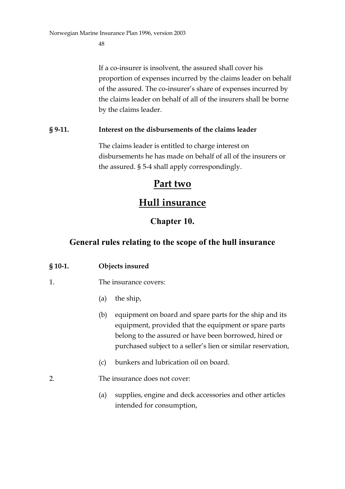If a co-insurer is insolvent, the assured shall cover his proportion of expenses incurred by the claims leader on behalf of the assured. The co-insurer's share of expenses incurred by the claims leader on behalf of all of the insurers shall be borne by the claims leader.

### **§ 9-11. Interest on the disbursements of the claims leader**

The claims leader is entitled to charge interest on disbursements he has made on behalf of all of the insurers or the assured. § 5-4 shall apply correspondingly.

# **Part two**

# **Hull insurance**

## **Chapter 10.**

## **General rules relating to the scope of the hull insurance**

### **§ 10-1. Objects insured**

### 1. The insurance covers:

- (a) the ship,
- (b) equipment on board and spare parts for the ship and its equipment, provided that the equipment or spare parts belong to the assured or have been borrowed, hired or purchased subject to a seller's lien or similar reservation,
- (c) bunkers and lubrication oil on board.
- 2. The insurance does not cover:
	- (a) supplies, engine and deck accessories and other articles intended for consumption,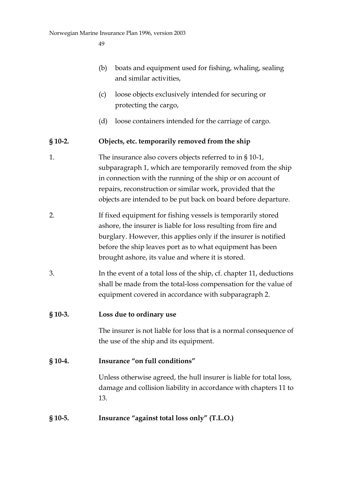- (b) boats and equipment used for fishing, whaling, sealing and similar activities,
- (c) loose objects exclusively intended for securing or protecting the cargo,
- (d) loose containers intended for the carriage of cargo.

### **§ 10-2. Objects, etc. temporarily removed from the ship**

- 1. The insurance also covers objects referred to in § 10-1, subparagraph 1, which are temporarily removed from the ship in connection with the running of the ship or on account of repairs, reconstruction or similar work, provided that the objects are intended to be put back on board before departure.
- 2. If fixed equipment for fishing vessels is temporarily stored ashore, the insurer is liable for loss resulting from fire and burglary. However, this applies only if the insurer is notified before the ship leaves port as to what equipment has been brought ashore, its value and where it is stored.
- 3. In the event of a total loss of the ship, cf. chapter 11, deductions shall be made from the total-loss compensation for the value of equipment covered in accordance with subparagraph 2.

### **§ 10-3. Loss due to ordinary use**

The insurer is not liable for loss that is a normal consequence of the use of the ship and its equipment.

### **§ 10-4. Insurance "on full conditions"**

Unless otherwise agreed, the hull insurer is liable for total loss, damage and collision liability in accordance with chapters 11 to 13.

### **§ 10-5. Insurance "against total loss only" (T.L.O.)**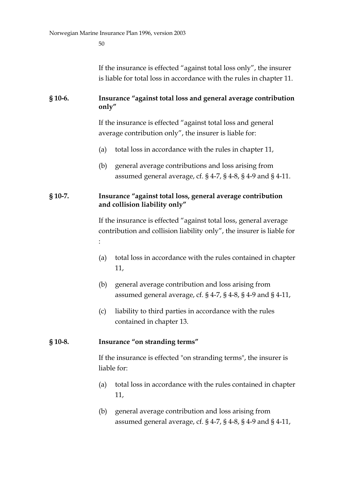If the insurance is effected "against total loss only", the insurer is liable for total loss in accordance with the rules in chapter 11.

#### **§ 10-6. Insurance "against total loss and general average contribution only"**

If the insurance is effected "against total loss and general average contribution only", the insurer is liable for:

- (a) total loss in accordance with the rules in chapter 11,
- (b) general average contributions and loss arising from assumed general average, cf. § 4-7, § 4-8, § 4-9 and § 4-11.

#### **§ 10-7. Insurance "against total loss, general average contribution and collision liability only"**

If the insurance is effected "against total loss, general average contribution and collision liability only", the insurer is liable for :

- (a) total loss in accordance with the rules contained in chapter 11,
- (b) general average contribution and loss arising from assumed general average, cf. § 4-7, § 4-8, § 4-9 and § 4-11,
- (c) liability to third parties in accordance with the rules contained in chapter 13.

### **§ 10-8. Insurance "on stranding terms"**

If the insurance is effected "on stranding terms", the insurer is liable for:

- (a) total loss in accordance with the rules contained in chapter 11,
- (b) general average contribution and loss arising from assumed general average, cf. § 4-7, § 4-8, § 4-9 and § 4-11,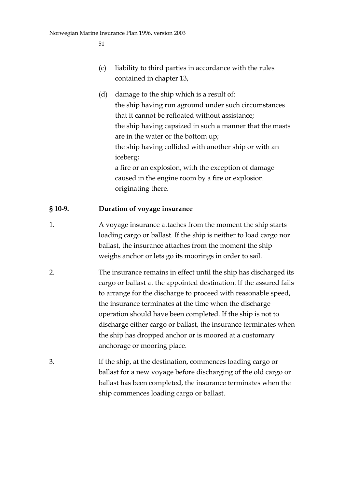- (c) liability to third parties in accordance with the rules contained in chapter 13,
- (d) damage to the ship which is a result of: the ship having run aground under such circumstances that it cannot be refloated without assistance; the ship having capsized in such a manner that the masts are in the water or the bottom up; the ship having collided with another ship or with an iceberg; a fire or an explosion, with the exception of damage caused in the engine room by a fire or explosion originating there.

### **§ 10-9. Duration of voyage insurance**

- 1. A voyage insurance attaches from the moment the ship starts loading cargo or ballast. If the ship is neither to load cargo nor ballast, the insurance attaches from the moment the ship weighs anchor or lets go its moorings in order to sail.
- 2. The insurance remains in effect until the ship has discharged its cargo or ballast at the appointed destination. If the assured fails to arrange for the discharge to proceed with reasonable speed, the insurance terminates at the time when the discharge operation should have been completed. If the ship is not to discharge either cargo or ballast, the insurance terminates when the ship has dropped anchor or is moored at a customary anchorage or mooring place.
- 3. If the ship, at the destination, commences loading cargo or ballast for a new voyage before discharging of the old cargo or ballast has been completed, the insurance terminates when the ship commences loading cargo or ballast.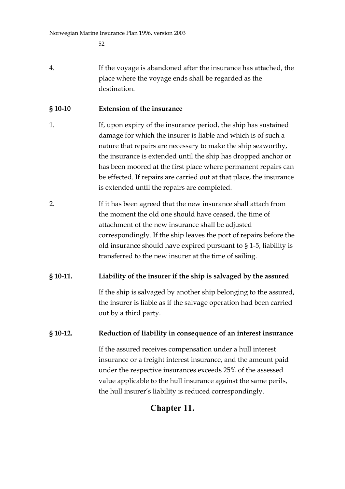4. If the voyage is abandoned after the insurance has attached, the place where the voyage ends shall be regarded as the destination.

### **§ 10-10 Extension of the insurance**

- 1. If, upon expiry of the insurance period, the ship has sustained damage for which the insurer is liable and which is of such a nature that repairs are necessary to make the ship seaworthy, the insurance is extended until the ship has dropped anchor or has been moored at the first place where permanent repairs can be effected. If repairs are carried out at that place, the insurance is extended until the repairs are completed.
- 2. If it has been agreed that the new insurance shall attach from the moment the old one should have ceased, the time of attachment of the new insurance shall be adjusted correspondingly. If the ship leaves the port of repairs before the old insurance should have expired pursuant to § 1-5, liability is transferred to the new insurer at the time of sailing.

### **§ 10-11. Liability of the insurer if the ship is salvaged by the assured**

If the ship is salvaged by another ship belonging to the assured, the insurer is liable as if the salvage operation had been carried out by a third party.

### **§ 10-12. Reduction of liability in consequence of an interest insurance**

If the assured receives compensation under a hull interest insurance or a freight interest insurance, and the amount paid under the respective insurances exceeds 25% of the assessed value applicable to the hull insurance against the same perils, the hull insurer's liability is reduced correspondingly.

### **Chapter 11.**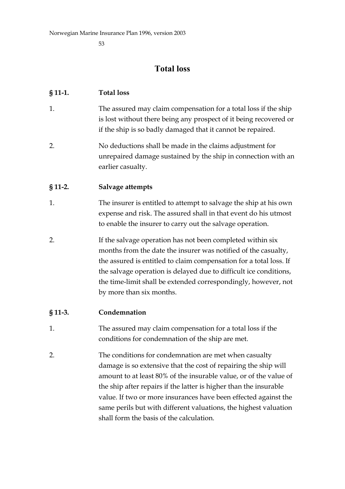### **Total loss**

#### **§ 11-1. Total loss**

- 1. The assured may claim compensation for a total loss if the ship is lost without there being any prospect of it being recovered or if the ship is so badly damaged that it cannot be repaired.
- 2. No deductions shall be made in the claims adjustment for unrepaired damage sustained by the ship in connection with an earlier casualty.

#### **§ 11-2. Salvage attempts**

- 1. The insurer is entitled to attempt to salvage the ship at his own expense and risk. The assured shall in that event do his utmost to enable the insurer to carry out the salvage operation.
- 2. If the salvage operation has not been completed within six months from the date the insurer was notified of the casualty, the assured is entitled to claim compensation for a total loss. If the salvage operation is delayed due to difficult ice conditions, the time-limit shall be extended correspondingly, however, not by more than six months.

#### **§ 11-3. Condemnation**

- 1. The assured may claim compensation for a total loss if the conditions for condemnation of the ship are met.
- 2. The conditions for condemnation are met when casualty damage is so extensive that the cost of repairing the ship will amount to at least 80% of the insurable value, or of the value of the ship after repairs if the latter is higher than the insurable value. If two or more insurances have been effected against the same perils but with different valuations, the highest valuation shall form the basis of the calculation.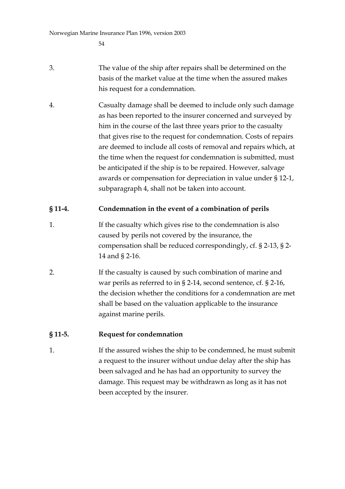- 3. The value of the ship after repairs shall be determined on the basis of the market value at the time when the assured makes his request for a condemnation.
- 4. Casualty damage shall be deemed to include only such damage as has been reported to the insurer concerned and surveyed by him in the course of the last three years prior to the casualty that gives rise to the request for condemnation. Costs of repairs are deemed to include all costs of removal and repairs which, at the time when the request for condemnation is submitted, must be anticipated if the ship is to be repaired. However, salvage awards or compensation for depreciation in value under § 12-1, subparagraph 4, shall not be taken into account.

### **§ 11-4. Condemnation in the event of a combination of perils**

- 1. If the casualty which gives rise to the condemnation is also caused by perils not covered by the insurance, the compensation shall be reduced correspondingly, cf. § 2-13, § 2- 14 and § 2-16.
- 2. If the casualty is caused by such combination of marine and war perils as referred to in § 2-14, second sentence, cf. § 2-16, the decision whether the conditions for a condemnation are met shall be based on the valuation applicable to the insurance against marine perils.

### **§ 11-5. Request for condemnation**

1. If the assured wishes the ship to be condemned, he must submit a request to the insurer without undue delay after the ship has been salvaged and he has had an opportunity to survey the damage. This request may be withdrawn as long as it has not been accepted by the insurer.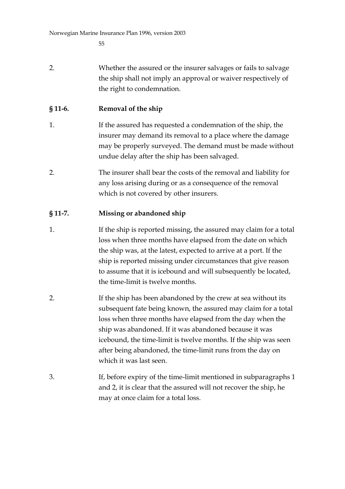2. Whether the assured or the insurer salvages or fails to salvage the ship shall not imply an approval or waiver respectively of the right to condemnation.

### **§ 11-6. Removal of the ship**

- 1. If the assured has requested a condemnation of the ship, the insurer may demand its removal to a place where the damage may be properly surveyed. The demand must be made without undue delay after the ship has been salvaged.
- 2. The insurer shall bear the costs of the removal and liability for any loss arising during or as a consequence of the removal which is not covered by other insurers.

### **§ 11-7. Missing or abandoned ship**

- 1. If the ship is reported missing, the assured may claim for a total loss when three months have elapsed from the date on which the ship was, at the latest, expected to arrive at a port. If the ship is reported missing under circumstances that give reason to assume that it is icebound and will subsequently be located, the time-limit is twelve months.
- 2. If the ship has been abandoned by the crew at sea without its subsequent fate being known, the assured may claim for a total loss when three months have elapsed from the day when the ship was abandoned. If it was abandoned because it was icebound, the time-limit is twelve months. If the ship was seen after being abandoned, the time-limit runs from the day on which it was last seen.
- 3. If, before expiry of the time-limit mentioned in subparagraphs 1 and 2, it is clear that the assured will not recover the ship, he may at once claim for a total loss.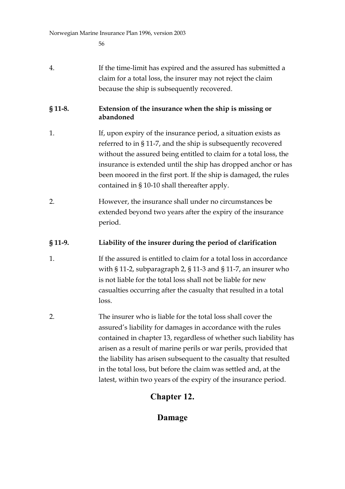| 4. | If the time-limit has expired and the assured has submitted a |
|----|---------------------------------------------------------------|
|    | claim for a total loss, the insurer may not reject the claim  |
|    | because the ship is subsequently recovered.                   |

### **§ 11-8. Extension of the insurance when the ship is missing or abandoned**

- 1. If, upon expiry of the insurance period, a situation exists as referred to in § 11-7, and the ship is subsequently recovered without the assured being entitled to claim for a total loss, the insurance is extended until the ship has dropped anchor or has been moored in the first port. If the ship is damaged, the rules contained in § 10-10 shall thereafter apply.
- 2. However, the insurance shall under no circumstances be extended beyond two years after the expiry of the insurance period.

### **§ 11-9. Liability of the insurer during the period of clarification**

- 1. If the assured is entitled to claim for a total loss in accordance with § 11-2, subparagraph 2, § 11-3 and § 11-7, an insurer who is not liable for the total loss shall not be liable for new casualties occurring after the casualty that resulted in a total loss.
- 2. The insurer who is liable for the total loss shall cover the assured's liability for damages in accordance with the rules contained in chapter 13, regardless of whether such liability has arisen as a result of marine perils or war perils, provided that the liability has arisen subsequent to the casualty that resulted in the total loss, but before the claim was settled and, at the latest, within two years of the expiry of the insurance period.

## **Chapter 12.**

## **Damage**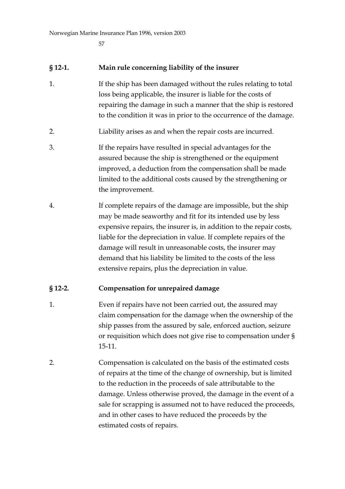#### **§ 12-1. Main rule concerning liability of the insurer**

- 1. If the ship has been damaged without the rules relating to total loss being applicable, the insurer is liable for the costs of repairing the damage in such a manner that the ship is restored to the condition it was in prior to the occurrence of the damage.
- 2. Liability arises as and when the repair costs are incurred.
- 3. If the repairs have resulted in special advantages for the assured because the ship is strengthened or the equipment improved, a deduction from the compensation shall be made limited to the additional costs caused by the strengthening or the improvement.
- 4. If complete repairs of the damage are impossible, but the ship may be made seaworthy and fit for its intended use by less expensive repairs, the insurer is, in addition to the repair costs, liable for the depreciation in value. If complete repairs of the damage will result in unreasonable costs, the insurer may demand that his liability be limited to the costs of the less extensive repairs, plus the depreciation in value.

### **§ 12-2. Compensation for unrepaired damage**

- 1. Even if repairs have not been carried out, the assured may claim compensation for the damage when the ownership of the ship passes from the assured by sale, enforced auction, seizure or requisition which does not give rise to compensation under § 15-11.
- 2. Compensation is calculated on the basis of the estimated costs of repairs at the time of the change of ownership, but is limited to the reduction in the proceeds of sale attributable to the damage. Unless otherwise proved, the damage in the event of a sale for scrapping is assumed not to have reduced the proceeds, and in other cases to have reduced the proceeds by the estimated costs of repairs.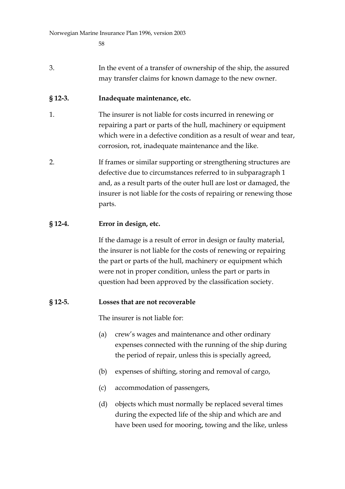3. In the event of a transfer of ownership of the ship, the assured may transfer claims for known damage to the new owner.

### **§ 12-3. Inadequate maintenance, etc.**

- 1. The insurer is not liable for costs incurred in renewing or repairing a part or parts of the hull, machinery or equipment which were in a defective condition as a result of wear and tear, corrosion, rot, inadequate maintenance and the like.
- 2. If frames or similar supporting or strengthening structures are defective due to circumstances referred to in subparagraph 1 and, as a result parts of the outer hull are lost or damaged, the insurer is not liable for the costs of repairing or renewing those parts.

### **§ 12-4. Error in design, etc.**

If the damage is a result of error in design or faulty material, the insurer is not liable for the costs of renewing or repairing the part or parts of the hull, machinery or equipment which were not in proper condition, unless the part or parts in question had been approved by the classification society.

### **§ 12-5. Losses that are not recoverable**

The insurer is not liable for:

- (a) crew's wages and maintenance and other ordinary expenses connected with the running of the ship during the period of repair, unless this is specially agreed,
- (b) expenses of shifting, storing and removal of cargo,
- (c) accommodation of passengers,
- (d) objects which must normally be replaced several times during the expected life of the ship and which are and have been used for mooring, towing and the like, unless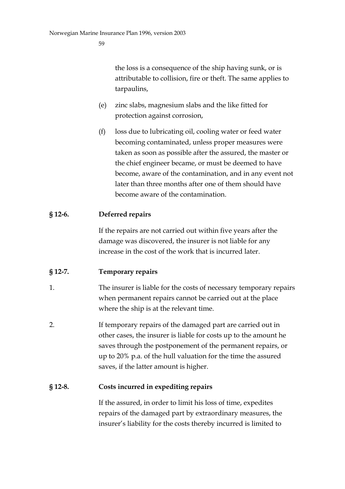the loss is a consequence of the ship having sunk, or is attributable to collision, fire or theft. The same applies to tarpaulins,

- (e) zinc slabs, magnesium slabs and the like fitted for protection against corrosion,
- (f) loss due to lubricating oil, cooling water or feed water becoming contaminated, unless proper measures were taken as soon as possible after the assured, the master or the chief engineer became, or must be deemed to have become, aware of the contamination, and in any event not later than three months after one of them should have become aware of the contamination.

### **§ 12-6. Deferred repairs**

If the repairs are not carried out within five years after the damage was discovered, the insurer is not liable for any increase in the cost of the work that is incurred later.

### **§ 12-7. Temporary repairs**

- 1. The insurer is liable for the costs of necessary temporary repairs when permanent repairs cannot be carried out at the place where the ship is at the relevant time.
- 2. If temporary repairs of the damaged part are carried out in other cases, the insurer is liable for costs up to the amount he saves through the postponement of the permanent repairs, or up to 20% p.a. of the hull valuation for the time the assured saves, if the latter amount is higher.

### **§ 12-8. Costs incurred in expediting repairs**

If the assured, in order to limit his loss of time, expedites repairs of the damaged part by extraordinary measures, the insurer's liability for the costs thereby incurred is limited to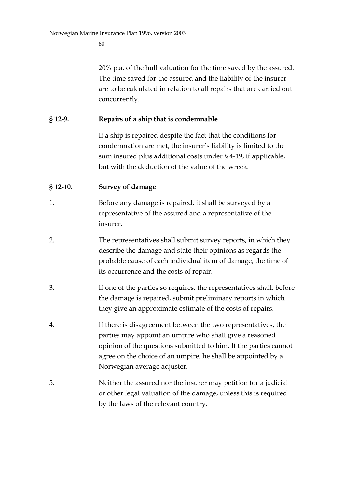20% p.a. of the hull valuation for the time saved by the assured. The time saved for the assured and the liability of the insurer are to be calculated in relation to all repairs that are carried out concurrently.

#### **§ 12-9. Repairs of a ship that is condemnable**

If a ship is repaired despite the fact that the conditions for condemnation are met, the insurer's liability is limited to the sum insured plus additional costs under § 4-19, if applicable, but with the deduction of the value of the wreck.

#### **§ 12-10. Survey of damage**

- 1. Before any damage is repaired, it shall be surveyed by a representative of the assured and a representative of the insurer.
- 2. The representatives shall submit survey reports, in which they describe the damage and state their opinions as regards the probable cause of each individual item of damage, the time of its occurrence and the costs of repair.
- 3. If one of the parties so requires, the representatives shall, before the damage is repaired, submit preliminary reports in which they give an approximate estimate of the costs of repairs.
- 4. If there is disagreement between the two representatives, the parties may appoint an umpire who shall give a reasoned opinion of the questions submitted to him. If the parties cannot agree on the choice of an umpire, he shall be appointed by a Norwegian average adjuster.
- 5. Neither the assured nor the insurer may petition for a judicial or other legal valuation of the damage, unless this is required by the laws of the relevant country.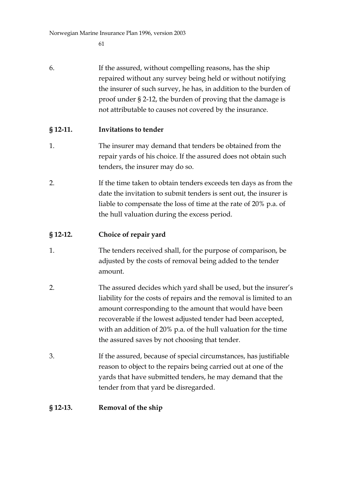6. If the assured, without compelling reasons, has the ship repaired without any survey being held or without notifying the insurer of such survey, he has, in addition to the burden of proof under § 2-12, the burden of proving that the damage is not attributable to causes not covered by the insurance.

### **§ 12-11. Invitations to tender**

- 1. The insurer may demand that tenders be obtained from the repair yards of his choice. If the assured does not obtain such tenders, the insurer may do so.
- 2. If the time taken to obtain tenders exceeds ten days as from the date the invitation to submit tenders is sent out, the insurer is liable to compensate the loss of time at the rate of 20% p.a. of the hull valuation during the excess period.

#### **§ 12-12. Choice of repair yard**

- 1. The tenders received shall, for the purpose of comparison, be adjusted by the costs of removal being added to the tender amount.
- 2. The assured decides which yard shall be used, but the insurer's liability for the costs of repairs and the removal is limited to an amount corresponding to the amount that would have been recoverable if the lowest adjusted tender had been accepted, with an addition of 20% p.a. of the hull valuation for the time the assured saves by not choosing that tender.
- 3. If the assured, because of special circumstances, has justifiable reason to object to the repairs being carried out at one of the yards that have submitted tenders, he may demand that the tender from that yard be disregarded.

### **§ 12-13. Removal of the ship**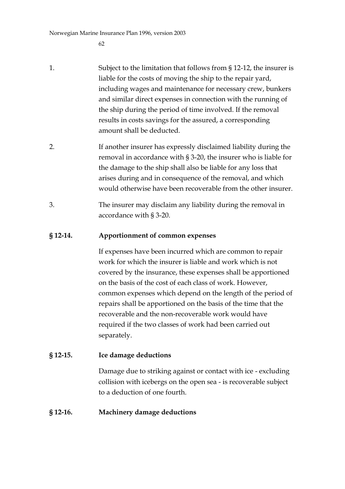Norwegian Marine Insurance Plan 1996, version 2003

62

- 1. Subject to the limitation that follows from § 12-12, the insurer is liable for the costs of moving the ship to the repair yard, including wages and maintenance for necessary crew, bunkers and similar direct expenses in connection with the running of the ship during the period of time involved. If the removal results in costs savings for the assured, a corresponding amount shall be deducted.
- 2. If another insurer has expressly disclaimed liability during the removal in accordance with § 3-20, the insurer who is liable for the damage to the ship shall also be liable for any loss that arises during and in consequence of the removal, and which would otherwise have been recoverable from the other insurer.
- 3. The insurer may disclaim any liability during the removal in accordance with § 3-20.

### **§ 12-14. Apportionment of common expenses**

If expenses have been incurred which are common to repair work for which the insurer is liable and work which is not covered by the insurance, these expenses shall be apportioned on the basis of the cost of each class of work. However, common expenses which depend on the length of the period of repairs shall be apportioned on the basis of the time that the recoverable and the non-recoverable work would have required if the two classes of work had been carried out separately.

### **§ 12-15. Ice damage deductions**

Damage due to striking against or contact with ice - excluding collision with icebergs on the open sea - is recoverable subject to a deduction of one fourth.

### **§ 12-16. Machinery damage deductions**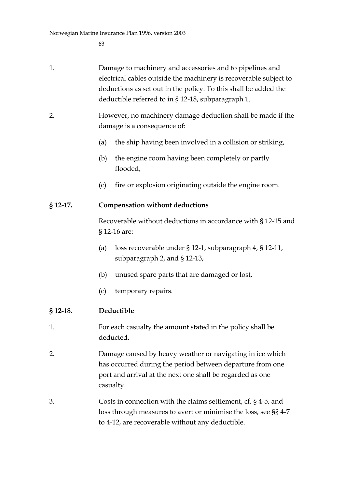| 1. | Damage to machinery and accessories and to pipelines and          |
|----|-------------------------------------------------------------------|
|    | electrical cables outside the machinery is recoverable subject to |
|    | deductions as set out in the policy. To this shall be added the   |
|    | deductible referred to in § 12-18, subparagraph 1.                |

- 2. However, no machinery damage deduction shall be made if the damage is a consequence of:
	- (a) the ship having been involved in a collision or striking,
	- (b) the engine room having been completely or partly flooded,
	- (c) fire or explosion originating outside the engine room.

### **§ 12-17. Compensation without deductions**

Recoverable without deductions in accordance with § 12-15 and § 12-16 are:

- (a) loss recoverable under § 12-1, subparagraph 4, § 12-11, subparagraph 2, and § 12-13,
- (b) unused spare parts that are damaged or lost,
- (c) temporary repairs.

### **§ 12-18. Deductible**

- 1. For each casualty the amount stated in the policy shall be deducted.
- 2. Damage caused by heavy weather or navigating in ice which has occurred during the period between departure from one port and arrival at the next one shall be regarded as one casualty.
- 3. Costs in connection with the claims settlement, cf. § 4-5, and loss through measures to avert or minimise the loss, see §§ 4-7 to 4-12, are recoverable without any deductible.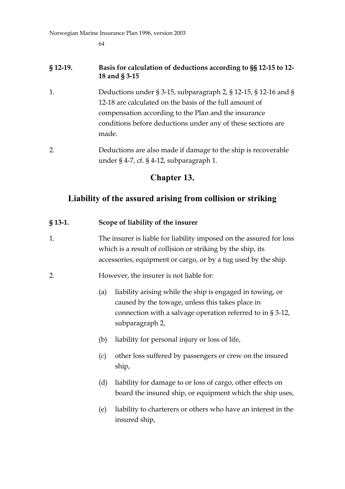Norwegian Marine Insurance Plan 1996, version 2003

64

### **§ 12-19. Basis for calculation of deductions according to §§ 12-15 to 12- 18 and § 3-15**

- 1. Deductions under § 3-15, subparagraph 2, § 12-15, § 12-16 and § 12-18 are calculated on the basis of the full amount of compensation according to the Plan and the insurance conditions before deductions under any of these sections are made.
- 2. Deductions are also made if damage to the ship is recoverable under § 4-7, cf. § 4-12, subparagraph 1.

### **Chapter 13.**

## **Liability of the assured arising from collision or striking**

### **§ 13-1. Scope of liability of the insurer**

- 1. The insurer is liable for liability imposed on the assured for loss which is a result of collision or striking by the ship, its accessories, equipment or cargo, or by a tug used by the ship.
- 2. However, the insurer is not liable for:
	- (a) liability arising while the ship is engaged in towing, or caused by the towage, unless this takes place in connection with a salvage operation referred to in § 3-12, subparagraph 2,
	- (b) liability for personal injury or loss of life,
	- (c) other loss suffered by passengers or crew on the insured ship,
	- (d) liability for damage to or loss of cargo, other effects on board the insured ship, or equipment which the ship uses,
	- (e) liability to charterers or others who have an interest in the insured ship,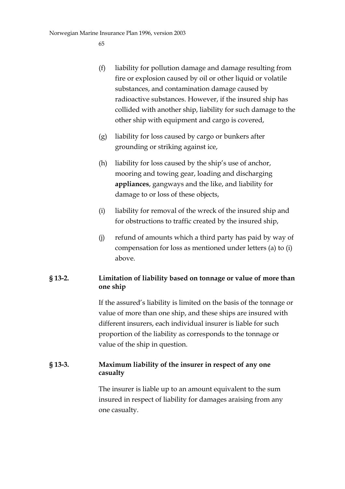- (f) liability for pollution damage and damage resulting from fire or explosion caused by oil or other liquid or volatile substances, and contamination damage caused by radioactive substances. However, if the insured ship has collided with another ship, liability for such damage to the other ship with equipment and cargo is covered,
- (g) liability for loss caused by cargo or bunkers after grounding or striking against ice,
- (h) liability for loss caused by the ship's use of anchor, mooring and towing gear, loading and discharging **appliances**, gangways and the like, and liability for damage to or loss of these objects,
- (i) liability for removal of the wreck of the insured ship and for obstructions to traffic created by the insured ship,
- (j) refund of amounts which a third party has paid by way of compensation for loss as mentioned under letters (a) to (i) above.

### **§ 13-2. Limitation of liability based on tonnage or value of more than one ship**

If the assured's liability is limited on the basis of the tonnage or value of more than one ship, and these ships are insured with different insurers, each individual insurer is liable for such proportion of the liability as corresponds to the tonnage or value of the ship in question.

### **§ 13-3. Maximum liability of the insurer in respect of any one casualty**

The insurer is liable up to an amount equivalent to the sum insured in respect of liability for damages araising from any one casualty.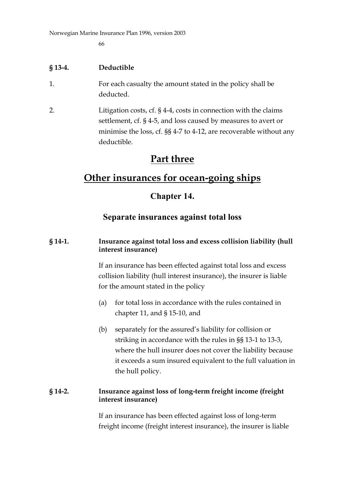### **§ 13-4. Deductible**

- 1. For each casualty the amount stated in the policy shall be deducted.
- 2. Litigation costs, cf. § 4-4, costs in connection with the claims settlement, cf. § 4-5, and loss caused by measures to avert or minimise the loss, cf. §§ 4-7 to 4-12, are recoverable without any deductible.

## **Part three**

## **Other insurances for ocean-going ships**

### **Chapter 14.**

### **Separate insurances against total loss**

#### **§ 14-1. Insurance against total loss and excess collision liability (hull interest insurance)**

If an insurance has been effected against total loss and excess collision liability (hull interest insurance), the insurer is liable for the amount stated in the policy

- (a) for total loss in accordance with the rules contained in chapter 11, and § 15-10, and
- (b) separately for the assured's liability for collision or striking in accordance with the rules in §§ 13-1 to 13-3, where the hull insurer does not cover the liability because it exceeds a sum insured equivalent to the full valuation in the hull policy.

#### **§ 14-2. Insurance against loss of long-term freight income (freight interest insurance)**

If an insurance has been effected against loss of long-term freight income (freight interest insurance), the insurer is liable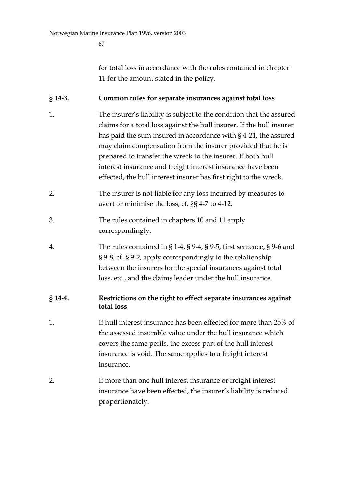for total loss in accordance with the rules contained in chapter 11 for the amount stated in the policy.

### **§ 14-3. Common rules for separate insurances against total loss**

- 1. The insurer's liability is subject to the condition that the assured claims for a total loss against the hull insurer. If the hull insurer has paid the sum insured in accordance with § 4-21, the assured may claim compensation from the insurer provided that he is prepared to transfer the wreck to the insurer. If both hull interest insurance and freight interest insurance have been effected, the hull interest insurer has first right to the wreck.
- 2. The insurer is not liable for any loss incurred by measures to avert or minimise the loss, cf. §§ 4-7 to 4-12.
- 3. The rules contained in chapters 10 and 11 apply correspondingly.
- 4. The rules contained in § 1-4, § 9-4, § 9-5, first sentence, § 9-6 and § 9-8, cf. § 9-2, apply correspondingly to the relationship between the insurers for the special insurances against total loss, etc., and the claims leader under the hull insurance.

### **§ 14-4. Restrictions on the right to effect separate insurances against total loss**

- 1. If hull interest insurance has been effected for more than 25% of the assessed insurable value under the hull insurance which covers the same perils, the excess part of the hull interest insurance is void. The same applies to a freight interest insurance.
- 2. If more than one hull interest insurance or freight interest insurance have been effected, the insurer's liability is reduced proportionately.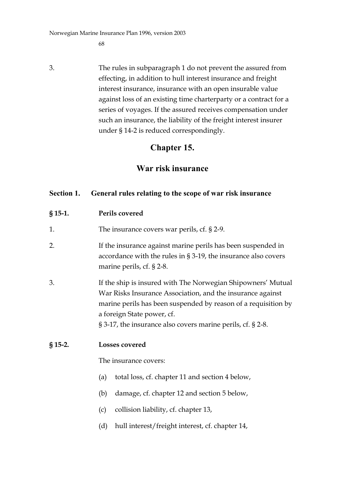Norwegian Marine Insurance Plan 1996, version 2003

68

3. The rules in subparagraph 1 do not prevent the assured from effecting, in addition to hull interest insurance and freight interest insurance, insurance with an open insurable value against loss of an existing time charterparty or a contract for a series of voyages. If the assured receives compensation under such an insurance, the liability of the freight interest insurer under § 14-2 is reduced correspondingly.

### **Chapter 15.**

## **War risk insurance**

### **Section 1. General rules relating to the scope of war risk insurance**

### **§ 15-1. Perils covered**

- 1. The insurance covers war perils, cf. § 2-9.
- 2. If the insurance against marine perils has been suspended in accordance with the rules in § 3-19, the insurance also covers marine perils, cf. § 2-8.
- 3. If the ship is insured with The Norwegian Shipowners' Mutual War Risks Insurance Association, and the insurance against marine perils has been suspended by reason of a requisition by a foreign State power, cf. § 3-17, the insurance also covers marine perils, cf. § 2-8.

#### **§ 15-2. Losses covered**

The insurance covers:

- (a) total loss, cf. chapter 11 and section 4 below,
- (b) damage, cf. chapter 12 and section 5 below,
- (c) collision liability, cf. chapter 13,
- (d) hull interest/freight interest, cf. chapter 14,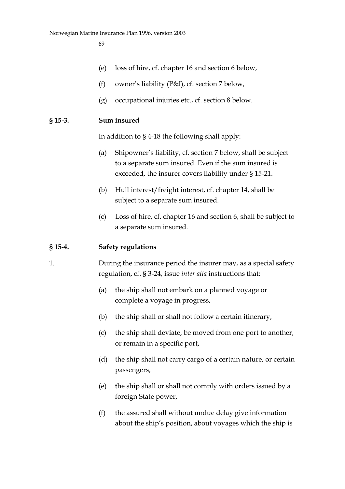- (e) loss of hire, cf. chapter 16 and section 6 below,
- (f) owner's liability (P&I), cf. section 7 below,
- (g) occupational injuries etc., cf. section 8 below.

#### **§ 15-3. Sum insured**

In addition to § 4-18 the following shall apply:

- (a) Shipowner's liability, cf. section 7 below, shall be subject to a separate sum insured. Even if the sum insured is exceeded, the insurer covers liability under § 15-21.
- (b) Hull interest/freight interest, cf. chapter 14, shall be subject to a separate sum insured.
- (c) Loss of hire, cf. chapter 16 and section 6, shall be subject to a separate sum insured.

#### **§ 15-4. Safety regulations**

- 1. During the insurance period the insurer may, as a special safety regulation, cf. § 3-24, issue *inter alia* instructions that:
	- (a) the ship shall not embark on a planned voyage or complete a voyage in progress,
	- (b) the ship shall or shall not follow a certain itinerary,
	- (c) the ship shall deviate, be moved from one port to another, or remain in a specific port,
	- (d) the ship shall not carry cargo of a certain nature, or certain passengers,
	- (e) the ship shall or shall not comply with orders issued by a foreign State power,
	- (f) the assured shall without undue delay give information about the ship's position, about voyages which the ship is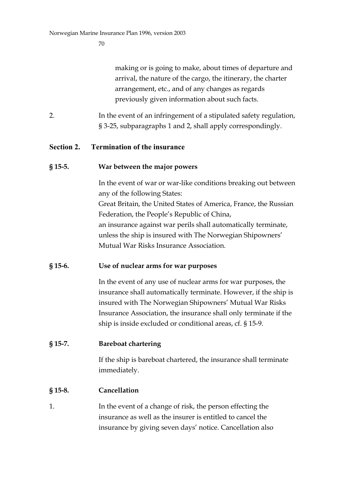making or is going to make, about times of departure and arrival, the nature of the cargo, the itinerary, the charter arrangement, etc., and of any changes as regards previously given information about such facts.

2. In the event of an infringement of a stipulated safety regulation, § 3-25, subparagraphs 1 and 2, shall apply correspondingly.

### **Section 2. Termination of the insurance**

#### **§ 15-5. War between the major powers**

In the event of war or war-like conditions breaking out between any of the following States: Great Britain, the United States of America, France, the Russian Federation, the People's Republic of China, an insurance against war perils shall automatically terminate, unless the ship is insured with The Norwegian Shipowners' Mutual War Risks Insurance Association.

### **§ 15-6. Use of nuclear arms for war purposes**

In the event of any use of nuclear arms for war purposes, the insurance shall automatically terminate. However, if the ship is insured with The Norwegian Shipowners' Mutual War Risks Insurance Association, the insurance shall only terminate if the ship is inside excluded or conditional areas, cf. § 15-9.

### **§ 15-7. Bareboat chartering**

If the ship is bareboat chartered, the insurance shall terminate immediately.

### **§ 15-8. Cancellation**

1. In the event of a change of risk, the person effecting the insurance as well as the insurer is entitled to cancel the insurance by giving seven days' notice. Cancellation also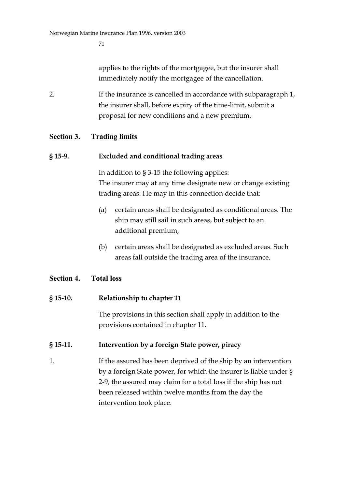applies to the rights of the mortgagee, but the insurer shall immediately notify the mortgagee of the cancellation.

2. If the insurance is cancelled in accordance with subparagraph 1, the insurer shall, before expiry of the time-limit, submit a proposal for new conditions and a new premium.

#### **Section 3. Trading limits**

#### **§ 15-9. Excluded and conditional trading areas**

In addition to § 3-15 the following applies: The insurer may at any time designate new or change existing trading areas. He may in this connection decide that:

- (a) certain areas shall be designated as conditional areas. The ship may still sail in such areas, but subject to an additional premium,
- (b) certain areas shall be designated as excluded areas. Such areas fall outside the trading area of the insurance.

#### **Section 4. Total loss**

#### **§ 15-10. Relationship to chapter 11**

The provisions in this section shall apply in addition to the provisions contained in chapter 11.

#### **§ 15-11. Intervention by a foreign State power, piracy**

1. If the assured has been deprived of the ship by an intervention by a foreign State power, for which the insurer is liable under § 2-9, the assured may claim for a total loss if the ship has not been released within twelve months from the day the intervention took place.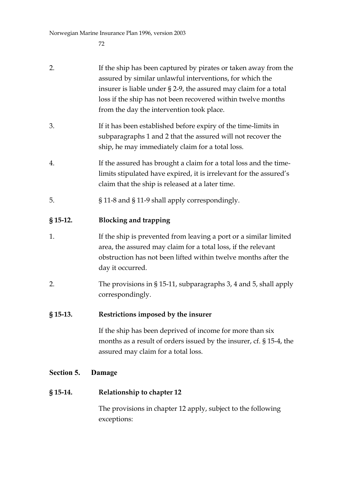| 2.<br>$§$ 15-13. | The provisions in § 15-11, subparagraphs 3, 4 and 5, shall apply<br>correspondingly.<br>Restrictions imposed by the insurer<br>If the ship has been deprived of income for more than six<br>months as a result of orders issued by the insurer, cf. § 15-4, the                                              |
|------------------|--------------------------------------------------------------------------------------------------------------------------------------------------------------------------------------------------------------------------------------------------------------------------------------------------------------|
| 1.               | If the ship is prevented from leaving a port or a similar limited<br>area, the assured may claim for a total loss, if the relevant<br>obstruction has not been lifted within twelve months after the<br>day it occurred.                                                                                     |
| $§$ 15-12.       | <b>Blocking and trapping</b>                                                                                                                                                                                                                                                                                 |
| 5.               | § 11-8 and § 11-9 shall apply correspondingly.                                                                                                                                                                                                                                                               |
| 4.               | If the assured has brought a claim for a total loss and the time-<br>limits stipulated have expired, it is irrelevant for the assured's<br>claim that the ship is released at a later time.                                                                                                                  |
| 3.               | If it has been established before expiry of the time-limits in<br>subparagraphs 1 and 2 that the assured will not recover the<br>ship, he may immediately claim for a total loss.                                                                                                                            |
| 2.               | If the ship has been captured by pirates or taken away from the<br>assured by similar unlawful interventions, for which the<br>insurer is liable under § 2-9, the assured may claim for a total<br>loss if the ship has not been recovered within twelve months<br>from the day the intervention took place. |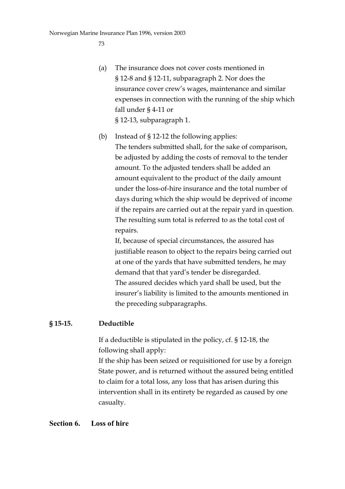- (a) The insurance does not cover costs mentioned in § 12-8 and § 12-11, subparagraph 2. Nor does the insurance cover crew's wages, maintenance and similar expenses in connection with the running of the ship which fall under § 4-11 or § 12-13, subparagraph 1.
- (b) Instead of § 12-12 the following applies: The tenders submitted shall, for the sake of comparison, be adjusted by adding the costs of removal to the tender amount. To the adjusted tenders shall be added an amount equivalent to the product of the daily amount under the loss-of-hire insurance and the total number of days during which the ship would be deprived of income if the repairs are carried out at the repair yard in question. The resulting sum total is referred to as the total cost of repairs.

If, because of special circumstances, the assured has justifiable reason to object to the repairs being carried out at one of the yards that have submitted tenders, he may demand that that yard's tender be disregarded. The assured decides which yard shall be used, but the insurer's liability is limited to the amounts mentioned in the preceding subparagraphs.

#### **§ 15-15. Deductible**

If a deductible is stipulated in the policy, cf. § 12-18, the following shall apply:

If the ship has been seized or requisitioned for use by a foreign State power, and is returned without the assured being entitled to claim for a total loss, any loss that has arisen during this intervention shall in its entirety be regarded as caused by one casualty.

#### **Section 6. Loss of hire**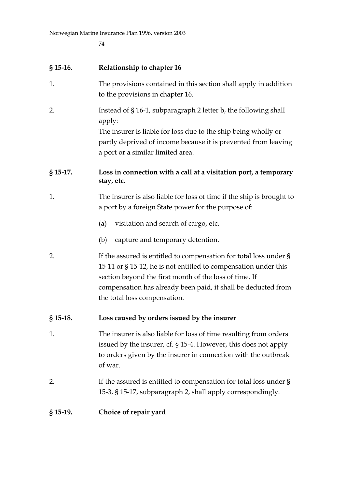# **§ 15-16. Relationship to chapter 16**

- 1. The provisions contained in this section shall apply in addition to the provisions in chapter 16.
- 2. Instead of § 16-1, subparagraph 2 letter b, the following shall apply: The insurer is liable for loss due to the ship being wholly or

partly deprived of income because it is prevented from leaving a port or a similar limited area.

# **§ 15-17. Loss in connection with a call at a visitation port, a temporary stay, etc.**

- 1. The insurer is also liable for loss of time if the ship is brought to a port by a foreign State power for the purpose of:
	- (a) visitation and search of cargo, etc.
	- (b) capture and temporary detention.
- 2. If the assured is entitled to compensation for total loss under § 15-11 or § 15-12, he is not entitled to compensation under this section beyond the first month of the loss of time. If compensation has already been paid, it shall be deducted from the total loss compensation.

# **§ 15-18. Loss caused by orders issued by the insurer**

- 1. The insurer is also liable for loss of time resulting from orders issued by the insurer, cf. § 15-4. However, this does not apply to orders given by the insurer in connection with the outbreak of war.
- 2. If the assured is entitled to compensation for total loss under § 15-3, § 15-17, subparagraph 2, shall apply correspondingly.

#### **§ 15-19. Choice of repair yard**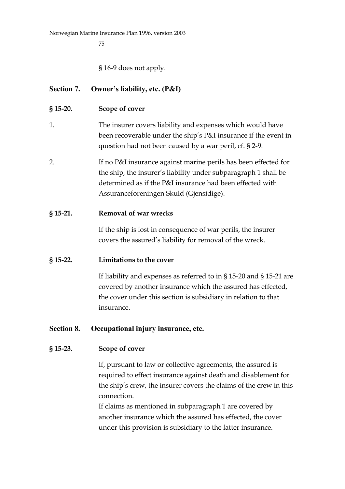§ 16-9 does not apply.

# **Section 7. Owner's liability, etc. (P&I)**

#### **§ 15-20. Scope of cover**

- 1. The insurer covers liability and expenses which would have been recoverable under the ship's P&I insurance if the event in question had not been caused by a war peril, cf. § 2-9.
- 2. If no P&I insurance against marine perils has been effected for the ship, the insurer's liability under subparagraph 1 shall be determined as if the P&I insurance had been effected with Assuranceforeningen Skuld (Gjensidige).

#### **§ 15-21. Removal of war wrecks**

If the ship is lost in consequence of war perils, the insurer covers the assured's liability for removal of the wreck.

#### **§ 15-22. Limitations to the cover**

If liability and expenses as referred to in § 15-20 and § 15-21 are covered by another insurance which the assured has effected, the cover under this section is subsidiary in relation to that insurance.

#### **Section 8. Occupational injury insurance, etc.**

#### **§ 15-23. Scope of cover**

If, pursuant to law or collective agreements, the assured is required to effect insurance against death and disablement for the ship's crew, the insurer covers the claims of the crew in this connection.

If claims as mentioned in subparagraph 1 are covered by another insurance which the assured has effected, the cover under this provision is subsidiary to the latter insurance.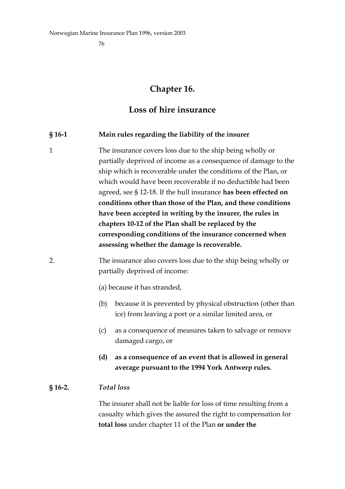# **Chapter 16.**

# **Loss of hire insurance**

#### **§ 16-1 Main rules regarding the liability of the insurer**

1 The insurance covers loss due to the ship being wholly or partially deprived of income as a consequence of damage to the ship which is recoverable under the conditions of the Plan, or which would have been recoverable if no deductible had been agreed, see § 12-18. If the hull insurance **has been effected on conditions other than those of the Plan, and these conditions have been accepted in writing by the insurer, the rules in chapters 10-12 of the Plan shall be replaced by the corresponding conditions of the insurance concerned when assessing whether the damage is recoverable.**

# 2. The insurance also covers loss due to the ship being wholly or partially deprived of income:

- (a) because it has stranded,
- (b) because it is prevented by physical obstruction (other than ice) from leaving a port or a similar limited area, or
- (c) as a consequence of measures taken to salvage or remove damaged cargo, or
- **(d) as a consequence of an event that is allowed in general average pursuant to the 1994 York Antwerp rules.**

#### **§ 16-2.** *Total loss*

The insurer shall not be liable for loss of time resulting from a casualty which gives the assured the right to compensation for **total loss** under chapter 11 of the Plan **or under the**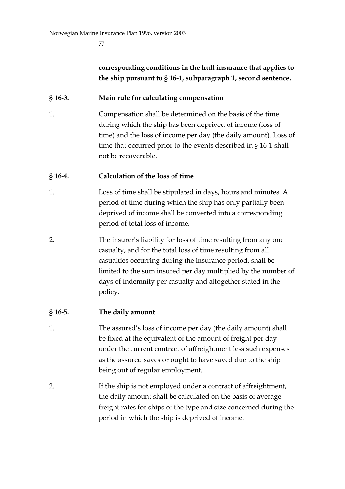# **corresponding conditions in the hull insurance that applies to the ship pursuant to § 16-1, subparagraph 1, second sentence.**

### **§ 16-3. Main rule for calculating compensation**

1. Compensation shall be determined on the basis of the time during which the ship has been deprived of income (loss of time) and the loss of income per day (the daily amount). Loss of time that occurred prior to the events described in § 16-1 shall not be recoverable.

### **§ 16-4. Calculation of the loss of time**

- 1. Loss of time shall be stipulated in days, hours and minutes. A period of time during which the ship has only partially been deprived of income shall be converted into a corresponding period of total loss of income.
- 2. The insurer's liability for loss of time resulting from any one casualty, and for the total loss of time resulting from all casualties occurring during the insurance period, shall be limited to the sum insured per day multiplied by the number of days of indemnity per casualty and altogether stated in the policy.

# **§ 16-5. The daily amount**

- 1. The assured's loss of income per day (the daily amount) shall be fixed at the equivalent of the amount of freight per day under the current contract of affreightment less such expenses as the assured saves or ought to have saved due to the ship being out of regular employment.
- 2. If the ship is not employed under a contract of affreightment, the daily amount shall be calculated on the basis of average freight rates for ships of the type and size concerned during the period in which the ship is deprived of income.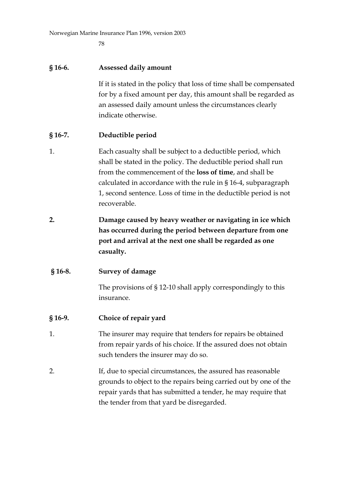78

#### **§ 16-6. Assessed daily amount**

If it is stated in the policy that loss of time shall be compensated for by a fixed amount per day, this amount shall be regarded as an assessed daily amount unless the circumstances clearly indicate otherwise.

#### **§ 16-7. Deductible period**

- 1. Each casualty shall be subject to a deductible period, which shall be stated in the policy. The deductible period shall run from the commencement of the **loss of time**, and shall be calculated in accordance with the rule in § 16-4, subparagraph 1, second sentence. Loss of time in the deductible period is not recoverable.
- **2. Damage caused by heavy weather or navigating in ice which has occurred during the period between departure from one port and arrival at the next one shall be regarded as one casualty.**

#### **§ 16-8. Survey of damage**

The provisions of § 12-10 shall apply correspondingly to this insurance.

#### **§ 16-9. Choice of repair yard**

- 1. The insurer may require that tenders for repairs be obtained from repair yards of his choice. If the assured does not obtain such tenders the insurer may do so.
- 2. If, due to special circumstances, the assured has reasonable grounds to object to the repairs being carried out by one of the repair yards that has submitted a tender, he may require that the tender from that yard be disregarded.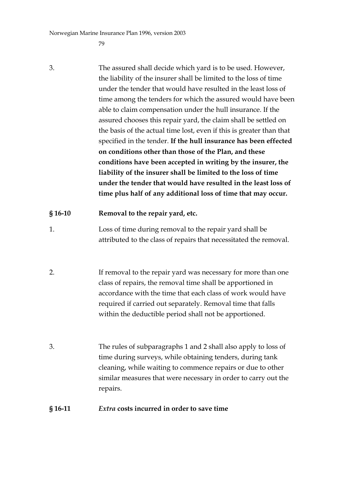79

3. The assured shall decide which yard is to be used. However, the liability of the insurer shall be limited to the loss of time under the tender that would have resulted in the least loss of time among the tenders for which the assured would have been able to claim compensation under the hull insurance. If the assured chooses this repair yard, the claim shall be settled on the basis of the actual time lost, even if this is greater than that specified in the tender. **If the hull insurance has been effected on conditions other than those of the Plan, and these conditions have been accepted in writing by the insurer, the liability of the insurer shall be limited to the loss of time under the tender that would have resulted in the least loss of time plus half of any additional loss of time that may occur.**

#### **§ 16-10 Removal to the repair yard, etc.**

- 1. Loss of time during removal to the repair yard shall be attributed to the class of repairs that necessitated the removal.
- 2. If removal to the repair yard was necessary for more than one class of repairs, the removal time shall be apportioned in accordance with the time that each class of work would have required if carried out separately. Removal time that falls within the deductible period shall not be apportioned.
- 3. The rules of subparagraphs 1 and 2 shall also apply to loss of time during surveys, while obtaining tenders, during tank cleaning, while waiting to commence repairs or due to other similar measures that were necessary in order to carry out the repairs.

#### **§ 16-11** *Extra* **costs incurred in order to save time**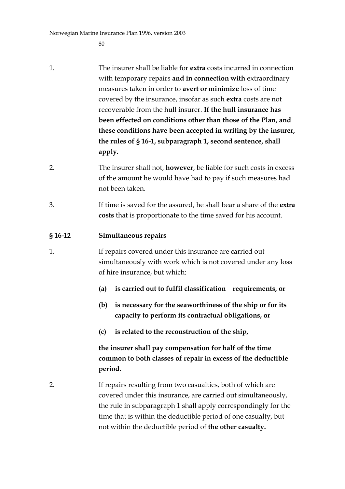$80$ 

- 1. The insurer shall be liable for **extra** costs incurred in connection with temporary repairs **and in connection with** extraordinary measures taken in order to **avert or minimize** loss of time covered by the insurance, insofar as such **extra** costs are not recoverable from the hull insurer. **If the hull insurance has been effected on conditions other than those of the Plan, and these conditions have been accepted in writing by the insurer, the rules of § 16-1, subparagraph 1, second sentence, shall apply.**
- 2. The insurer shall not, **however**, be liable for such costs in excess of the amount he would have had to pay if such measures had not been taken.
- 3. If time is saved for the assured, he shall bear a share of the **extra costs** that is proportionate to the time saved for his account.

#### **§ 16-12 Simultaneous repairs**

- 1. If repairs covered under this insurance are carried out simultaneously with work which is not covered under any loss of hire insurance, but which:
	- **(a) is carried out to fulfil classification requirements, or**
	- **(b) is necessary for the seaworthiness of the ship or for its capacity to perform its contractual obligations, or**
	- **(c) is related to the reconstruction of the ship,**

**the insurer shall pay compensation for half of the time common to both classes of repair in excess of the deductible period.**

2. If repairs resulting from two casualties, both of which are covered under this insurance, are carried out simultaneously, the rule in subparagraph 1 shall apply correspondingly for the time that is within the deductible period of one casualty, but not within the deductible period of **the other casualty.**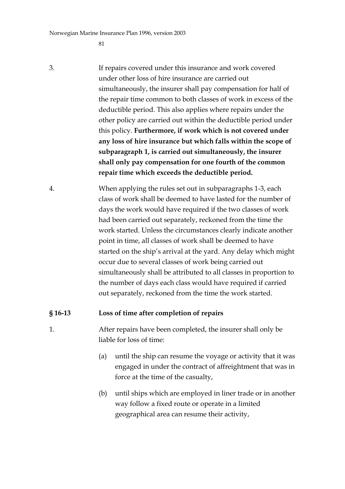81

- 3. If repairs covered under this insurance and work covered under other loss of hire insurance are carried out simultaneously, the insurer shall pay compensation for half of the repair time common to both classes of work in excess of the deductible period. This also applies where repairs under the other policy are carried out within the deductible period under this policy. **Furthermore, if work which is not covered under any loss of hire insurance but which falls within the scope of subparagraph 1, is carried out simultaneously, the insurer shall only pay compensation for one fourth of the common repair time which exceeds the deductible period.**
- 4. When applying the rules set out in subparagraphs 1-3, each class of work shall be deemed to have lasted for the number of days the work would have required if the two classes of work had been carried out separately, reckoned from the time the work started. Unless the circumstances clearly indicate another point in time, all classes of work shall be deemed to have started on the ship's arrival at the yard. Any delay which might occur due to several classes of work being carried out simultaneously shall be attributed to all classes in proportion to the number of days each class would have required if carried out separately, reckoned from the time the work started.

#### **§ 16-13 Loss of time after completion of repairs**

1. After repairs have been completed, the insurer shall only be liable for loss of time:

- (a) until the ship can resume the voyage or activity that it was engaged in under the contract of affreightment that was in force at the time of the casualty,
- (b) until ships which are employed in liner trade or in another way follow a fixed route or operate in a limited geographical area can resume their activity,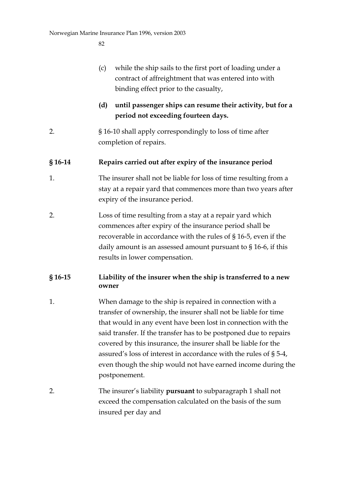- (c) while the ship sails to the first port of loading under a contract of affreightment that was entered into with binding effect prior to the casualty,
- **(d) until passenger ships can resume their activity, but for a period not exceeding fourteen days.**
- 2. § 16-10 shall apply correspondingly to loss of time after completion of repairs.

#### **§ 16-14 Repairs carried out after expiry of the insurance period**

- 1. The insurer shall not be liable for loss of time resulting from a stay at a repair yard that commences more than two years after expiry of the insurance period.
- 2. Loss of time resulting from a stay at a repair yard which commences after expiry of the insurance period shall be recoverable in accordance with the rules of § 16-5, even if the daily amount is an assessed amount pursuant to § 16-6, if this results in lower compensation.

# **§ 16-15 Liability of the insurer when the ship is transferred to a new owner**

- 1. When damage to the ship is repaired in connection with a transfer of ownership, the insurer shall not be liable for time that would in any event have been lost in connection with the said transfer. If the transfer has to be postponed due to repairs covered by this insurance, the insurer shall be liable for the assured's loss of interest in accordance with the rules of § 5-4, even though the ship would not have earned income during the postponement.
- 2. The insurer's liability **pursuant** to subparagraph 1 shall not exceed the compensation calculated on the basis of the sum insured per day and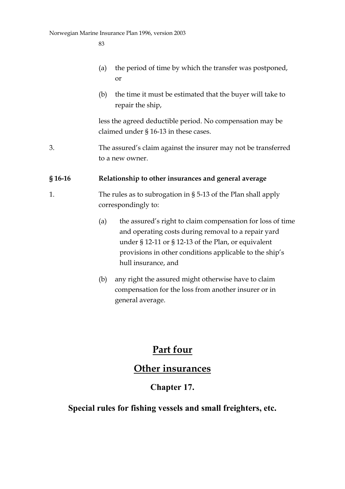- (a) the period of time by which the transfer was postponed, or
- (b) the time it must be estimated that the buyer will take to repair the ship,

less the agreed deductible period. No compensation may be claimed under § 16-13 in these cases.

3. The assured's claim against the insurer may not be transferred to a new owner.

### **§ 16-16 Relationship to other insurances and general average**

- 1. The rules as to subrogation in § 5-13 of the Plan shall apply correspondingly to:
	- (a) the assured's right to claim compensation for loss of time and operating costs during removal to a repair yard under § 12-11 or § 12-13 of the Plan, or equivalent provisions in other conditions applicable to the ship's hull insurance, and
	- (b) any right the assured might otherwise have to claim compensation for the loss from another insurer or in general average.

# **Part four**

# **Other insurances**

# **Chapter 17.**

# **Special rules for fishing vessels and small freighters, etc.**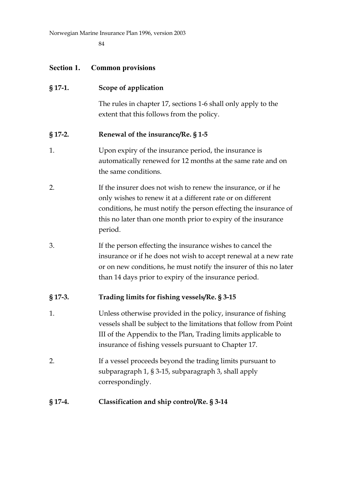84

# **Section 1. Common provisions**

| $§$ 17-1. | Scope of application                                                                                                                                                                                                                                                         |
|-----------|------------------------------------------------------------------------------------------------------------------------------------------------------------------------------------------------------------------------------------------------------------------------------|
|           | The rules in chapter 17, sections 1-6 shall only apply to the<br>extent that this follows from the policy.                                                                                                                                                                   |
| $§$ 17-2. | Renewal of the insurance/Re. § 1-5                                                                                                                                                                                                                                           |
| 1.        | Upon expiry of the insurance period, the insurance is<br>automatically renewed for 12 months at the same rate and on<br>the same conditions.                                                                                                                                 |
| 2.        | If the insurer does not wish to renew the insurance, or if he<br>only wishes to renew it at a different rate or on different<br>conditions, he must notify the person effecting the insurance of<br>this no later than one month prior to expiry of the insurance<br>period. |
| 3.        | If the person effecting the insurance wishes to cancel the<br>insurance or if he does not wish to accept renewal at a new rate<br>or on new conditions, he must notify the insurer of this no later<br>than 14 days prior to expiry of the insurance period.                 |
| $§$ 17-3. | Trading limits for fishing vessels/Re. § 3-15                                                                                                                                                                                                                                |
| 1.        | Unless otherwise provided in the policy, insurance of fishing<br>vessels shall be subject to the limitations that follow from Point<br>III of the Appendix to the Plan, Trading limits applicable to<br>insurance of fishing vessels pursuant to Chapter 17.                 |
| 2.        | If a vessel proceeds beyond the trading limits pursuant to<br>subparagraph 1, § 3-15, subparagraph 3, shall apply<br>correspondingly.                                                                                                                                        |
| $§$ 17-4. | Classification and ship control/Re. § 3-14                                                                                                                                                                                                                                   |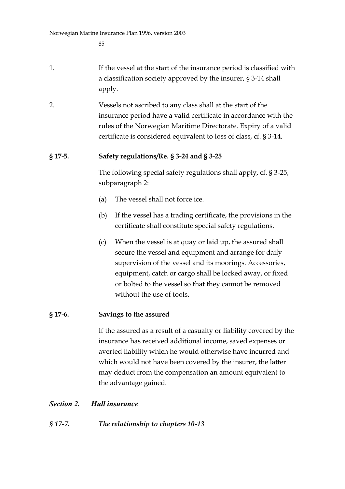- 1. If the vessel at the start of the insurance period is classified with a classification society approved by the insurer, § 3-14 shall apply.
- 2. Vessels not ascribed to any class shall at the start of the insurance period have a valid certificate in accordance with the rules of the Norwegian Maritime Directorate. Expiry of a valid certificate is considered equivalent to loss of class, cf. § 3-14.

### **§ 17-5. Safety regulations/Re. § 3-24 and § 3-25**

The following special safety regulations shall apply, cf. § 3-25, subparagraph 2:

- (a) The vessel shall not force ice.
- (b) If the vessel has a trading certificate, the provisions in the certificate shall constitute special safety regulations.
- (c) When the vessel is at quay or laid up, the assured shall secure the vessel and equipment and arrange for daily supervision of the vessel and its moorings. Accessories, equipment, catch or cargo shall be locked away, or fixed or bolted to the vessel so that they cannot be removed without the use of tools.

#### **§ 17-6. Savings to the assured**

If the assured as a result of a casualty or liability covered by the insurance has received additional income, saved expenses or averted liability which he would otherwise have incurred and which would not have been covered by the insurer, the latter may deduct from the compensation an amount equivalent to the advantage gained.

# *Section 2. Hull insurance*

# *§ 17-7. The relationship to chapters 10-13*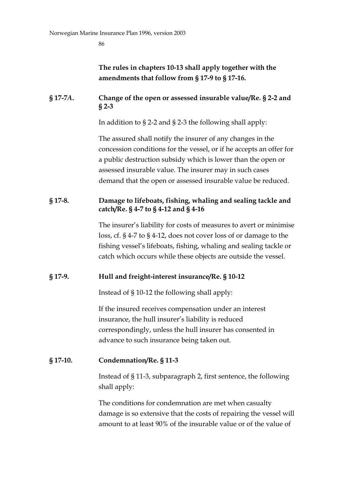# **The rules in chapters 10-13 shall apply together with the amendments that follow from § 17-9 to § 17-16.**

#### **§ 17-7***A***. Change of the open or assessed insurable value/Re. § 2-2 and § 2-3**

In addition to § 2-2 and § 2-3 the following shall apply:

The assured shall notify the insurer of any changes in the concession conditions for the vessel, or if he accepts an offer for a public destruction subsidy which is lower than the open or assessed insurable value. The insurer may in such cases demand that the open or assessed insurable value be reduced.

#### **§ 17-8. Damage to lifeboats, fishing, whaling and sealing tackle and catch/Re. § 4-7 to § 4-12 and § 4-16**

The insurer's liability for costs of measures to avert or minimise loss, cf. § 4-7 to § 4-12, does not cover loss of or damage to the fishing vessel's lifeboats, fishing, whaling and sealing tackle or catch which occurs while these objects are outside the vessel.

#### **§ 17-9. Hull and freight-interest insurance/Re. § 10-12**

Instead of § 10-12 the following shall apply:

If the insured receives compensation under an interest insurance, the hull insurer's liability is reduced correspondingly, unless the hull insurer has consented in advance to such insurance being taken out.

#### **§ 17-10. Condemnation/Re. § 11-3**

Instead of § 11-3, subparagraph 2, first sentence, the following shall apply:

The conditions for condemnation are met when casualty damage is so extensive that the costs of repairing the vessel will amount to at least 90% of the insurable value or of the value of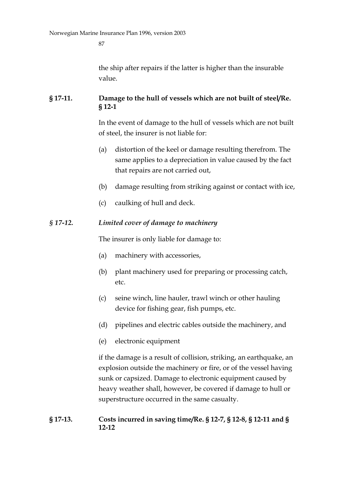the ship after repairs if the latter is higher than the insurable value.

#### **§ 17-11. Damage to the hull of vessels which are not built of steel/Re. § 12-1**

In the event of damage to the hull of vessels which are not built of steel, the insurer is not liable for:

- (a) distortion of the keel or damage resulting therefrom. The same applies to a depreciation in value caused by the fact that repairs are not carried out,
- (b) damage resulting from striking against or contact with ice,
- (c) caulking of hull and deck.

#### *§ 17-12. Limited cover of damage to machinery*

The insurer is only liable for damage to:

- (a) machinery with accessories,
- (b) plant machinery used for preparing or processing catch, etc.
- (c) seine winch, line hauler, trawl winch or other hauling device for fishing gear, fish pumps, etc.
- (d) pipelines and electric cables outside the machinery, and
- (e) electronic equipment

if the damage is a result of collision, striking, an earthquake, an explosion outside the machinery or fire, or of the vessel having sunk or capsized. Damage to electronic equipment caused by heavy weather shall, however, be covered if damage to hull or superstructure occurred in the same casualty.

#### **§ 17-13. Costs incurred in saving time/Re. § 12-7, § 12-8, § 12-11 and § 12-12**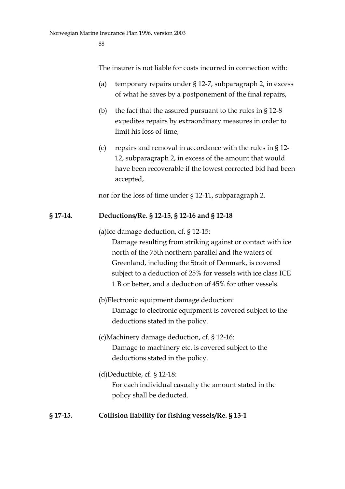The insurer is not liable for costs incurred in connection with:

- (a) temporary repairs under § 12-7, subparagraph 2, in excess of what he saves by a postponement of the final repairs,
- (b) the fact that the assured pursuant to the rules in  $\S 12-8$ expedites repairs by extraordinary measures in order to limit his loss of time,
- (c) repairs and removal in accordance with the rules in § 12- 12, subparagraph 2, in excess of the amount that would have been recoverable if the lowest corrected bid had been accepted,

nor for the loss of time under § 12-11, subparagraph 2.

#### **§ 17-14. Deductions/Re. § 12-15, § 12-16 and § 12-18**

(a)Ice damage deduction, cf. § 12-15:

Damage resulting from striking against or contact with ice north of the 75th northern parallel and the waters of Greenland, including the Strait of Denmark, is covered subject to a deduction of 25% for vessels with ice class ICE 1 B or better, and a deduction of 45% for other vessels.

- (b)Electronic equipment damage deduction: Damage to electronic equipment is covered subject to the deductions stated in the policy.
- (c)Machinery damage deduction, cf. § 12-16: Damage to machinery etc. is covered subject to the deductions stated in the policy.
- (d)Deductible, cf. § 12-18: For each individual casualty the amount stated in the policy shall be deducted.

#### **§ 17-15. Collision liability for fishing vessels/Re. § 13-1**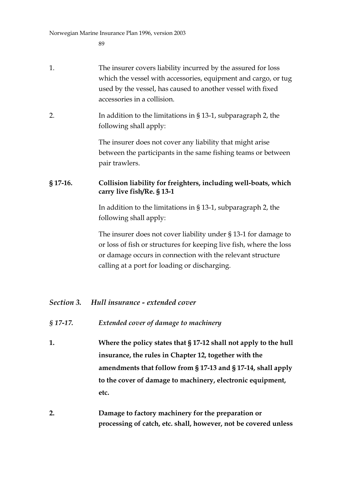- 1. The insurer covers liability incurred by the assured for loss which the vessel with accessories, equipment and cargo, or tug used by the vessel, has caused to another vessel with fixed accessories in a collision.
- 2. In addition to the limitations in § 13-1, subparagraph 2, the following shall apply:

The insurer does not cover any liability that might arise between the participants in the same fishing teams or between pair trawlers.

### **§ 17-16. Collision liability for freighters, including well-boats, which carry live fish/Re. § 13-1**

In addition to the limitations in § 13-1, subparagraph 2, the following shall apply:

The insurer does not cover liability under § 13-1 for damage to or loss of fish or structures for keeping live fish, where the loss or damage occurs in connection with the relevant structure calling at a port for loading or discharging.

# *Section 3. Hull insurance - extended cover*

- *§ 17-17. Extended cover of damage to machinery*
- **1. Where the policy states that § 17-12 shall not apply to the hull insurance, the rules in Chapter 12, together with the amendments that follow from § 17-13 and § 17-14, shall apply to the cover of damage to machinery, electronic equipment, etc.**
- **2. Damage to factory machinery for the preparation or processing of catch, etc. shall, however, not be covered unless**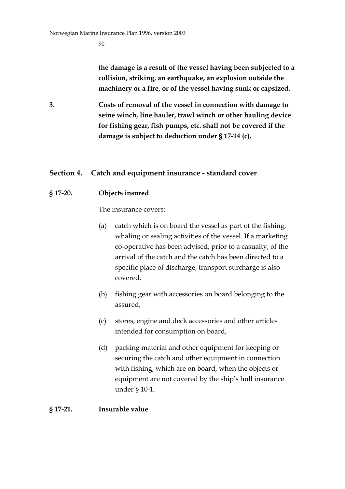**the damage is a result of the vessel having been subjected to a collision, striking, an earthquake, an explosion outside the machinery or a fire, or of the vessel having sunk or capsized.**

**3. Costs of removal of the vessel in connection with damage to seine winch, line hauler, trawl winch or other hauling device for fishing gear, fish pumps, etc. shall not be covered if the damage is subject to deduction under § 17-14 (c).**

# **Section 4. Catch and equipment insurance - standard cover**

#### **§ 17-20. Objects insured**

The insurance covers:

- (a) catch which is on board the vessel as part of the fishing, whaling or sealing activities of the vessel. If a marketing co-operative has been advised, prior to a casualty, of the arrival of the catch and the catch has been directed to a specific place of discharge, transport surcharge is also covered.
- (b) fishing gear with accessories on board belonging to the assured,
- (c) stores, engine and deck accessories and other articles intended for consumption on board,
- (d) packing material and other equipment for keeping or securing the catch and other equipment in connection with fishing, which are on board, when the objects or equipment are not covered by the ship's hull insurance under § 10-1.

#### **§ 17-21. Insurable value**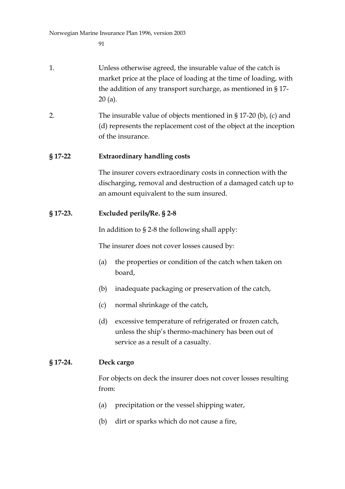- 1. Unless otherwise agreed, the insurable value of the catch is market price at the place of loading at the time of loading, with the addition of any transport surcharge, as mentioned in § 17- 20 (a).
- 2. The insurable value of objects mentioned in § 17-20 (b), (c) and (d) represents the replacement cost of the object at the inception of the insurance.

### **§ 17-22 Extraordinary handling costs**

The insurer covers extraordinary costs in connection with the discharging, removal and destruction of a damaged catch up to an amount equivalent to the sum insured.

### **§ 17-23. Excluded perils/Re. § 2-8**

In addition to § 2-8 the following shall apply:

The insurer does not cover losses caused by:

- (a) the properties or condition of the catch when taken on board,
- (b) inadequate packaging or preservation of the catch,
- (c) normal shrinkage of the catch,
- (d) excessive temperature of refrigerated or frozen catch, unless the ship's thermo-machinery has been out of service as a result of a casualty.

#### **§ 17-24. Deck cargo**

For objects on deck the insurer does not cover losses resulting from:

- (a) precipitation or the vessel shipping water,
- (b) dirt or sparks which do not cause a fire,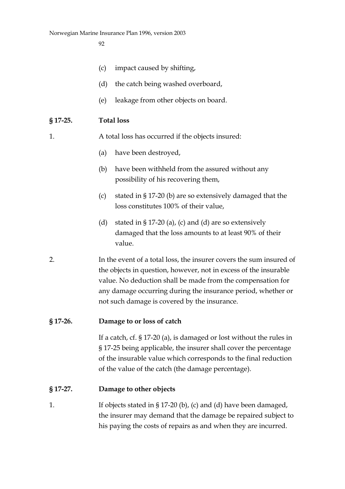- (c) impact caused by shifting,
- (d) the catch being washed overboard,
- (e) leakage from other objects on board.

#### **§ 17-25. Total loss**

1. A total loss has occurred if the objects insured:

- (a) have been destroyed,
- (b) have been withheld from the assured without any possibility of his recovering them,
- (c) stated in § 17-20 (b) are so extensively damaged that the loss constitutes 100% of their value,
- (d) stated in § 17-20 (a), (c) and (d) are so extensively damaged that the loss amounts to at least 90% of their value.
- 2. In the event of a total loss, the insurer covers the sum insured of the objects in question, however, not in excess of the insurable value. No deduction shall be made from the compensation for any damage occurring during the insurance period, whether or not such damage is covered by the insurance.

#### **§ 17-26. Damage to or loss of catch**

If a catch, cf. § 17-20 (a), is damaged or lost without the rules in § 17-25 being applicable, the insurer shall cover the percentage of the insurable value which corresponds to the final reduction of the value of the catch (the damage percentage).

#### **§ 17-27. Damage to other objects**

1. If objects stated in § 17-20 (b), (c) and (d) have been damaged, the insurer may demand that the damage be repaired subject to his paying the costs of repairs as and when they are incurred.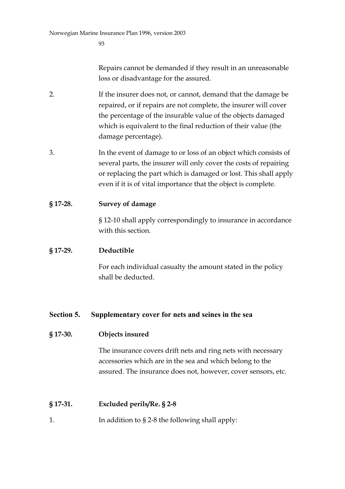Repairs cannot be demanded if they result in an unreasonable loss or disadvantage for the assured.

- 2. If the insurer does not, or cannot, demand that the damage be repaired, or if repairs are not complete, the insurer will cover the percentage of the insurable value of the objects damaged which is equivalent to the final reduction of their value (the damage percentage).
- 3. In the event of damage to or loss of an object which consists of several parts, the insurer will only cover the costs of repairing or replacing the part which is damaged or lost. This shall apply even if it is of vital importance that the object is complete.
- **§ 17-28. Survey of damage**

§ 12-10 shall apply correspondingly to insurance in accordance with this section.

#### **§ 17-29. Deductible**

For each individual casualty the amount stated in the policy shall be deducted.

#### **Section 5. Supplementary cover for nets and seines in the sea**

#### **§ 17-30. Objects insured**

The insurance covers drift nets and ring nets with necessary accessories which are in the sea and which belong to the assured. The insurance does not, however, cover sensors, etc.

#### **§ 17-31. Excluded perils/Re. § 2-8**

1. In addition to § 2-8 the following shall apply: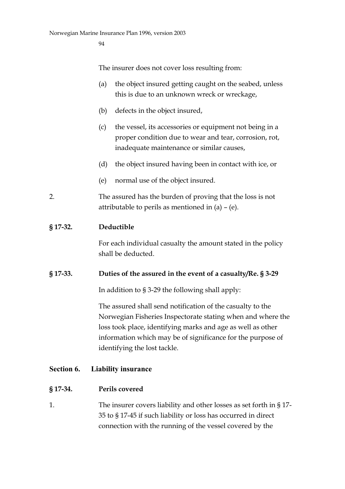The insurer does not cover loss resulting from:

- (a) the object insured getting caught on the seabed, unless this is due to an unknown wreck or wreckage,
- (b) defects in the object insured,
- (c) the vessel, its accessories or equipment not being in a proper condition due to wear and tear, corrosion, rot, inadequate maintenance or similar causes,
- (d) the object insured having been in contact with ice, or
- (e) normal use of the object insured.
- 2. The assured has the burden of proving that the loss is not attributable to perils as mentioned in (a) – (e).

#### **§ 17-32. Deductible**

For each individual casualty the amount stated in the policy shall be deducted.

#### **§ 17-33. Duties of the assured in the event of a casualty/Re. § 3-29**

In addition to § 3-29 the following shall apply:

The assured shall send notification of the casualty to the Norwegian Fisheries Inspectorate stating when and where the loss took place, identifying marks and age as well as other information which may be of significance for the purpose of identifying the lost tackle.

#### **Section 6. Liability insurance**

#### **§ 17-34. Perils covered**

1. The insurer covers liability and other losses as set forth in § 17- 35 to § 17-45 if such liability or loss has occurred in direct connection with the running of the vessel covered by the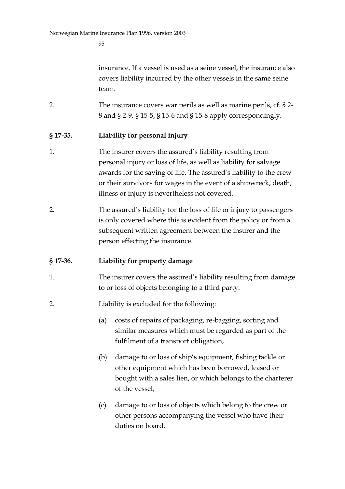insurance. If a vessel is used as a seine vessel, the insurance also covers liability incurred by the other vessels in the same seine team.

2. The insurance covers war perils as well as marine perils, cf. § 2- 8 and § 2-9. § 15-5, § 15-6 and § 15-8 apply correspondingly.

#### **§ 17-35. Liability for personal injury**

- 1. The insurer covers the assured's liability resulting from personal injury or loss of life, as well as liability for salvage awards for the saving of life. The assured's liability to the crew or their survivors for wages in the event of a shipwreck, death, illness or injury is nevertheless not covered.
- 2. The assured's liability for the loss of life or injury to passengers is only covered where this is evident from the policy or from a subsequent written agreement between the insurer and the person effecting the insurance.

#### **§ 17-36. Liability for property damage**

- 1. The insurer covers the assured's liability resulting from damage to or loss of objects belonging to a third party.
- 2. Liability is excluded for the following:
	- (a) costs of repairs of packaging, re-bagging, sorting and similar measures which must be regarded as part of the fulfilment of a transport obligation,
	- (b) damage to or loss of ship's equipment, fishing tackle or other equipment which has been borrowed, leased or bought with a sales lien, or which belongs to the charterer of the vessel,
	- (c) damage to or loss of objects which belong to the crew or other persons accompanying the vessel who have their duties on board.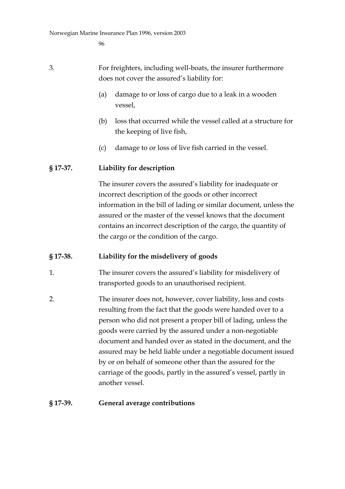- 3. For freighters, including well-boats, the insurer furthermore does not cover the assured's liability for:
	- (a) damage to or loss of cargo due to a leak in a wooden vessel,
	- (b) loss that occurred while the vessel called at a structure for the keeping of live fish,
	- (c) damage to or loss of live fish carried in the vessel.

#### **§ 17-37. Liability for description**

The insurer covers the assured's liability for inadequate or incorrect description of the goods or other incorrect information in the bill of lading or similar document, unless the assured or the master of the vessel knows that the document contains an incorrect description of the cargo, the quantity of the cargo or the condition of the cargo.

#### **§ 17-38. Liability for the misdelivery of goods**

- 1. The insurer covers the assured's liability for misdelivery of transported goods to an unauthorised recipient.
- 2. The insurer does not, however, cover liability, loss and costs resulting from the fact that the goods were handed over to a person who did not present a proper bill of lading, unless the goods were carried by the assured under a non-negotiable document and handed over as stated in the document, and the assured may be held liable under a negotiable document issued by or on behalf of someone other than the assured for the carriage of the goods, partly in the assured's vessel, partly in another vessel.

#### **§ 17-39. General average contributions**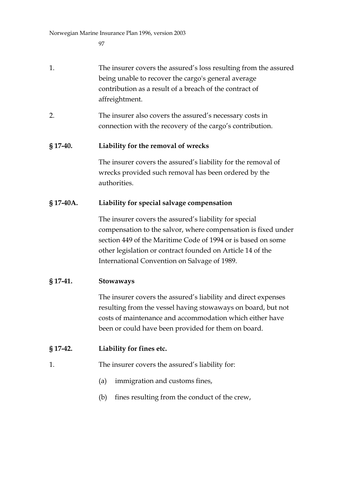- 1. The insurer covers the assured's loss resulting from the assured being unable to recover the cargo's general average contribution as a result of a breach of the contract of affreightment.
- 2. The insurer also covers the assured's necessary costs in connection with the recovery of the cargo's contribution.

#### **§ 17-40. Liability for the removal of wrecks**

The insurer covers the assured's liability for the removal of wrecks provided such removal has been ordered by the authorities.

#### **§ 17-40A. Liability for special salvage compensation**

The insurer covers the assured's liability for special compensation to the salvor, where compensation is fixed under section 449 of the Maritime Code of 1994 or is based on some other legislation or contract founded on Article 14 of the International Convention on Salvage of 1989.

#### **§ 17-41. Stowaways**

The insurer covers the assured's liability and direct expenses resulting from the vessel having stowaways on board, but not costs of maintenance and accommodation which either have been or could have been provided for them on board.

#### **§ 17-42. Liability for fines etc.**

- 1. The insurer covers the assured's liability for:
	- (a) immigration and customs fines,
	- (b) fines resulting from the conduct of the crew,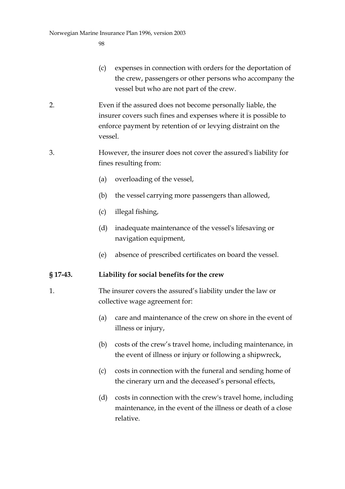- (c) expenses in connection with orders for the deportation of the crew, passengers or other persons who accompany the vessel but who are not part of the crew.
- 2. Even if the assured does not become personally liable, the insurer covers such fines and expenses where it is possible to enforce payment by retention of or levying distraint on the vessel.
- 3. However, the insurer does not cover the assured's liability for fines resulting from:
	- (a) overloading of the vessel,
	- (b) the vessel carrying more passengers than allowed,
	- (c) illegal fishing,
	- (d) inadequate maintenance of the vessel's lifesaving or navigation equipment,
	- (e) absence of prescribed certificates on board the vessel.

#### **§ 17-43. Liability for social benefits for the crew**

- 1. The insurer covers the assured's liability under the law or collective wage agreement for:
	- (a) care and maintenance of the crew on shore in the event of illness or injury,
	- (b) costs of the crew's travel home, including maintenance, in the event of illness or injury or following a shipwreck,
	- (c) costs in connection with the funeral and sending home of the cinerary urn and the deceased's personal effects,
	- (d) costs in connection with the crew's travel home, including maintenance, in the event of the illness or death of a close relative.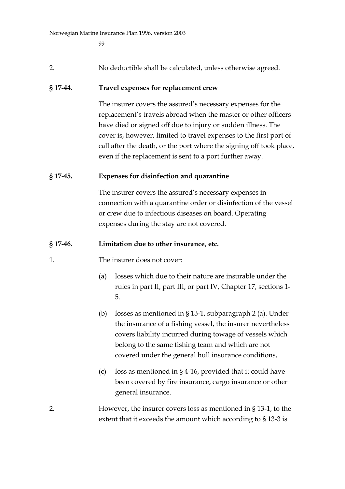$QQ$ 

2. No deductible shall be calculated, unless otherwise agreed.

#### **§ 17-44. Travel expenses for replacement crew**

The insurer covers the assured's necessary expenses for the replacement's travels abroad when the master or other officers have died or signed off due to injury or sudden illness. The cover is, however, limited to travel expenses to the first port of call after the death, or the port where the signing off took place, even if the replacement is sent to a port further away.

#### **§ 17-45. Expenses for disinfection and quarantine**

The insurer covers the assured's necessary expenses in connection with a quarantine order or disinfection of the vessel or crew due to infectious diseases on board. Operating expenses during the stay are not covered.

#### **§ 17-46. Limitation due to other insurance, etc.**

- 1. The insurer does not cover:
	- (a) losses which due to their nature are insurable under the rules in part II, part III, or part IV, Chapter 17, sections 1- 5.
	- (b) losses as mentioned in § 13-1, subparagraph 2 (a). Under the insurance of a fishing vessel, the insurer nevertheless covers liability incurred during towage of vessels which belong to the same fishing team and which are not covered under the general hull insurance conditions,
	- (c) loss as mentioned in § 4-16, provided that it could have been covered by fire insurance, cargo insurance or other general insurance.
- 2. However, the insurer covers loss as mentioned in § 13-1, to the extent that it exceeds the amount which according to § 13-3 is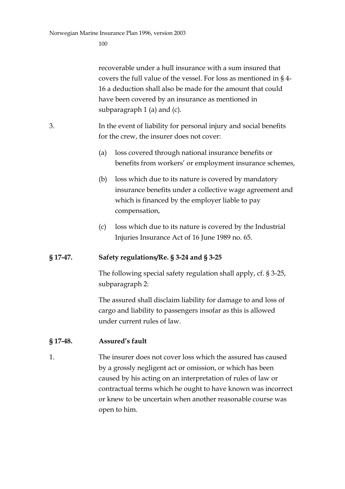recoverable under a hull insurance with a sum insured that covers the full value of the vessel. For loss as mentioned in § 4- 16 a deduction shall also be made for the amount that could have been covered by an insurance as mentioned in subparagraph 1 (a) and (c).

- 3. In the event of liability for personal injury and social benefits for the crew, the insurer does not cover:
	- (a) loss covered through national insurance benefits or benefits from workers' or employment insurance schemes,
	- (b) loss which due to its nature is covered by mandatory insurance benefits under a collective wage agreement and which is financed by the employer liable to pay compensation,
	- (c) loss which due to its nature is covered by the Industrial Injuries Insurance Act of 16 June 1989 no. 65.

#### **§ 17-47. Safety regulations/Re. § 3-24 and § 3-25**

The following special safety regulation shall apply, cf. § 3-25, subparagraph 2:

The assured shall disclaim liability for damage to and loss of cargo and liability to passengers insofar as this is allowed under current rules of law.

#### **§ 17-48. Assured's fault**

1. The insurer does not cover loss which the assured has caused by a grossly negligent act or omission, or which has been caused by his acting on an interpretation of rules of law or contractual terms which he ought to have known was incorrect or knew to be uncertain when another reasonable course was open to him.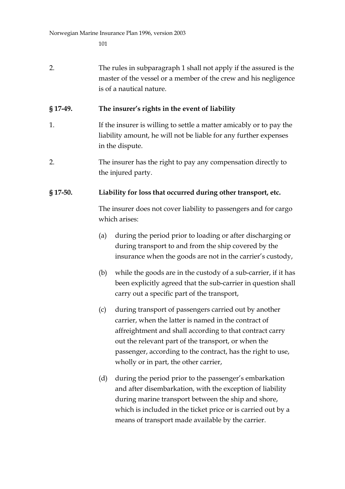| 2.         | The rules in subparagraph 1 shall not apply if the assured is the<br>master of the vessel or a member of the crew and his negligence<br>is of a nautical nature.                                                                                                                                                                                |
|------------|-------------------------------------------------------------------------------------------------------------------------------------------------------------------------------------------------------------------------------------------------------------------------------------------------------------------------------------------------|
| § 17-49.   | The insurer's rights in the event of liability                                                                                                                                                                                                                                                                                                  |
| 1.         | If the insurer is willing to settle a matter amicably or to pay the<br>liability amount, he will not be liable for any further expenses<br>in the dispute.                                                                                                                                                                                      |
| 2.         | The insurer has the right to pay any compensation directly to<br>the injured party.                                                                                                                                                                                                                                                             |
| $§$ 17-50. | Liability for loss that occurred during other transport, etc.                                                                                                                                                                                                                                                                                   |
|            | The insurer does not cover liability to passengers and for cargo<br>which arises:                                                                                                                                                                                                                                                               |
|            | during the period prior to loading or after discharging or<br>(a)<br>during transport to and from the ship covered by the<br>insurance when the goods are not in the carrier's custody,                                                                                                                                                         |
|            | while the goods are in the custody of a sub-carrier, if it has<br>(b)<br>been explicitly agreed that the sub-carrier in question shall<br>carry out a specific part of the transport,                                                                                                                                                           |
|            | during transport of passengers carried out by another<br>(c)<br>carrier, when the latter is named in the contract of<br>affreightment and shall according to that contract carry<br>out the relevant part of the transport, or when the<br>passenger, according to the contract, has the right to use,<br>wholly or in part, the other carrier, |
|            | during the period prior to the passenger's embarkation<br>(d)<br>and after disembarkation, with the exception of liability<br>during marine transport between the ship and shore,<br>which is included in the ticket price or is carried out by a<br>means of transport made available by the carrier.                                          |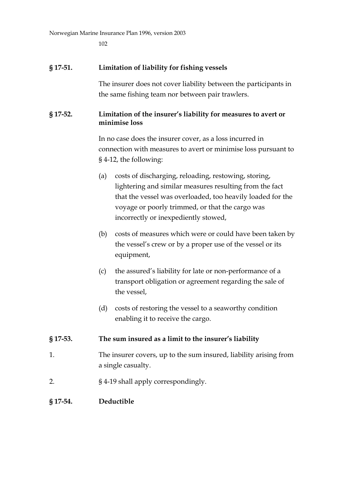102

#### **§ 17-51. Limitation of liability for fishing vessels**

The insurer does not cover liability between the participants in the same fishing team nor between pair trawlers.

#### **§ 17-52. Limitation of the insurer's liability for measures to avert or minimise loss**

In no case does the insurer cover, as a loss incurred in connection with measures to avert or minimise loss pursuant to § 4-12, the following:

- (a) costs of discharging, reloading, restowing, storing, lightering and similar measures resulting from the fact that the vessel was overloaded, too heavily loaded for the voyage or poorly trimmed, or that the cargo was incorrectly or inexpediently stowed,
- (b) costs of measures which were or could have been taken by the vessel's crew or by a proper use of the vessel or its equipment,
- (c) the assured's liability for late or non-performance of a transport obligation or agreement regarding the sale of the vessel,
- (d) costs of restoring the vessel to a seaworthy condition enabling it to receive the cargo.

#### **§ 17-53. The sum insured as a limit to the insurer's liability**

- 1. The insurer covers, up to the sum insured, liability arising from a single casualty.
- 2. § 4-19 shall apply correspondingly.

#### **§ 17-54. Deductible**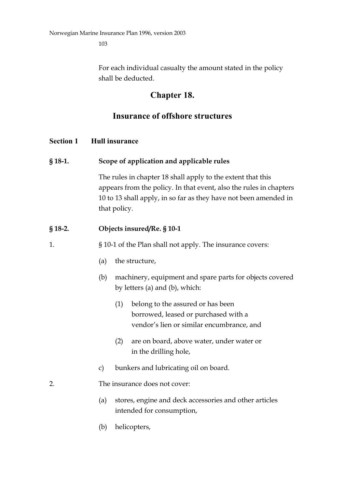For each individual casualty the amount stated in the policy shall be deducted.

# **Chapter 18.**

# **Insurance of offshore structures**

# **Section 1 Hull insurance**

# **§ 18-1. Scope of application and applicable rules**

The rules in chapter 18 shall apply to the extent that this appears from the policy. In that event, also the rules in chapters 10 to 13 shall apply, in so far as they have not been amended in that policy.

# **§ 18-2. Objects insured/Re. § 10-1**

1. § 10-1 of the Plan shall not apply. The insurance covers:

- (a) the structure,
- (b) machinery, equipment and spare parts for objects covered by letters (a) and (b), which:
	- (1) belong to the assured or has been borrowed, leased or purchased with a vendor's lien or similar encumbrance, and
	- (2) are on board, above water, under water or in the drilling hole,
- c) bunkers and lubricating oil on board.

# 2. The insurance does not cover:

- (a) stores, engine and deck accessories and other articles intended for consumption,
- (b) helicopters,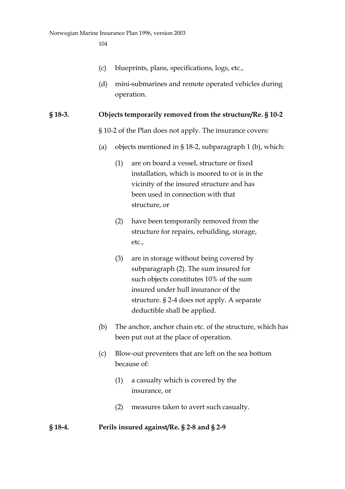- (c) blueprints, plans, specifications, logs, etc.,
- (d) mini-submarines and remote operated vehicles during operation.

#### **§ 18-3. Objects temporarily removed from the structure/Re. § 10-2**

- § 10-2 of the Plan does not apply. The insurance covers:
- (a) objects mentioned in § 18-2, subparagraph 1 (b), which:
	- (1) are on board a vessel, structure or fixed installation, which is moored to or is in the vicinity of the insured structure and has been used in connection with that structure, or
	- (2) have been temporarily removed from the structure for repairs, rebuilding, storage, etc.,
	- (3) are in storage without being covered by subparagraph (2). The sum insured for such objects constitutes 10% of the sum insured under hull insurance of the structure. § 2-4 does not apply. A separate deductible shall be applied.
- (b) The anchor, anchor chain etc. of the structure, which has been put out at the place of operation.
- (c) Blow-out preventers that are left on the sea bottom because of:
	- (1) a casualty which is covered by the insurance, or
	- (2) measures taken to avert such casualty.

#### **§ 18-4. Perils insured against/Re. § 2-8 and § 2-9**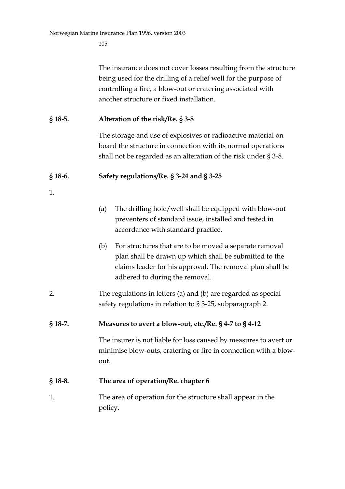The insurance does not cover losses resulting from the structure being used for the drilling of a relief well for the purpose of controlling a fire, a blow-out or cratering associated with another structure or fixed installation.

# **§ 18-5. Alteration of the risk/Re. § 3-8**

The storage and use of explosives or radioactive material on board the structure in connection with its normal operations shall not be regarded as an alteration of the risk under § 3-8.

#### **§ 18-6. Safety regulations/Re. § 3-24 and § 3-25**

- 1.
- (a) The drilling hole/well shall be equipped with blow-out preventers of standard issue, installed and tested in accordance with standard practice.
- (b) For structures that are to be moved a separate removal plan shall be drawn up which shall be submitted to the claims leader for his approval. The removal plan shall be adhered to during the removal.
- 2. The regulations in letters (a) and (b) are regarded as special safety regulations in relation to § 3-25, subparagraph 2.

#### **§ 18-7. Measures to avert a blow-out, etc./Re. § 4-7 to § 4-12**

The insurer is not liable for loss caused by measures to avert or minimise blow-outs, cratering or fire in connection with a blowout.

#### **§ 18-8. The area of operation/Re. chapter 6**

1. The area of operation for the structure shall appear in the policy.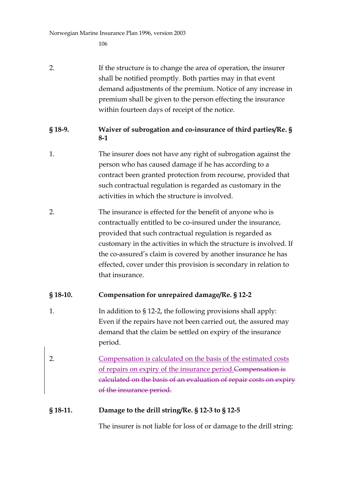106

- 2. If the structure is to change the area of operation, the insurer shall be notified promptly. Both parties may in that event demand adjustments of the premium. Notice of any increase in premium shall be given to the person effecting the insurance within fourteen days of receipt of the notice.
- **§ 18-9. Waiver of subrogation and co-insurance of third parties/Re. § 8-1**
- 1. The insurer does not have any right of subrogation against the person who has caused damage if he has according to a contract been granted protection from recourse, provided that such contractual regulation is regarded as customary in the activities in which the structure is involved.
- 2. The insurance is effected for the benefit of anyone who is contractually entitled to be co-insured under the insurance, provided that such contractual regulation is regarded as customary in the activities in which the structure is involved. If the co-assured's claim is covered by another insurance he has effected, cover under this provision is secondary in relation to that insurance.

# **§ 18-10. Compensation for unrepaired damage/Re. § 12-2**

- 1. In addition to § 12-2, the following provisions shall apply: Even if the repairs have not been carried out, the assured may demand that the claim be settled on expiry of the insurance period.
- 2. Compensation is calculated on the basis of the estimated costs of repairs on expiry of the insurance period.Compensation is calculated on the basis of an evaluation of repair costs on expiry of the insurance period.

# **§ 18-11. Damage to the drill string/Re. § 12-3 to § 12-5**

The insurer is not liable for loss of or damage to the drill string: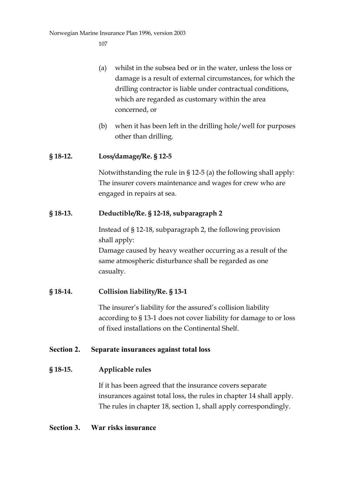- (a) whilst in the subsea bed or in the water, unless the loss or damage is a result of external circumstances, for which the drilling contractor is liable under contractual conditions, which are regarded as customary within the area concerned, or
- (b) when it has been left in the drilling hole/well for purposes other than drilling.

## **§ 18-12. Loss/damage/Re. § 12-5**

Notwithstanding the rule in § 12-5 (a) the following shall apply: The insurer covers maintenance and wages for crew who are engaged in repairs at sea.

## **§ 18-13. Deductible/Re. § 12-18, subparagraph 2**

Instead of § 12-18, subparagraph 2, the following provision shall apply:

Damage caused by heavy weather occurring as a result of the same atmospheric disturbance shall be regarded as one casualty.

## **§ 18-14. Collision liability/Re. § 13-1**

The insurer's liability for the assured's collision liability according to § 13-1 does not cover liability for damage to or loss of fixed installations on the Continental Shelf.

## **Section 2. Separate insurances against total loss**

## **§ 18-15. Applicable rules**

If it has been agreed that the insurance covers separate insurances against total loss, the rules in chapter 14 shall apply. The rules in chapter 18, section 1, shall apply correspondingly.

## **Section 3. War risks insurance**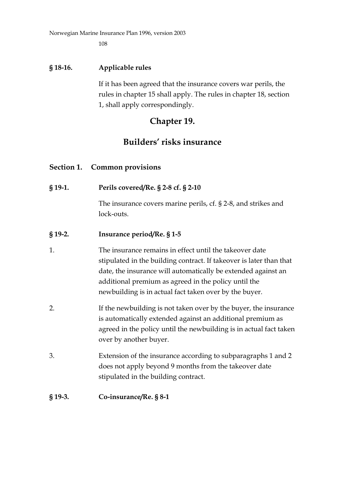108

## **§ 18-16. Applicable rules**

If it has been agreed that the insurance covers war perils, the rules in chapter 15 shall apply. The rules in chapter 18, section 1, shall apply correspondingly.

# **Chapter 19.**

# **Builders' risks insurance**

## **Section 1. Common provisions**

**§ 19-1. Perils covered/Re. § 2-8 cf. § 2-10**

The insurance covers marine perils, cf. § 2-8, and strikes and lock-outs.

## **§ 19-2. Insurance period/Re. § 1-5**

- 1. The insurance remains in effect until the takeover date stipulated in the building contract. If takeover is later than that date, the insurance will automatically be extended against an additional premium as agreed in the policy until the newbuilding is in actual fact taken over by the buyer.
- 2. If the newbuilding is not taken over by the buyer, the insurance is automatically extended against an additional premium as agreed in the policy until the newbuilding is in actual fact taken over by another buyer.
- 3. Extension of the insurance according to subparagraphs 1 and 2 does not apply beyond 9 months from the takeover date stipulated in the building contract.

#### **§ 19-3. Co-insurance/Re. § 8-1**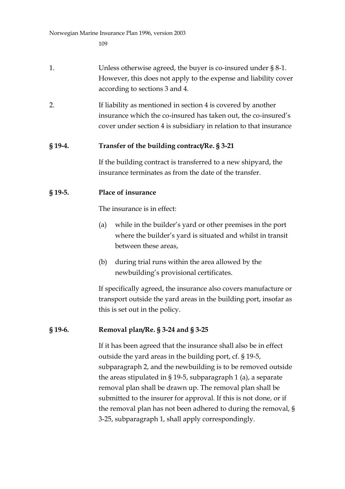- 1. Unless otherwise agreed, the buyer is co-insured under § 8-1. However, this does not apply to the expense and liability cover according to sections 3 and 4.
- 2. If liability as mentioned in section 4 is covered by another insurance which the co-insured has taken out, the co-insured's cover under section 4 is subsidiary in relation to that insurance

### **§ 19-4. Transfer of the building contract/Re. § 3-21**

If the building contract is transferred to a new shipyard, the insurance terminates as from the date of the transfer.

### **§ 19-5. Place of insurance**

The insurance is in effect:

- (a) while in the builder's yard or other premises in the port where the builder's yard is situated and whilst in transit between these areas,
- (b) during trial runs within the area allowed by the newbuilding's provisional certificates.

If specifically agreed, the insurance also covers manufacture or transport outside the yard areas in the building port, insofar as this is set out in the policy.

## **§ 19-6. Removal plan/Re. § 3-24 and § 3-25**

If it has been agreed that the insurance shall also be in effect outside the yard areas in the building port, cf. § 19-5, subparagraph 2, and the newbuilding is to be removed outside the areas stipulated in § 19-5, subparagraph 1 (a), a separate removal plan shall be drawn up. The removal plan shall be submitted to the insurer for approval. If this is not done, or if the removal plan has not been adhered to during the removal, § 3-25, subparagraph 1, shall apply correspondingly.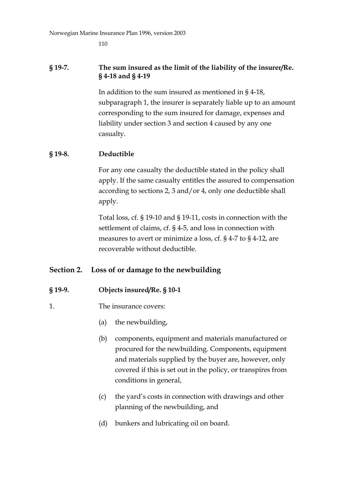110

### **§ 19-7. The sum insured as the limit of the liability of the insurer/Re. § 4-18 and § 4-19**

In addition to the sum insured as mentioned in § 4-18, subparagraph 1, the insurer is separately liable up to an amount corresponding to the sum insured for damage, expenses and liability under section 3 and section 4 caused by any one casualty.

## **§ 19-8. Deductible**

For any one casualty the deductible stated in the policy shall apply. If the same casualty entitles the assured to compensation according to sections 2, 3 and/or 4, only one deductible shall apply.

Total loss, cf. § 19-10 and § 19-11, costs in connection with the settlement of claims, cf. § 4-5, and loss in connection with measures to avert or minimize a loss, cf. § 4-7 to § 4-12, are recoverable without deductible.

## **Section 2. Loss of or damage to the newbuilding**

## **§ 19-9. Objects insured/Re. § 10-1**

- 1. The insurance covers:
	- (a) the newbuilding,
	- (b) components, equipment and materials manufactured or procured for the newbuilding. Components, equipment and materials supplied by the buyer are, however, only covered if this is set out in the policy, or transpires from conditions in general,
	- (c) the yard's costs in connection with drawings and other planning of the newbuilding, and
	- (d) bunkers and lubricating oil on board.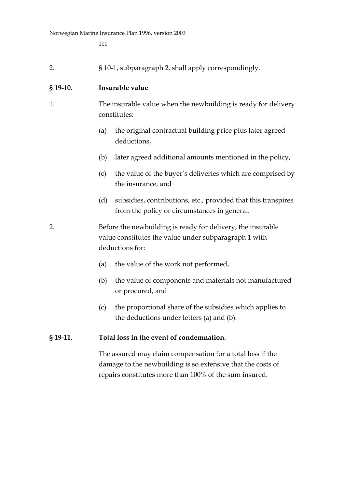| $\mathcal{L}$ . |  |  |  | § 10-1, subparagraph 2, shall apply correspondingly. |
|-----------------|--|--|--|------------------------------------------------------|
|-----------------|--|--|--|------------------------------------------------------|

#### **§ 19-10. Insurable value**

- 1. The insurable value when the newbuilding is ready for delivery constitutes:
	- (a) the original contractual building price plus later agreed deductions,
	- (b) later agreed additional amounts mentioned in the policy,
	- (c) the value of the buyer's deliveries which are comprised by the insurance, and
	- (d) subsidies, contributions, etc., provided that this transpires from the policy or circumstances in general.
- 2. Before the newbuilding is ready for delivery, the insurable value constitutes the value under subparagraph 1 with deductions for:
	- (a) the value of the work not performed,
	- (b) the value of components and materials not manufactured or procured, and
	- (c) the proportional share of the subsidies which applies to the deductions under letters (a) and (b).

#### **§ 19-11. Total loss in the event of condemnation.**

The assured may claim compensation for a total loss if the damage to the newbuilding is so extensive that the costs of repairs constitutes more than 100% of the sum insured.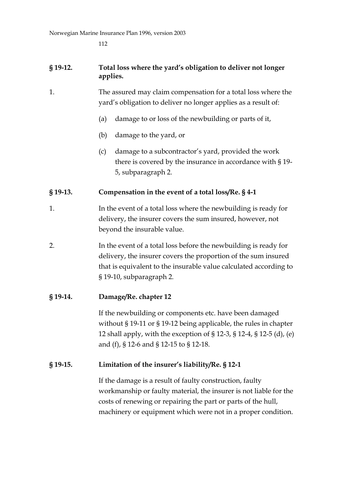112

## **§ 19-12. Total loss where the yard's obligation to deliver not longer applies.**

- 1. The assured may claim compensation for a total loss where the yard's obligation to deliver no longer applies as a result of:
	- (a) damage to or loss of the newbuilding or parts of it,
	- (b) damage to the yard, or
	- (c) damage to a subcontractor's yard, provided the work there is covered by the insurance in accordance with § 19- 5, subparagraph 2.

## **§ 19-13. Compensation in the event of a total loss/Re. § 4-1**

- 1. In the event of a total loss where the newbuilding is ready for delivery, the insurer covers the sum insured, however, not beyond the insurable value.
- 2. In the event of a total loss before the newbuilding is ready for delivery, the insurer covers the proportion of the sum insured that is equivalent to the insurable value calculated according to § 19-10, subparagraph 2.

## **§ 19-14. Damage/Re. chapter 12**

If the newbuilding or components etc. have been damaged without § 19-11 or § 19-12 being applicable, the rules in chapter 12 shall apply, with the exception of § 12-3, § 12-4, § 12-5 (d), (e) and (f), § 12-6 and § 12-15 to § 12-18.

## **§ 19-15. Limitation of the insurer's liability/Re. § 12-1**

If the damage is a result of faulty construction, faulty workmanship or faulty material, the insurer is not liable for the costs of renewing or repairing the part or parts of the hull, machinery or equipment which were not in a proper condition.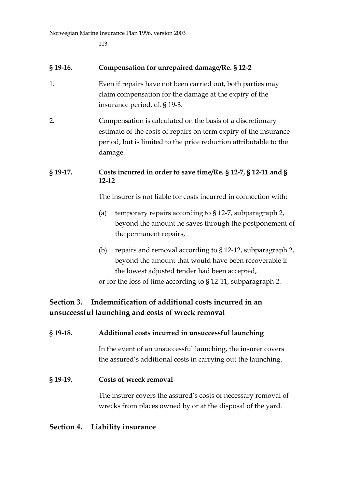113

| $§$ 19-16. | Compensation for unrepaired damage/Re. § 12-2                                                                                                                                                                                               |  |  |
|------------|---------------------------------------------------------------------------------------------------------------------------------------------------------------------------------------------------------------------------------------------|--|--|
| 1.         | Even if repairs have not been carried out, both parties may<br>claim compensation for the damage at the expiry of the<br>insurance period, cf. § 19-3.                                                                                      |  |  |
| 2.         | Compensation is calculated on the basis of a discretionary<br>estimate of the costs of repairs on term expiry of the insurance<br>period, but is limited to the price reduction attributable to the<br>damage.                              |  |  |
| § 19-17.   | Costs incurred in order to save time/Re. § 12-7, § 12-11 and §<br>$12 - 12$                                                                                                                                                                 |  |  |
|            | The insurer is not liable for costs incurred in connection with:                                                                                                                                                                            |  |  |
|            | temporary repairs according to § 12-7, subparagraph 2,<br>(a)<br>beyond the amount he saves through the postponement of<br>the permanent repairs,                                                                                           |  |  |
|            | repairs and removal according to § 12-12, subparagraph 2,<br>(b)<br>beyond the amount that would have been recoverable if<br>the lowest adjusted tender had been accepted,<br>or for the loss of time according to § 12-11, subparagraph 2. |  |  |
| Section 3. | Indemnification of additional costs incurred in an<br>unsuccessful launching and costs of wreck removal                                                                                                                                     |  |  |
| § 19-18.   | Additional costs incurred in unsuccessful launching                                                                                                                                                                                         |  |  |

In the event of an unsuccessful launching, the insurer covers the assured's additional costs in carrying out the launching.

## **§ 19-19. Costs of wreck removal**

The insurer covers the assured's costs of necessary removal of wrecks from places owned by or at the disposal of the yard.

# **Section 4. Liability insurance**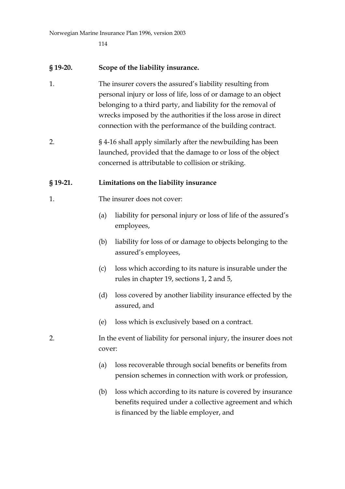114

### **§ 19-20. Scope of the liability insurance.**

- 1. The insurer covers the assured's liability resulting from personal injury or loss of life, loss of or damage to an object belonging to a third party, and liability for the removal of wrecks imposed by the authorities if the loss arose in direct connection with the performance of the building contract.
- 2. § 4-16 shall apply similarly after the newbuilding has been launched, provided that the damage to or loss of the object concerned is attributable to collision or striking.

### **§ 19-21. Limitations on the liability insurance**

- 1. The insurer does not cover:
	- (a) liability for personal injury or loss of life of the assured's employees,
	- (b) liability for loss of or damage to objects belonging to the assured's employees,
	- (c) loss which according to its nature is insurable under the rules in chapter 19, sections 1, 2 and 5,
	- (d) loss covered by another liability insurance effected by the assured, and
	- (e) loss which is exclusively based on a contract.
- 2. In the event of liability for personal injury, the insurer does not cover:
	- (a) loss recoverable through social benefits or benefits from pension schemes in connection with work or profession,
	- (b) loss which according to its nature is covered by insurance benefits required under a collective agreement and which is financed by the liable employer, and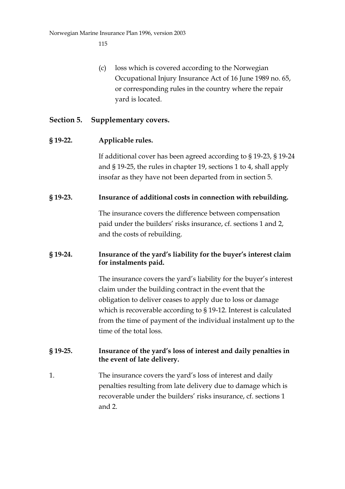(c) loss which is covered according to the Norwegian Occupational Injury Insurance Act of 16 June 1989 no. 65, or corresponding rules in the country where the repair yard is located.

## **Section 5. Supplementary covers.**

#### **§ 19-22. Applicable rules.**

If additional cover has been agreed according to § 19-23, § 19-24 and § 19-25, the rules in chapter 19, sections 1 to 4, shall apply insofar as they have not been departed from in section 5.

#### **§ 19-23. Insurance of additional costs in connection with rebuilding.**

The insurance covers the difference between compensation paid under the builders' risks insurance, cf. sections 1 and 2, and the costs of rebuilding.

## **§ 19-24. Insurance of the yard's liability for the buyer's interest claim for instalments paid.**

The insurance covers the yard's liability for the buyer's interest claim under the building contract in the event that the obligation to deliver ceases to apply due to loss or damage which is recoverable according to § 19-12. Interest is calculated from the time of payment of the individual instalment up to the time of the total loss.

## **§ 19-25. Insurance of the yard's loss of interest and daily penalties in the event of late delivery.**

1. The insurance covers the yard's loss of interest and daily penalties resulting from late delivery due to damage which is recoverable under the builders' risks insurance, cf. sections 1 and 2.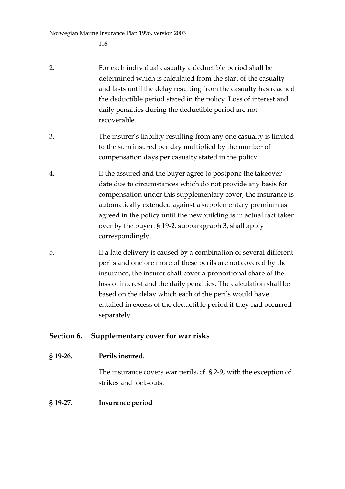- 2. For each individual casualty a deductible period shall be determined which is calculated from the start of the casualty and lasts until the delay resulting from the casualty has reached the deductible period stated in the policy. Loss of interest and daily penalties during the deductible period are not recoverable.
- 3. The insurer's liability resulting from any one casualty is limited to the sum insured per day multiplied by the number of compensation days per casualty stated in the policy.
- 4. If the assured and the buyer agree to postpone the takeover date due to circumstances which do not provide any basis for compensation under this supplementary cover, the insurance is automatically extended against a supplementary premium as agreed in the policy until the newbuilding is in actual fact taken over by the buyer. § 19-2, subparagraph 3, shall apply correspondingly.
- 5. If a late delivery is caused by a combination of several different perils and one ore more of these perils are not covered by the insurance, the insurer shall cover a proportional share of the loss of interest and the daily penalties. The calculation shall be based on the delay which each of the perils would have entailed in excess of the deductible period if they had occurred separately.

## **Section 6. Supplementary cover for war risks**

#### **§ 19-26. Perils insured.**

The insurance covers war perils, cf. § 2-9, with the exception of strikes and lock-outs.

#### **§ 19-27. Insurance period**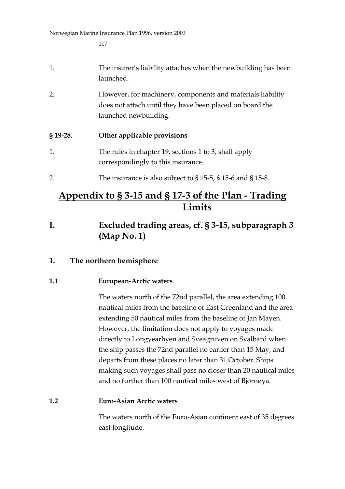- 1. The insurer's liability attaches when the newbuilding has been launched.
- 2. However, for machinery, components and materials liability does not attach until they have been placed on board the launched newbuilding.

# **§ 19-28. Other applicable provisions**

- 1. The rules in chapter 19, sections 1 to 3, shall apply correspondingly to this insurance.
- 2. The insurance is also subject to § 15-5, § 15-6 and § 15-8.

# **Appendix to § 3-15 and § 17-3 of the Plan - Trading Limits**

**I. Excluded trading areas, cf. § 3-15, subparagraph 3 (Map No. 1)**

# **1. The northern hemisphere**

## **1.1 European-Arctic waters**

The waters north of the 72nd parallel, the area extending 100 nautical miles from the baseline of East Greenland and the area extending 50 nautical miles from the baseline of Jan Mayen. However, the limitation does not apply to voyages made directly to Longyearbyen and Sveagruven on Svalbard when the ship passes the 72nd parallel no earlier than 15 May, and departs from these places no later than 31 October. Ships making such voyages shall pass no closer than 20 nautical miles and no further than 100 nautical miles west of Bjørnøya.

## **1.2 Euro-Asian Arctic waters**

The waters north of the Euro-Asian continent east of 35 degrees east longitude.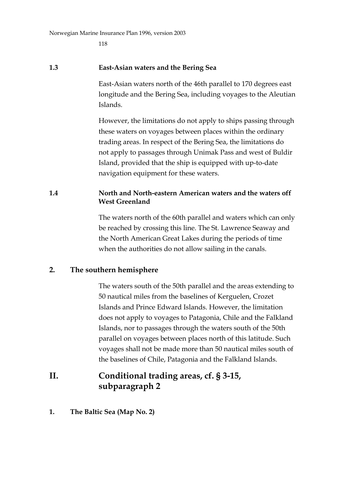118

#### **1.3 East-Asian waters and the Bering Sea**

East-Asian waters north of the 46th parallel to 170 degrees east longitude and the Bering Sea, including voyages to the Aleutian Islands.

However, the limitations do not apply to ships passing through these waters on voyages between places within the ordinary trading areas. In respect of the Bering Sea, the limitations do not apply to passages through Unimak Pass and west of Buldir Island, provided that the ship is equipped with up-to-date navigation equipment for these waters.

## **1.4 North and North-eastern American waters and the waters off West Greenland**

The waters north of the 60th parallel and waters which can only be reached by crossing this line. The St. Lawrence Seaway and the North American Great Lakes during the periods of time when the authorities do not allow sailing in the canals.

## **2. The southern hemisphere**

The waters south of the 50th parallel and the areas extending to 50 nautical miles from the baselines of Kerguelen, Crozet Islands and Prince Edward Islands. However, the limitation does not apply to voyages to Patagonia, Chile and the Falkland Islands, nor to passages through the waters south of the 50th parallel on voyages between places north of this latitude. Such voyages shall not be made more than 50 nautical miles south of the baselines of Chile, Patagonia and the Falkland Islands.

# **II. Conditional trading areas, cf. § 3-15, subparagraph 2**

## **1. The Baltic Sea (Map No. 2)**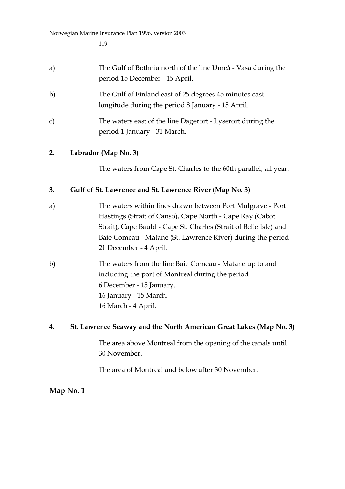| a) | The Gulf of Bothnia north of the line Umeå - Vasa during the |
|----|--------------------------------------------------------------|
|    | period 15 December - 15 April.                               |

- b) The Gulf of Finland east of 25 degrees 45 minutes east longitude during the period 8 January - 15 April.
- c) The waters east of the line Dagerort Lyserort during the period 1 January - 31 March.

## **2. Labrador (Map No. 3)**

The waters from Cape St. Charles to the 60th parallel, all year.

## **3. Gulf of St. Lawrence and St. Lawrence River (Map No. 3)**

- a) The waters within lines drawn between Port Mulgrave Port Hastings (Strait of Canso), Cape North - Cape Ray (Cabot Strait), Cape Bauld - Cape St. Charles (Strait of Belle Isle) and Baie Comeau - Matane (St. Lawrence River) during the period 21 December - 4 April.
- b) The waters from the line Baie Comeau Matane up to and including the port of Montreal during the period 6 December - 15 January. 16 January - 15 March. 16 March - 4 April.

## **4. St. Lawrence Seaway and the North American Great Lakes (Map No. 3)**

The area above Montreal from the opening of the canals until 30 November.

The area of Montreal and below after 30 November.

## **Map No. 1**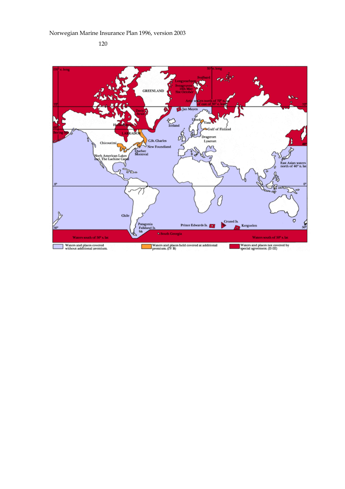120

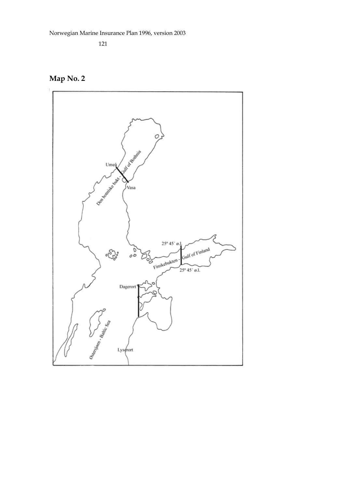

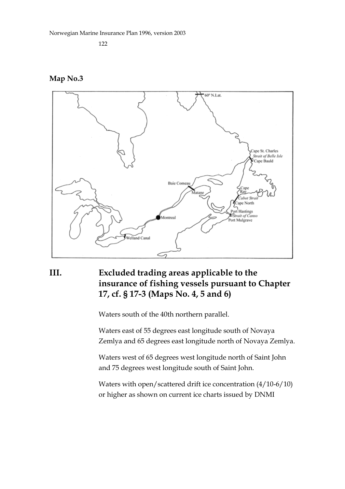122

#### **Map No.3**



# **III. Excluded trading areas applicable to the insurance of fishing vessels pursuant to Chapter 17, cf. § 17-3 (Maps No. 4, 5 and 6)**

Waters south of the 40th northern parallel.

Waters east of 55 degrees east longitude south of Novaya Zemlya and 65 degrees east longitude north of Novaya Zemlya.

Waters west of 65 degrees west longitude north of Saint John and 75 degrees west longitude south of Saint John.

Waters with open/scattered drift ice concentration (4/10-6/10) or higher as shown on current ice charts issued by DNMI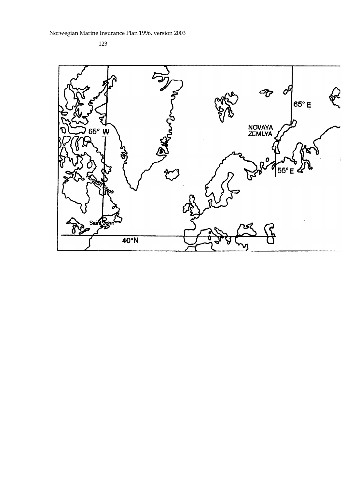123

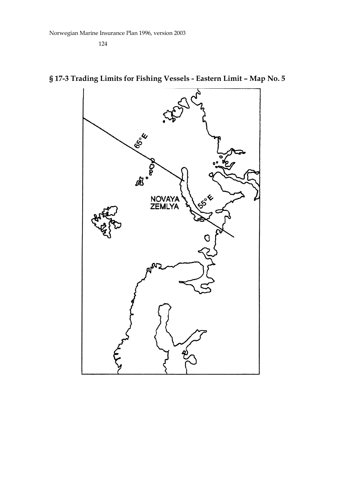

# **§ 17-3 Trading Limits for Fishing Vessels - Eastern Limit – Map No. 5**